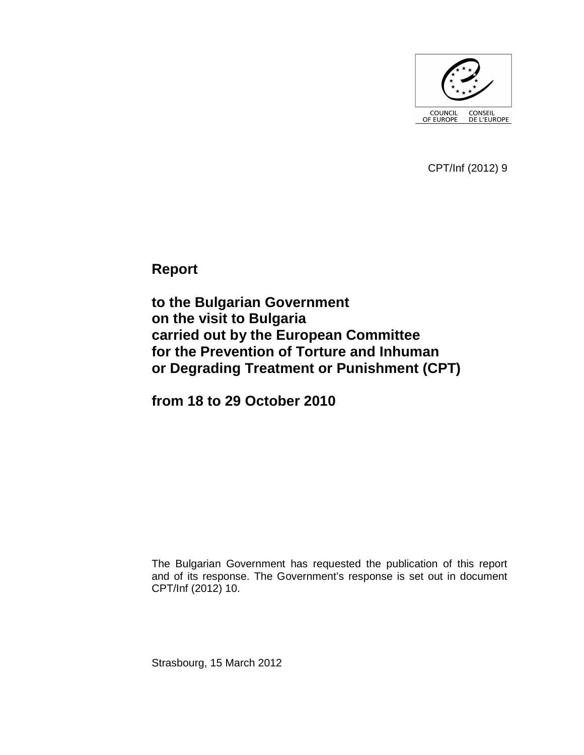

CPT/Inf (2012) 9

**Report** 

**to the Bulgarian Government on the visit to Bulgaria carried out by the European Committee for the Prevention of Torture and Inhuman or Degrading Treatment or Punishment (CPT)** 

**from 18 to 29 October 2010** 

The Bulgarian Government has requested the publication of this report and of its response. The Government's response is set out in document CPT/Inf (2012) 10.

Strasbourg, 15 March 2012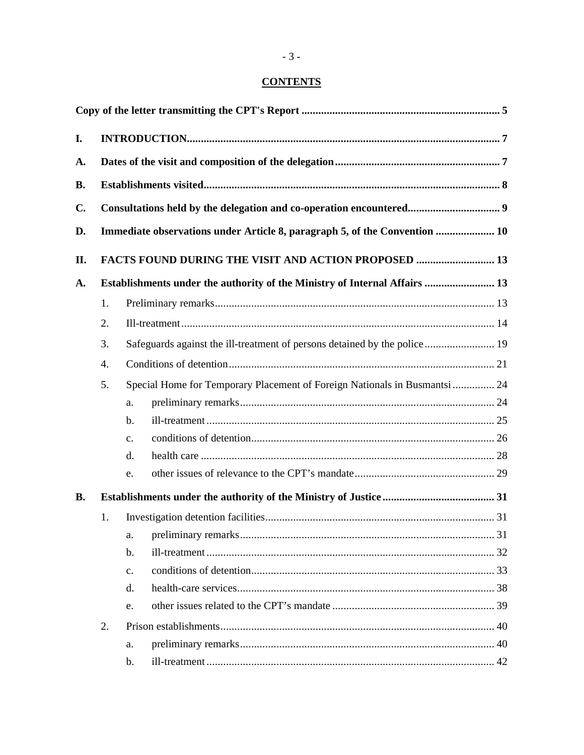# **CONTENTS**

| I.             |                                                                            |                                                                            |  |  |  |  |  |  |  |  |
|----------------|----------------------------------------------------------------------------|----------------------------------------------------------------------------|--|--|--|--|--|--|--|--|
| A.             |                                                                            |                                                                            |  |  |  |  |  |  |  |  |
| <b>B.</b>      |                                                                            |                                                                            |  |  |  |  |  |  |  |  |
| $\mathbf{C}$ . |                                                                            |                                                                            |  |  |  |  |  |  |  |  |
| D.             | Immediate observations under Article 8, paragraph 5, of the Convention  10 |                                                                            |  |  |  |  |  |  |  |  |
| II.            |                                                                            | <b>FACTS FOUND DURING THE VISIT AND ACTION PROPOSED  13</b>                |  |  |  |  |  |  |  |  |
| A.             |                                                                            | Establishments under the authority of the Ministry of Internal Affairs  13 |  |  |  |  |  |  |  |  |
|                | 1.                                                                         |                                                                            |  |  |  |  |  |  |  |  |
|                | 2.                                                                         |                                                                            |  |  |  |  |  |  |  |  |
|                | 3.                                                                         | Safeguards against the ill-treatment of persons detained by the police 19  |  |  |  |  |  |  |  |  |
|                | 4.                                                                         |                                                                            |  |  |  |  |  |  |  |  |
|                | 5.                                                                         | Special Home for Temporary Placement of Foreign Nationals in Busmantsi  24 |  |  |  |  |  |  |  |  |
|                |                                                                            | a.                                                                         |  |  |  |  |  |  |  |  |
|                |                                                                            | $b$ .                                                                      |  |  |  |  |  |  |  |  |
|                |                                                                            | $\mathbf{c}$ .                                                             |  |  |  |  |  |  |  |  |
|                |                                                                            | d.                                                                         |  |  |  |  |  |  |  |  |
|                |                                                                            | e.                                                                         |  |  |  |  |  |  |  |  |
| <b>B.</b>      |                                                                            |                                                                            |  |  |  |  |  |  |  |  |
|                | 1.                                                                         |                                                                            |  |  |  |  |  |  |  |  |
|                |                                                                            | a.                                                                         |  |  |  |  |  |  |  |  |
|                |                                                                            | b.                                                                         |  |  |  |  |  |  |  |  |
|                |                                                                            | $\mathbf{c}$ .                                                             |  |  |  |  |  |  |  |  |
|                |                                                                            | d.                                                                         |  |  |  |  |  |  |  |  |
|                |                                                                            | e.                                                                         |  |  |  |  |  |  |  |  |
|                | 2.                                                                         |                                                                            |  |  |  |  |  |  |  |  |
|                |                                                                            | a.                                                                         |  |  |  |  |  |  |  |  |
|                |                                                                            | b.                                                                         |  |  |  |  |  |  |  |  |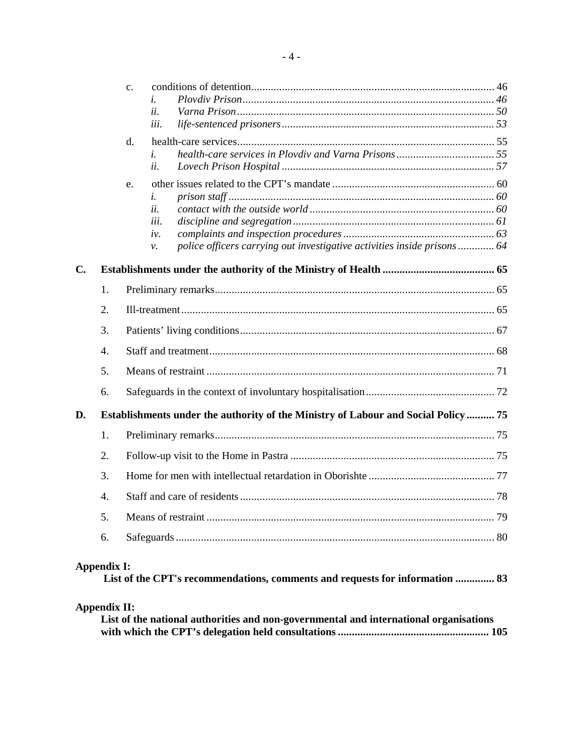|               |                    | $\mathbf{C}$ .                                                                     |  |  |  |  |
|---------------|--------------------|------------------------------------------------------------------------------------|--|--|--|--|
|               |                    | i.                                                                                 |  |  |  |  |
|               |                    | ii.                                                                                |  |  |  |  |
|               |                    | iii.                                                                               |  |  |  |  |
|               |                    | d.                                                                                 |  |  |  |  |
|               |                    | i.                                                                                 |  |  |  |  |
|               |                    | ii.                                                                                |  |  |  |  |
|               |                    | e.                                                                                 |  |  |  |  |
|               |                    | i.                                                                                 |  |  |  |  |
|               |                    | ii.                                                                                |  |  |  |  |
|               |                    | iii.                                                                               |  |  |  |  |
|               |                    | iv.                                                                                |  |  |  |  |
|               |                    | police officers carrying out investigative activities inside prisons 64<br>ν.      |  |  |  |  |
| $C_{\bullet}$ |                    |                                                                                    |  |  |  |  |
|               | $\mathbf{1}$ .     |                                                                                    |  |  |  |  |
|               | 2.                 |                                                                                    |  |  |  |  |
|               | 3.                 |                                                                                    |  |  |  |  |
|               | $\overline{4}$ .   |                                                                                    |  |  |  |  |
|               | 5.                 |                                                                                    |  |  |  |  |
|               | 6.                 |                                                                                    |  |  |  |  |
| D.            |                    | Establishments under the authority of the Ministry of Labour and Social Policy  75 |  |  |  |  |
|               | 1.                 |                                                                                    |  |  |  |  |
|               | 2.                 |                                                                                    |  |  |  |  |
|               | 3.                 |                                                                                    |  |  |  |  |
|               | $\overline{4}$ .   |                                                                                    |  |  |  |  |
|               | 5.                 |                                                                                    |  |  |  |  |
|               | 6.                 |                                                                                    |  |  |  |  |
|               | <b>Appendix I:</b> |                                                                                    |  |  |  |  |

# **List of the CPT's recommendations, comments and requests for information .............. 83**

| <b>Appendix II:</b> |  |  |  |
|---------------------|--|--|--|

| List of the national authorities and non-governmental and international organisations |  |
|---------------------------------------------------------------------------------------|--|
|                                                                                       |  |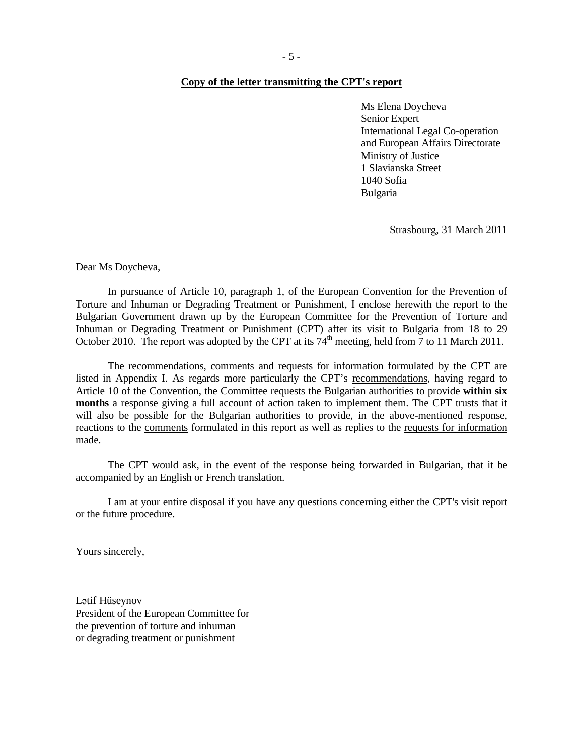#### **Copy of the letter transmitting the CPT's report**

Ms Elena Doycheva Senior Expert International Legal Co-operation and European Affairs Directorate Ministry of Justice 1 Slavianska Street 1040 Sofia Bulgaria

Strasbourg, 31 March 2011

Dear Ms Doycheva,

 In pursuance of Article 10, paragraph 1, of the European Convention for the Prevention of Torture and Inhuman or Degrading Treatment or Punishment, I enclose herewith the report to the Bulgarian Government drawn up by the European Committee for the Prevention of Torture and Inhuman or Degrading Treatment or Punishment (CPT) after its visit to Bulgaria from 18 to 29 October 2010. The report was adopted by the CPT at its  $74<sup>th</sup>$  meeting, held from 7 to 11 March 2011.

The recommendations, comments and requests for information formulated by the CPT are listed in Appendix I. As regards more particularly the CPT's recommendations, having regard to Article 10 of the Convention, the Committee requests the Bulgarian authorities to provide **within six months** a response giving a full account of action taken to implement them. The CPT trusts that it will also be possible for the Bulgarian authorities to provide, in the above-mentioned response, reactions to the comments formulated in this report as well as replies to the requests for information made.

The CPT would ask, in the event of the response being forwarded in Bulgarian, that it be accompanied by an English or French translation.

 I am at your entire disposal if you have any questions concerning either the CPT's visit report or the future procedure.

Yours sincerely,

Lətif Hüseynov President of the European Committee for the prevention of torture and inhuman or degrading treatment or punishment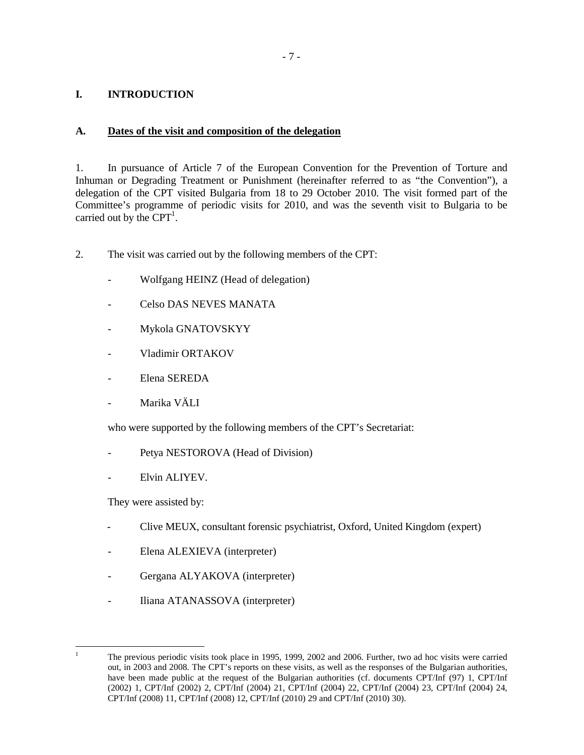### **I. INTRODUCTION**

### **A. Dates of the visit and composition of the delegation**

1. In pursuance of Article 7 of the European Convention for the Prevention of Torture and Inhuman or Degrading Treatment or Punishment (hereinafter referred to as "the Convention"), a delegation of the CPT visited Bulgaria from 18 to 29 October 2010. The visit formed part of the Committee's programme of periodic visits for 2010, and was the seventh visit to Bulgaria to be carried out by the  $CPT<sup>1</sup>$ .

- 2. The visit was carried out by the following members of the CPT:
	- Wolfgang HEINZ (Head of delegation)
	- Celso DAS NEVES MANATA
	- Mykola GNATOVSKYY
	- Vladimir ORTAKOV
	- Elena SEREDA
	- Marika VÄLI

who were supported by the following members of the CPT's Secretariat:

- Petya NESTOROVA (Head of Division)
- Elvin ALIYEV.

They were assisted by:

- Clive MEUX, consultant forensic psychiatrist, Oxford, United Kingdom (expert)
- Elena ALEXIEVA (interpreter)
- Gergana ALYAKOVA (interpreter)
- Iliana ATANASSOVA (interpreter)

 $\frac{1}{1}$  The previous periodic visits took place in 1995, 1999, 2002 and 2006. Further, two ad hoc visits were carried out, in 2003 and 2008. The CPT's reports on these visits, as well as the responses of the Bulgarian authorities, have been made public at the request of the Bulgarian authorities (cf. documents CPT/Inf (97) 1, CPT/Inf (2002) 1, CPT/Inf (2002) 2, CPT/Inf (2004) 21, CPT/Inf (2004) 22, CPT/Inf (2004) 23, CPT/Inf (2004) 24, CPT/Inf (2008) 11, CPT/Inf (2008) 12, CPT/Inf (2010) 29 and CPT/Inf (2010) 30).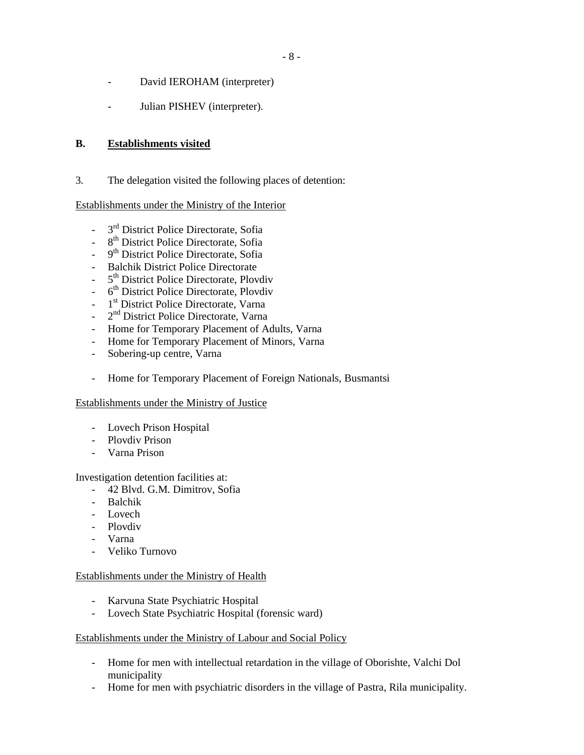- David IEROHAM (interpreter)
- Julian PISHEV (interpreter).

### **B. Establishments visited**

3. The delegation visited the following places of detention:

#### Establishments under the Ministry of the Interior

- 3<sup>rd</sup> District Police Directorate, Sofia
- 8<sup>th</sup> District Police Directorate, Sofia
- 9 9<sup>th</sup> District Police Directorate, Sofia
- Balchik District Police Directorate
- 5 5<sup>th</sup> District Police Directorate, Plovdiv
- 6<sup>th</sup> District Police Directorate, Plovdiv
- 1 1<sup>st</sup> District Police Directorate, Varna
- 2 2<sup>nd</sup> District Police Directorate, Varna
- Home for Temporary Placement of Adults, Varna
- Home for Temporary Placement of Minors, Varna
- Sobering-up centre, Varna
- Home for Temporary Placement of Foreign Nationals, Busmantsi

#### Establishments under the Ministry of Justice

- Lovech Prison Hospital
- Plovdiv Prison
- Varna Prison

#### Investigation detention facilities at:

- 42 Blvd. G.M. Dimitrov, Sofia
- Balchik
- Lovech
- Plovdiv
- Varna
- Veliko Turnovo

#### Establishments under the Ministry of Health

- Karvuna State Psychiatric Hospital
- Lovech State Psychiatric Hospital (forensic ward)

#### Establishments under the Ministry of Labour and Social Policy

- Home for men with intellectual retardation in the village of Oborishte, Valchi Dol municipality
- Home for men with psychiatric disorders in the village of Pastra, Rila municipality.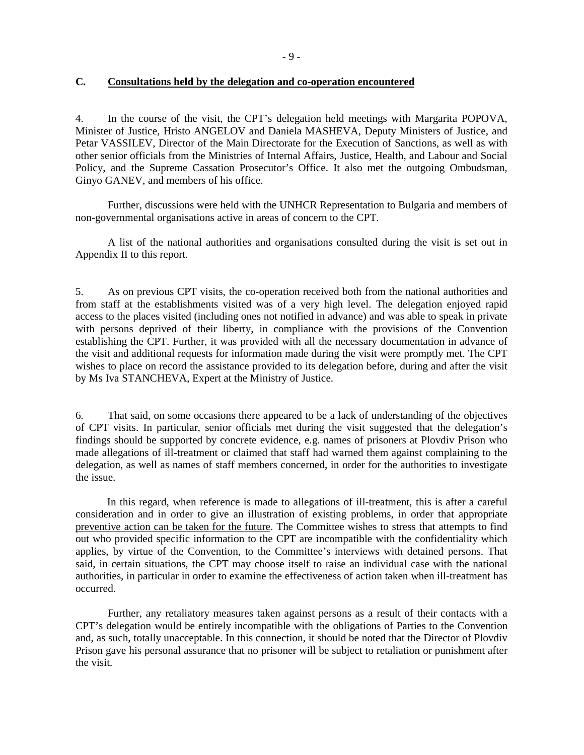#### **C. Consultations held by the delegation and co-operation encountered**

4. In the course of the visit, the CPT's delegation held meetings with Margarita POPOVA, Minister of Justice, Hristo ANGELOV and Daniela MASHEVA, Deputy Ministers of Justice, and Petar VASSILEV, Director of the Main Directorate for the Execution of Sanctions, as well as with other senior officials from the Ministries of Internal Affairs, Justice, Health, and Labour and Social Policy, and the Supreme Cassation Prosecutor's Office. It also met the outgoing Ombudsman, Ginyo GANEV, and members of his office.

Further, discussions were held with the UNHCR Representation to Bulgaria and members of non-governmental organisations active in areas of concern to the CPT.

A list of the national authorities and organisations consulted during the visit is set out in Appendix II to this report.

5. As on previous CPT visits, the co-operation received both from the national authorities and from staff at the establishments visited was of a very high level. The delegation enjoyed rapid access to the places visited (including ones not notified in advance) and was able to speak in private with persons deprived of their liberty, in compliance with the provisions of the Convention establishing the CPT. Further, it was provided with all the necessary documentation in advance of the visit and additional requests for information made during the visit were promptly met. The CPT wishes to place on record the assistance provided to its delegation before, during and after the visit by Ms Iva STANCHEVA, Expert at the Ministry of Justice.

6. That said, on some occasions there appeared to be a lack of understanding of the objectives of CPT visits. In particular, senior officials met during the visit suggested that the delegation's findings should be supported by concrete evidence, e.g. names of prisoners at Plovdiv Prison who made allegations of ill-treatment or claimed that staff had warned them against complaining to the delegation, as well as names of staff members concerned, in order for the authorities to investigate the issue.

In this regard, when reference is made to allegations of ill-treatment, this is after a careful consideration and in order to give an illustration of existing problems, in order that appropriate preventive action can be taken for the future. The Committee wishes to stress that attempts to find out who provided specific information to the CPT are incompatible with the confidentiality which applies, by virtue of the Convention, to the Committee's interviews with detained persons. That said, in certain situations, the CPT may choose itself to raise an individual case with the national authorities, in particular in order to examine the effectiveness of action taken when ill-treatment has occurred.

 Further, any retaliatory measures taken against persons as a result of their contacts with a CPT's delegation would be entirely incompatible with the obligations of Parties to the Convention and, as such, totally unacceptable. In this connection, it should be noted that the Director of Plovdiv Prison gave his personal assurance that no prisoner will be subject to retaliation or punishment after the visit.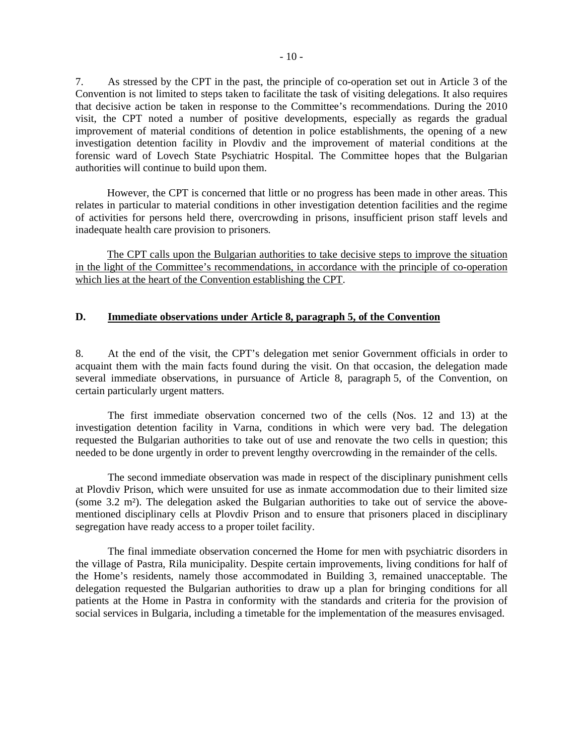7. As stressed by the CPT in the past, the principle of co-operation set out in Article 3 of the Convention is not limited to steps taken to facilitate the task of visiting delegations. It also requires that decisive action be taken in response to the Committee's recommendations. During the 2010 visit, the CPT noted a number of positive developments, especially as regards the gradual improvement of material conditions of detention in police establishments, the opening of a new investigation detention facility in Plovdiv and the improvement of material conditions at the forensic ward of Lovech State Psychiatric Hospital. The Committee hopes that the Bulgarian authorities will continue to build upon them.

However, the CPT is concerned that little or no progress has been made in other areas. This relates in particular to material conditions in other investigation detention facilities and the regime of activities for persons held there, overcrowding in prisons, insufficient prison staff levels and inadequate health care provision to prisoners.

The CPT calls upon the Bulgarian authorities to take decisive steps to improve the situation in the light of the Committee's recommendations, in accordance with the principle of co-operation which lies at the heart of the Convention establishing the CPT.

#### **D. Immediate observations under Article 8, paragraph 5, of the Convention**

8. At the end of the visit, the CPT's delegation met senior Government officials in order to acquaint them with the main facts found during the visit. On that occasion, the delegation made several immediate observations, in pursuance of Article 8, paragraph 5, of the Convention, on certain particularly urgent matters.

 The first immediate observation concerned two of the cells (Nos. 12 and 13) at the investigation detention facility in Varna, conditions in which were very bad. The delegation requested the Bulgarian authorities to take out of use and renovate the two cells in question; this needed to be done urgently in order to prevent lengthy overcrowding in the remainder of the cells.

 The second immediate observation was made in respect of the disciplinary punishment cells at Plovdiv Prison, which were unsuited for use as inmate accommodation due to their limited size (some 3.2 m²). The delegation asked the Bulgarian authorities to take out of service the abovementioned disciplinary cells at Plovdiv Prison and to ensure that prisoners placed in disciplinary segregation have ready access to a proper toilet facility.

 The final immediate observation concerned the Home for men with psychiatric disorders in the village of Pastra, Rila municipality. Despite certain improvements, living conditions for half of the Home's residents, namely those accommodated in Building 3, remained unacceptable. The delegation requested the Bulgarian authorities to draw up a plan for bringing conditions for all patients at the Home in Pastra in conformity with the standards and criteria for the provision of social services in Bulgaria, including a timetable for the implementation of the measures envisaged.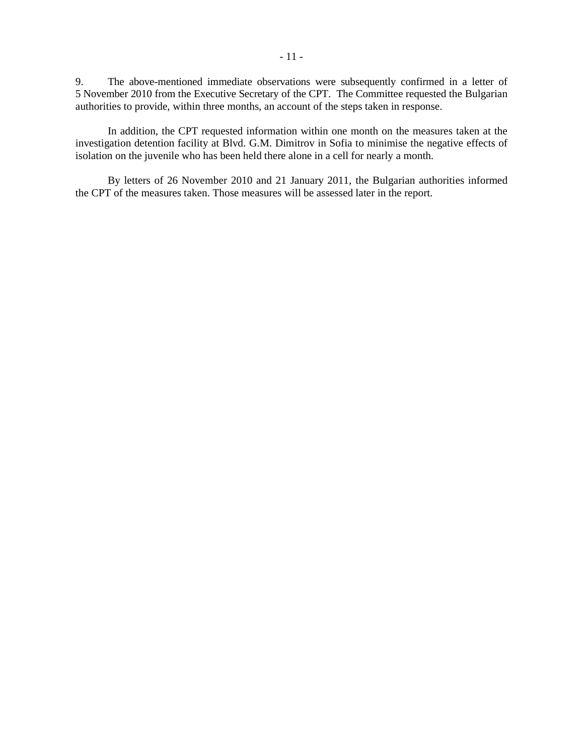9. The above-mentioned immediate observations were subsequently confirmed in a letter of 5 November 2010 from the Executive Secretary of the CPT. The Committee requested the Bulgarian authorities to provide, within three months, an account of the steps taken in response.

In addition, the CPT requested information within one month on the measures taken at the investigation detention facility at Blvd. G.M. Dimitrov in Sofia to minimise the negative effects of isolation on the juvenile who has been held there alone in a cell for nearly a month.

 By letters of 26 November 2010 and 21 January 2011, the Bulgarian authorities informed the CPT of the measures taken. Those measures will be assessed later in the report.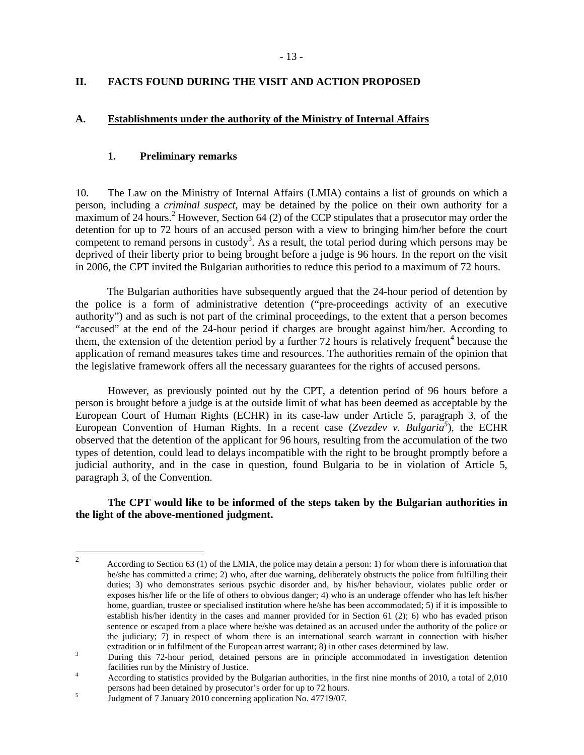### **II. FACTS FOUND DURING THE VISIT AND ACTION PROPOSED**

#### **A. Establishments under the authority of the Ministry of Internal Affairs**

#### **1. Preliminary remarks**

10. The Law on the Ministry of Internal Affairs (LMIA) contains a list of grounds on which a person, including a *criminal suspect*, may be detained by the police on their own authority for a  $\frac{1}{2}$  maximum of 24 hours.<sup>2</sup> However, Section 64 (2) of the CCP stipulates that a prosecutor may order the detention for up to 72 hours of an accused person with a view to bringing him/her before the court competent to remand persons in custody<sup>3</sup>. As a result, the total period during which persons may be deprived of their liberty prior to being brought before a judge is 96 hours. In the report on the visit in 2006, the CPT invited the Bulgarian authorities to reduce this period to a maximum of 72 hours.

The Bulgarian authorities have subsequently argued that the 24-hour period of detention by the police is a form of administrative detention ("pre-proceedings activity of an executive authority") and as such is not part of the criminal proceedings, to the extent that a person becomes "accused" at the end of the 24-hour period if charges are brought against him/her. According to them, the extension of the detention period by a further 72 hours is relatively frequent<sup>4</sup> because the application of remand measures takes time and resources. The authorities remain of the opinion that the legislative framework offers all the necessary guarantees for the rights of accused persons.

 However, as previously pointed out by the CPT, a detention period of 96 hours before a person is brought before a judge is at the outside limit of what has been deemed as acceptable by the European Court of Human Rights (ECHR) in its case-law under Article 5, paragraph 3, of the European Convention of Human Rights. In a recent case (*Zvezdev v. Bulgaria<sup>5</sup>* ), the ECHR observed that the detention of the applicant for 96 hours, resulting from the accumulation of the two types of detention, could lead to delays incompatible with the right to be brought promptly before a judicial authority, and in the case in question, found Bulgaria to be in violation of Article 5, paragraph 3, of the Convention.

**The CPT would like to be informed of the steps taken by the Bulgarian authorities in the light of the above-mentioned judgment.** 

 $\frac{1}{2}$  According to Section 63 (1) of the LMIA, the police may detain a person: 1) for whom there is information that he/she has committed a crime; 2) who, after due warning, deliberately obstructs the police from fulfilling their duties; 3) who demonstrates serious psychic disorder and, by his/her behaviour, violates public order or exposes his/her life or the life of others to obvious danger; 4) who is an underage offender who has left his/her home, guardian, trustee or specialised institution where he/she has been accommodated; 5) if it is impossible to establish his/her identity in the cases and manner provided for in Section 61 (2); 6) who has evaded prison sentence or escaped from a place where he/she was detained as an accused under the authority of the police or the judiciary; 7) in respect of whom there is an international search warrant in connection with his/her extradition or in fulfilment of the European arrest warrant; 8) in other cases determined by law.

<sup>3</sup> During this 72-hour period, detained persons are in principle accommodated in investigation detention facilities run by the Ministry of Justice.

<sup>4</sup> According to statistics provided by the Bulgarian authorities, in the first nine months of 2010, a total of 2,010 persons had been detained by prosecutor's order for up to 72 hours.

<sup>5</sup> Judgment of 7 January 2010 concerning application No. 47719/07.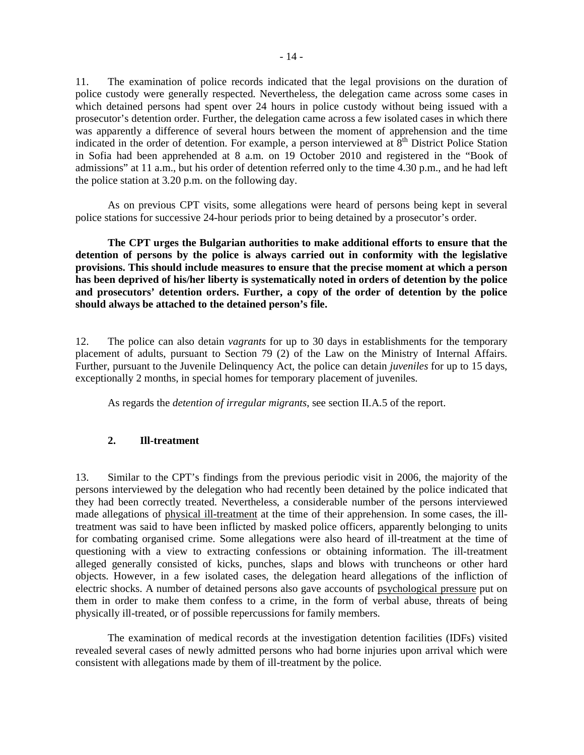11. The examination of police records indicated that the legal provisions on the duration of police custody were generally respected. Nevertheless, the delegation came across some cases in which detained persons had spent over 24 hours in police custody without being issued with a prosecutor's detention order. Further, the delegation came across a few isolated cases in which there was apparently a difference of several hours between the moment of apprehension and the time indicated in the order of detention. For example, a person interviewed at  $8<sup>th</sup>$  District Police Station in Sofia had been apprehended at 8 a.m. on 19 October 2010 and registered in the "Book of admissions" at 11 a.m., but his order of detention referred only to the time 4.30 p.m., and he had left the police station at 3.20 p.m. on the following day.

 As on previous CPT visits, some allegations were heard of persons being kept in several police stations for successive 24-hour periods prior to being detained by a prosecutor's order.

 **The CPT urges the Bulgarian authorities to make additional efforts to ensure that the detention of persons by the police is always carried out in conformity with the legislative provisions. This should include measures to ensure that the precise moment at which a person has been deprived of his/her liberty is systematically noted in orders of detention by the police and prosecutors' detention orders. Further, a copy of the order of detention by the police should always be attached to the detained person's file.** 

12. The police can also detain *vagrants* for up to 30 days in establishments for the temporary placement of adults, pursuant to Section 79 (2) of the Law on the Ministry of Internal Affairs. Further, pursuant to the Juvenile Delinquency Act, the police can detain *juveniles* for up to 15 days, exceptionally 2 months, in special homes for temporary placement of juveniles.

As regards the *detention of irregular migrants*, see section II.A.5 of the report.

#### **2. Ill-treatment**

13. Similar to the CPT's findings from the previous periodic visit in 2006, the majority of the persons interviewed by the delegation who had recently been detained by the police indicated that they had been correctly treated. Nevertheless, a considerable number of the persons interviewed made allegations of physical ill-treatment at the time of their apprehension. In some cases, the illtreatment was said to have been inflicted by masked police officers, apparently belonging to units for combating organised crime. Some allegations were also heard of ill-treatment at the time of questioning with a view to extracting confessions or obtaining information. The ill-treatment alleged generally consisted of kicks, punches, slaps and blows with truncheons or other hard objects. However, in a few isolated cases, the delegation heard allegations of the infliction of electric shocks. A number of detained persons also gave accounts of psychological pressure put on them in order to make them confess to a crime, in the form of verbal abuse, threats of being physically ill-treated, or of possible repercussions for family members.

 The examination of medical records at the investigation detention facilities (IDFs) visited revealed several cases of newly admitted persons who had borne injuries upon arrival which were consistent with allegations made by them of ill-treatment by the police.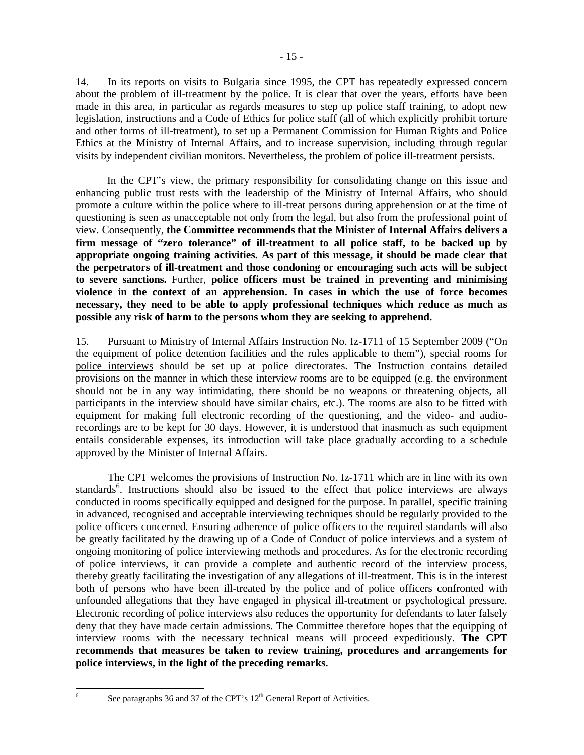14. In its reports on visits to Bulgaria since 1995, the CPT has repeatedly expressed concern about the problem of ill-treatment by the police. It is clear that over the years, efforts have been made in this area, in particular as regards measures to step up police staff training, to adopt new legislation, instructions and a Code of Ethics for police staff (all of which explicitly prohibit torture and other forms of ill-treatment), to set up a Permanent Commission for Human Rights and Police Ethics at the Ministry of Internal Affairs, and to increase supervision, including through regular visits by independent civilian monitors. Nevertheless, the problem of police ill-treatment persists.

In the CPT's view, the primary responsibility for consolidating change on this issue and enhancing public trust rests with the leadership of the Ministry of Internal Affairs, who should promote a culture within the police where to ill-treat persons during apprehension or at the time of questioning is seen as unacceptable not only from the legal, but also from the professional point of view. Consequently, **the Committee recommends that the Minister of Internal Affairs delivers a firm message of "zero tolerance" of ill-treatment to all police staff, to be backed up by appropriate ongoing training activities. As part of this message, it should be made clear that the perpetrators of ill-treatment and those condoning or encouraging such acts will be subject to severe sanctions.** Further, **police officers must be trained in preventing and minimising violence in the context of an apprehension. In cases in which the use of force becomes necessary, they need to be able to apply professional techniques which reduce as much as possible any risk of harm to the persons whom they are seeking to apprehend.**

15. Pursuant to Ministry of Internal Affairs Instruction No. Iz-1711 of 15 September 2009 ("On the equipment of police detention facilities and the rules applicable to them"), special rooms for police interviews should be set up at police directorates. The Instruction contains detailed provisions on the manner in which these interview rooms are to be equipped (e.g. the environment should not be in any way intimidating, there should be no weapons or threatening objects, all participants in the interview should have similar chairs, etc.). The rooms are also to be fitted with equipment for making full electronic recording of the questioning, and the video- and audiorecordings are to be kept for 30 days. However, it is understood that inasmuch as such equipment entails considerable expenses, its introduction will take place gradually according to a schedule approved by the Minister of Internal Affairs.

 The CPT welcomes the provisions of Instruction No. Iz-1711 which are in line with its own standards<sup>6</sup>. Instructions should also be issued to the effect that police interviews are always conducted in rooms specifically equipped and designed for the purpose. In parallel, specific training in advanced, recognised and acceptable interviewing techniques should be regularly provided to the police officers concerned. Ensuring adherence of police officers to the required standards will also be greatly facilitated by the drawing up of a Code of Conduct of police interviews and a system of ongoing monitoring of police interviewing methods and procedures. As for the electronic recording of police interviews, it can provide a complete and authentic record of the interview process, thereby greatly facilitating the investigation of any allegations of ill-treatment. This is in the interest both of persons who have been ill-treated by the police and of police officers confronted with unfounded allegations that they have engaged in physical ill-treatment or psychological pressure. Electronic recording of police interviews also reduces the opportunity for defendants to later falsely deny that they have made certain admissions. The Committee therefore hopes that the equipping of interview rooms with the necessary technical means will proceed expeditiously. **The CPT recommends that measures be taken to review training, procedures and arrangements for police interviews, in the light of the preceding remarks.**

6

See paragraphs 36 and 37 of the CPT's  $12<sup>th</sup>$  General Report of Activities.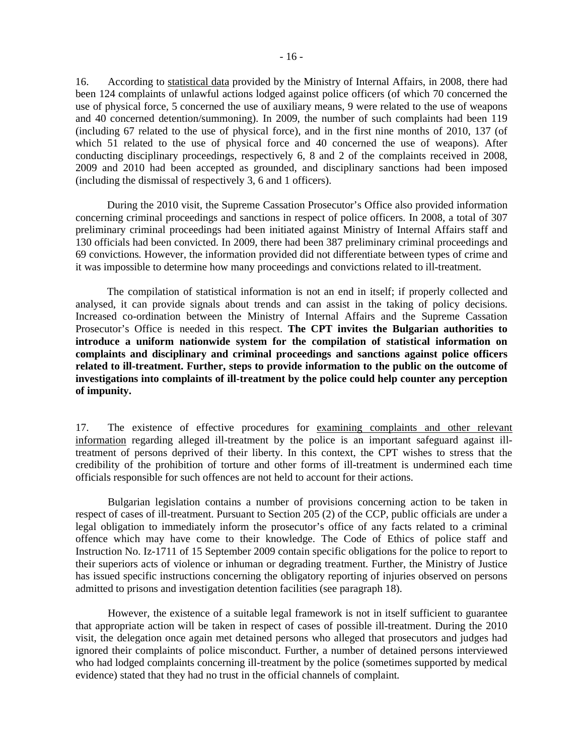16. According to statistical data provided by the Ministry of Internal Affairs, in 2008, there had been 124 complaints of unlawful actions lodged against police officers (of which 70 concerned the use of physical force, 5 concerned the use of auxiliary means, 9 were related to the use of weapons and 40 concerned detention/summoning). In 2009, the number of such complaints had been 119 (including 67 related to the use of physical force), and in the first nine months of 2010, 137 (of which 51 related to the use of physical force and 40 concerned the use of weapons). After conducting disciplinary proceedings, respectively 6, 8 and 2 of the complaints received in 2008, 2009 and 2010 had been accepted as grounded, and disciplinary sanctions had been imposed (including the dismissal of respectively 3, 6 and 1 officers).

During the 2010 visit, the Supreme Cassation Prosecutor's Office also provided information concerning criminal proceedings and sanctions in respect of police officers. In 2008, a total of 307 preliminary criminal proceedings had been initiated against Ministry of Internal Affairs staff and 130 officials had been convicted. In 2009, there had been 387 preliminary criminal proceedings and 69 convictions. However, the information provided did not differentiate between types of crime and it was impossible to determine how many proceedings and convictions related to ill-treatment.

The compilation of statistical information is not an end in itself; if properly collected and analysed, it can provide signals about trends and can assist in the taking of policy decisions. Increased co-ordination between the Ministry of Internal Affairs and the Supreme Cassation Prosecutor's Office is needed in this respect. **The CPT invites the Bulgarian authorities to introduce a uniform nationwide system for the compilation of statistical information on complaints and disciplinary and criminal proceedings and sanctions against police officers related to ill-treatment. Further, steps to provide information to the public on the outcome of investigations into complaints of ill-treatment by the police could help counter any perception of impunity.**

17. The existence of effective procedures for examining complaints and other relevant information regarding alleged ill-treatment by the police is an important safeguard against illtreatment of persons deprived of their liberty. In this context, the CPT wishes to stress that the credibility of the prohibition of torture and other forms of ill-treatment is undermined each time officials responsible for such offences are not held to account for their actions.

 Bulgarian legislation contains a number of provisions concerning action to be taken in respect of cases of ill-treatment. Pursuant to Section 205 (2) of the CCP, public officials are under a legal obligation to immediately inform the prosecutor's office of any facts related to a criminal offence which may have come to their knowledge. The Code of Ethics of police staff and Instruction No. Iz-1711 of 15 September 2009 contain specific obligations for the police to report to their superiors acts of violence or inhuman or degrading treatment. Further, the Ministry of Justice has issued specific instructions concerning the obligatory reporting of injuries observed on persons admitted to prisons and investigation detention facilities (see paragraph 18).

 However, the existence of a suitable legal framework is not in itself sufficient to guarantee that appropriate action will be taken in respect of cases of possible ill-treatment. During the 2010 visit, the delegation once again met detained persons who alleged that prosecutors and judges had ignored their complaints of police misconduct. Further, a number of detained persons interviewed who had lodged complaints concerning ill-treatment by the police (sometimes supported by medical evidence) stated that they had no trust in the official channels of complaint.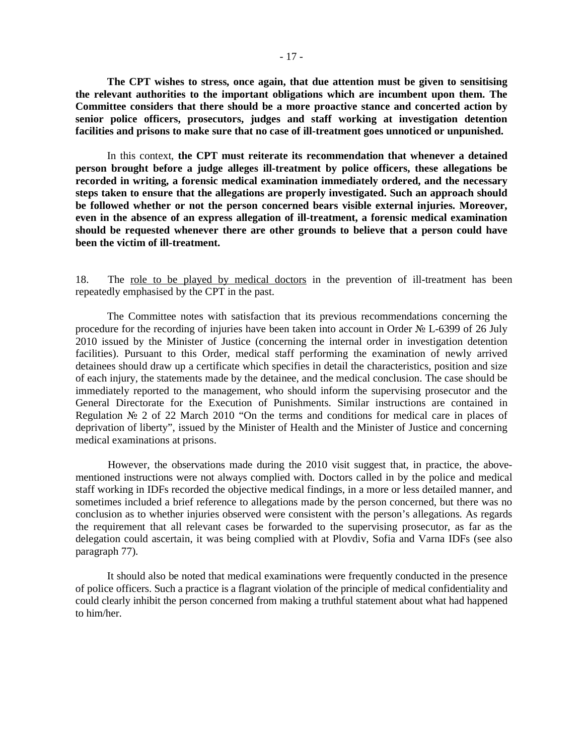**The CPT wishes to stress, once again, that due attention must be given to sensitising the relevant authorities to the important obligations which are incumbent upon them. The Committee considers that there should be a more proactive stance and concerted action by senior police officers, prosecutors, judges and staff working at investigation detention facilities and prisons to make sure that no case of ill-treatment goes unnoticed or unpunished.** 

In this context, **the CPT must reiterate its recommendation that whenever a detained person brought before a judge alleges ill-treatment by police officers, these allegations be recorded in writing, a forensic medical examination immediately ordered, and the necessary steps taken to ensure that the allegations are properly investigated. Such an approach should be followed whether or not the person concerned bears visible external injuries. Moreover, even in the absence of an express allegation of ill-treatment, a forensic medical examination should be requested whenever there are other grounds to believe that a person could have been the victim of ill-treatment.**

18. The role to be played by medical doctors in the prevention of ill-treatment has been repeatedly emphasised by the CPT in the past.

The Committee notes with satisfaction that its previous recommendations concerning the procedure for the recording of injuries have been taken into account in Order № L-6399 of 26 July 2010 issued by the Minister of Justice (concerning the internal order in investigation detention facilities). Pursuant to this Order, medical staff performing the examination of newly arrived detainees should draw up a certificate which specifies in detail the characteristics, position and size of each injury, the statements made by the detainee, and the medical conclusion. The case should be immediately reported to the management, who should inform the supervising prosecutor and the General Directorate for the Execution of Punishments. Similar instructions are contained in Regulation № 2 of 22 March 2010 "On the terms and conditions for medical care in places of deprivation of liberty", issued by the Minister of Health and the Minister of Justice and concerning medical examinations at prisons.

 However, the observations made during the 2010 visit suggest that, in practice, the abovementioned instructions were not always complied with. Doctors called in by the police and medical staff working in IDFs recorded the objective medical findings, in a more or less detailed manner, and sometimes included a brief reference to allegations made by the person concerned, but there was no conclusion as to whether injuries observed were consistent with the person's allegations. As regards the requirement that all relevant cases be forwarded to the supervising prosecutor, as far as the delegation could ascertain, it was being complied with at Plovdiv, Sofia and Varna IDFs (see also paragraph 77).

It should also be noted that medical examinations were frequently conducted in the presence of police officers. Such a practice is a flagrant violation of the principle of medical confidentiality and could clearly inhibit the person concerned from making a truthful statement about what had happened to him/her.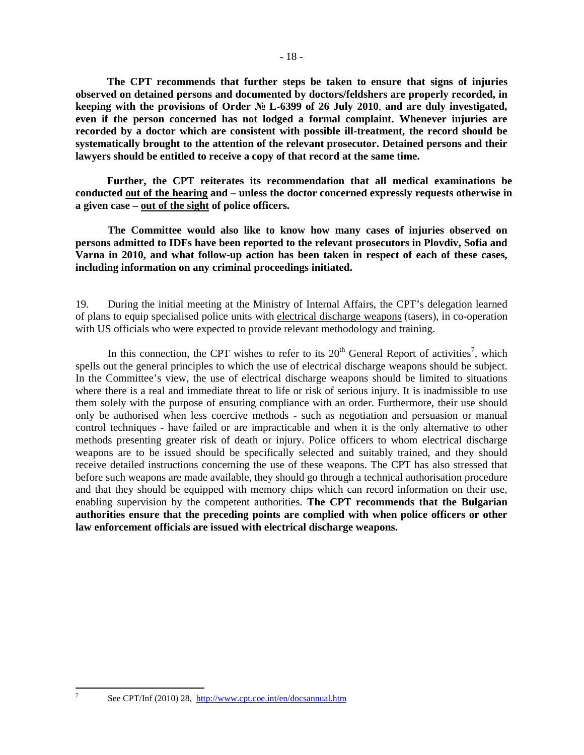**The CPT recommends that further steps be taken to ensure that signs of injuries observed on detained persons and documented by doctors/feldshers are properly recorded, in keeping with the provisions of Order** № **L-6399 of 26 July 2010**, **and are duly investigated, even if the person concerned has not lodged a formal complaint. Whenever injuries are recorded by a doctor which are consistent with possible ill-treatment, the record should be systematically brought to the attention of the relevant prosecutor. Detained persons and their lawyers should be entitled to receive a copy of that record at the same time.** 

**Further, the CPT reiterates its recommendation that all medical examinations be conducted out of the hearing and – unless the doctor concerned expressly requests otherwise in a given case – out of the sight of police officers.** 

 **The Committee would also like to know how many cases of injuries observed on persons admitted to IDFs have been reported to the relevant prosecutors in Plovdiv, Sofia and Varna in 2010, and what follow-up action has been taken in respect of each of these cases, including information on any criminal proceedings initiated.**

19. During the initial meeting at the Ministry of Internal Affairs, the CPT's delegation learned of plans to equip specialised police units with electrical discharge weapons (tasers), in co-operation with US officials who were expected to provide relevant methodology and training.

In this connection, the CPT wishes to refer to its  $20<sup>th</sup>$  General Report of activities<sup>7</sup>, which spells out the general principles to which the use of electrical discharge weapons should be subject. In the Committee's view, the use of electrical discharge weapons should be limited to situations where there is a real and immediate threat to life or risk of serious injury. It is inadmissible to use them solely with the purpose of ensuring compliance with an order. Furthermore, their use should only be authorised when less coercive methods - such as negotiation and persuasion or manual control techniques - have failed or are impracticable and when it is the only alternative to other methods presenting greater risk of death or injury. Police officers to whom electrical discharge weapons are to be issued should be specifically selected and suitably trained, and they should receive detailed instructions concerning the use of these weapons. The CPT has also stressed that before such weapons are made available, they should go through a technical authorisation procedure and that they should be equipped with memory chips which can record information on their use, enabling supervision by the competent authorities. **The CPT recommends that the Bulgarian authorities ensure that the preceding points are complied with when police officers or other law enforcement officials are issued with electrical discharge weapons.** 

-<br>7

See CPT/Inf (2010) 28, http://www.cpt.coe.int/en/docsannual.htm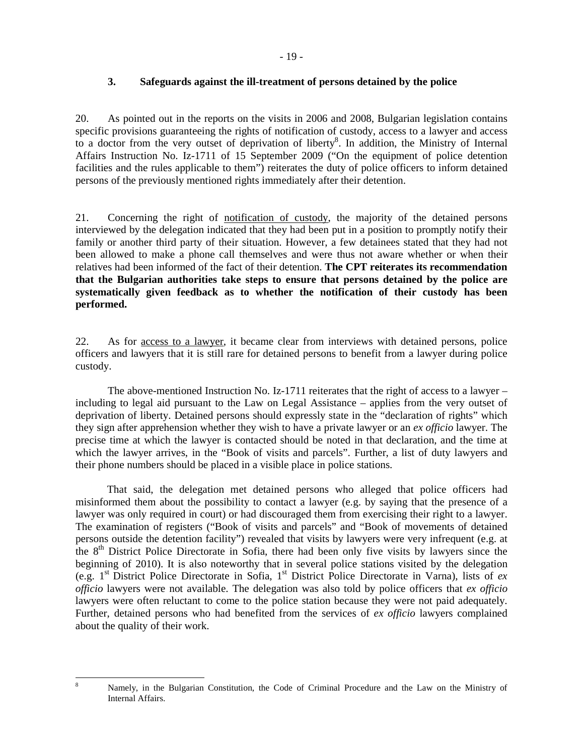### **3. Safeguards against the ill-treatment of persons detained by the police**

20. As pointed out in the reports on the visits in 2006 and 2008, Bulgarian legislation contains specific provisions guaranteeing the rights of notification of custody, access to a lawyer and access to a doctor from the very outset of deprivation of liberty<sup>8</sup>. In addition, the Ministry of Internal Affairs Instruction No. Iz-1711 of 15 September 2009 ("On the equipment of police detention facilities and the rules applicable to them") reiterates the duty of police officers to inform detained persons of the previously mentioned rights immediately after their detention.

21. Concerning the right of notification of custody, the majority of the detained persons interviewed by the delegation indicated that they had been put in a position to promptly notify their family or another third party of their situation. However, a few detainees stated that they had not been allowed to make a phone call themselves and were thus not aware whether or when their relatives had been informed of the fact of their detention. **The CPT reiterates its recommendation that the Bulgarian authorities take steps to ensure that persons detained by the police are systematically given feedback as to whether the notification of their custody has been performed.**

22. As for access to a lawyer, it became clear from interviews with detained persons, police officers and lawyers that it is still rare for detained persons to benefit from a lawyer during police custody.

The above-mentioned Instruction No. Iz-1711 reiterates that the right of access to a lawyer – including to legal aid pursuant to the Law on Legal Assistance – applies from the very outset of deprivation of liberty. Detained persons should expressly state in the "declaration of rights" which they sign after apprehension whether they wish to have a private lawyer or an *ex officio* lawyer. The precise time at which the lawyer is contacted should be noted in that declaration, and the time at which the lawyer arrives, in the "Book of visits and parcels". Further, a list of duty lawyers and their phone numbers should be placed in a visible place in police stations.

That said, the delegation met detained persons who alleged that police officers had misinformed them about the possibility to contact a lawyer (e.g. by saying that the presence of a lawyer was only required in court) or had discouraged them from exercising their right to a lawyer. The examination of registers ("Book of visits and parcels" and "Book of movements of detained persons outside the detention facility") revealed that visits by lawyers were very infrequent (e.g. at the 8<sup>th</sup> District Police Directorate in Sofia, there had been only five visits by lawyers since the beginning of 2010). It is also noteworthy that in several police stations visited by the delegation (e.g.  $1<sup>st</sup>$  District Police Directorate in Sofia,  $1<sup>st</sup>$  District Police Directorate in Varna), lists of  $ex$ *officio* lawyers were not available. The delegation was also told by police officers that *ex officio* lawyers were often reluctant to come to the police station because they were not paid adequately. Further, detained persons who had benefited from the services of *ex officio* lawyers complained about the quality of their work.

8

Namely, in the Bulgarian Constitution, the Code of Criminal Procedure and the Law on the Ministry of Internal Affairs.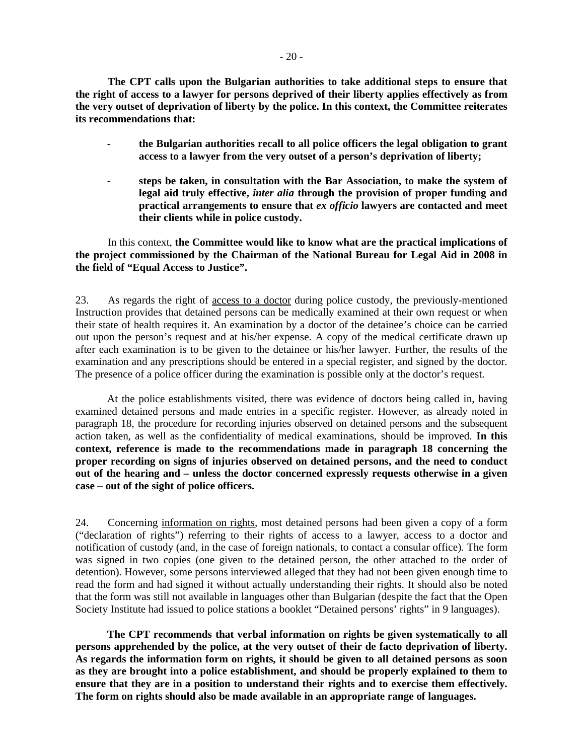**The CPT calls upon the Bulgarian authorities to take additional steps to ensure that the right of access to a lawyer for persons deprived of their liberty applies effectively as from the very outset of deprivation of liberty by the police. In this context, the Committee reiterates its recommendations that:** 

- **the Bulgarian authorities recall to all police officers the legal obligation to grant access to a lawyer from the very outset of a person's deprivation of liberty;**
- **steps be taken, in consultation with the Bar Association, to make the system of legal aid truly effective,** *inter alia* **through the provision of proper funding and practical arrangements to ensure that** *ex officio* **lawyers are contacted and meet their clients while in police custody.**

 In this context, **the Committee would like to know what are the practical implications of the project commissioned by the Chairman of the National Bureau for Legal Aid in 2008 in the field of "Equal Access to Justice".**

23. As regards the right of access to a doctor during police custody, the previously-mentioned Instruction provides that detained persons can be medically examined at their own request or when their state of health requires it. An examination by a doctor of the detainee's choice can be carried out upon the person's request and at his/her expense. A copy of the medical certificate drawn up after each examination is to be given to the detainee or his/her lawyer. Further, the results of the examination and any prescriptions should be entered in a special register, and signed by the doctor. The presence of a police officer during the examination is possible only at the doctor's request.

At the police establishments visited, there was evidence of doctors being called in, having examined detained persons and made entries in a specific register. However, as already noted in paragraph 18, the procedure for recording injuries observed on detained persons and the subsequent action taken, as well as the confidentiality of medical examinations, should be improved. **In this context, reference is made to the recommendations made in paragraph 18 concerning the proper recording on signs of injuries observed on detained persons, and the need to conduct out of the hearing and – unless the doctor concerned expressly requests otherwise in a given case – out of the sight of police officers.** 

24. Concerning information on rights*,* most detained persons had been given a copy of a form ("declaration of rights") referring to their rights of access to a lawyer, access to a doctor and notification of custody (and, in the case of foreign nationals, to contact a consular office). The form was signed in two copies (one given to the detained person, the other attached to the order of detention). However, some persons interviewed alleged that they had not been given enough time to read the form and had signed it without actually understanding their rights. It should also be noted that the form was still not available in languages other than Bulgarian (despite the fact that the Open Society Institute had issued to police stations a booklet "Detained persons' rights" in 9 languages).

**The CPT recommends that verbal information on rights be given systematically to all persons apprehended by the police, at the very outset of their de facto deprivation of liberty. As regards the information form on rights, it should be given to all detained persons as soon as they are brought into a police establishment, and should be properly explained to them to ensure that they are in a position to understand their rights and to exercise them effectively. The form on rights should also be made available in an appropriate range of languages.**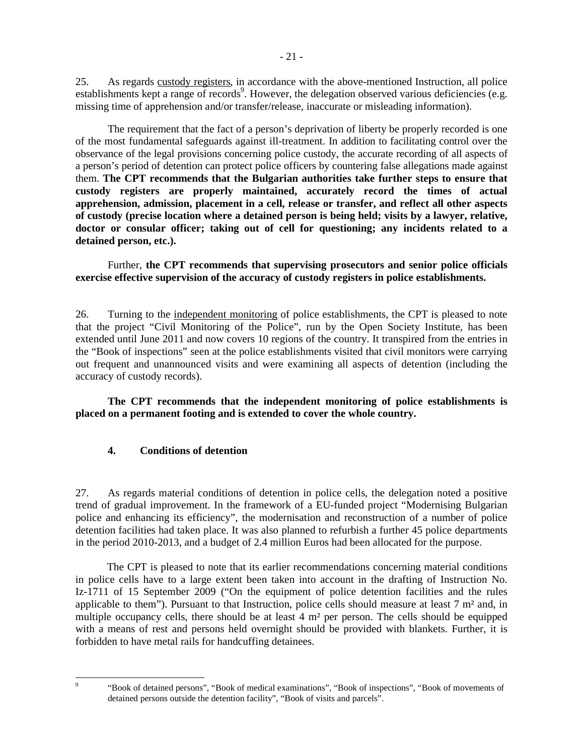25. As regards custody registers, in accordance with the above-mentioned Instruction, all police establishments kept a range of records<sup>9</sup>. However, the delegation observed various deficiencies (e.g. missing time of apprehension and/or transfer/release, inaccurate or misleading information).

The requirement that the fact of a person's deprivation of liberty be properly recorded is one of the most fundamental safeguards against ill-treatment. In addition to facilitating control over the observance of the legal provisions concerning police custody, the accurate recording of all aspects of a person's period of detention can protect police officers by countering false allegations made against them. **The CPT recommends that the Bulgarian authorities take further steps to ensure that custody registers are properly maintained, accurately record the times of actual apprehension, admission, placement in a cell, release or transfer, and reflect all other aspects of custody (precise location where a detained person is being held; visits by a lawyer, relative, doctor or consular officer; taking out of cell for questioning; any incidents related to a detained person, etc.).** 

 Further, **the CPT recommends that supervising prosecutors and senior police officials exercise effective supervision of the accuracy of custody registers in police establishments.**

26. Turning to the independent monitoring of police establishments, the CPT is pleased to note that the project "Civil Monitoring of the Police", run by the Open Society Institute, has been extended until June 2011 and now covers 10 regions of the country. It transpired from the entries in the "Book of inspections" seen at the police establishments visited that civil monitors were carrying out frequent and unannounced visits and were examining all aspects of detention (including the accuracy of custody records).

**The CPT recommends that the independent monitoring of police establishments is placed on a permanent footing and is extended to cover the whole country.** 

#### **4. Conditions of detention**

27. As regards material conditions of detention in police cells, the delegation noted a positive trend of gradual improvement. In the framework of a EU-funded project "Modernising Bulgarian police and enhancing its efficiency", the modernisation and reconstruction of a number of police detention facilities had taken place. It was also planned to refurbish a further 45 police departments in the period 2010-2013, and a budget of 2.4 million Euros had been allocated for the purpose.

The CPT is pleased to note that its earlier recommendations concerning material conditions in police cells have to a large extent been taken into account in the drafting of Instruction No. Iz-1711 of 15 September 2009 ("On the equipment of police detention facilities and the rules applicable to them"). Pursuant to that Instruction, police cells should measure at least 7 m² and, in multiple occupancy cells, there should be at least  $4 \text{ m}^2$  per person. The cells should be equipped with a means of rest and persons held overnight should be provided with blankets. Further, it is forbidden to have metal rails for handcuffing detainees.

-<br>9

 <sup>&</sup>quot;Book of detained persons", "Book of medical examinations", "Book of inspections", "Book of movements of detained persons outside the detention facility", "Book of visits and parcels".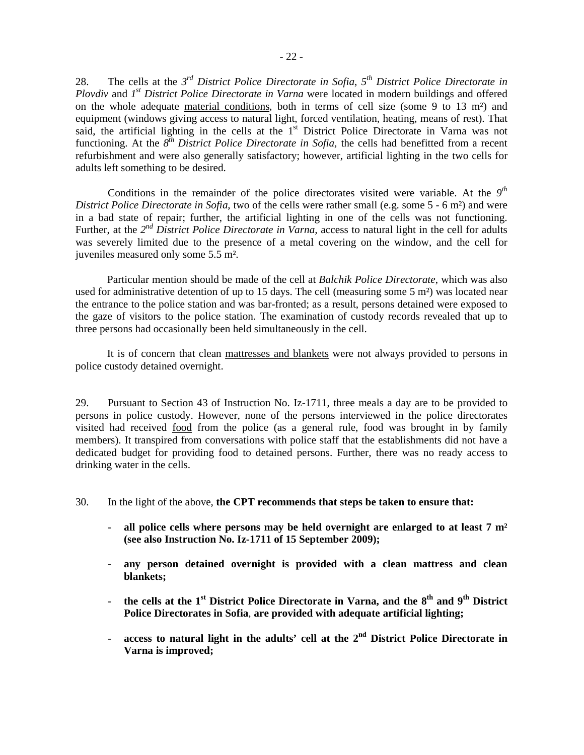28. The cells at the *3 rd District Police Directorate in Sofia*, *5 th District Police Directorate in Plovdiv* and *1 st District Police Directorate in Varna* were located in modern buildings and offered on the whole adequate material conditions, both in terms of cell size (some 9 to 13 m²) and equipment (windows giving access to natural light, forced ventilation, heating, means of rest). That said, the artificial lighting in the cells at the 1<sup>st</sup> District Police Directorate in Varna was not functioning. At the *8<sup>th</sup> District Police Directorate in Sofia*, the cells had benefitted from a recent refurbishment and were also generally satisfactory; however, artificial lighting in the two cells for adults left something to be desired.

Conditions in the remainder of the police directorates visited were variable. At the  $9<sup>th</sup>$ *District Police Directorate in Sofia*, two of the cells were rather small (e.g. some 5 - 6 m<sup>2</sup>) and were in a bad state of repair; further, the artificial lighting in one of the cells was not functioning. Further, at the 2<sup>nd</sup> District Police Directorate in Varna, access to natural light in the cell for adults was severely limited due to the presence of a metal covering on the window, and the cell for juveniles measured only some 5.5 m².

Particular mention should be made of the cell at *Balchik Police Directorate*, which was also used for administrative detention of up to 15 days. The cell (measuring some  $5 \text{ m}^2$ ) was located near the entrance to the police station and was bar-fronted; as a result, persons detained were exposed to the gaze of visitors to the police station. The examination of custody records revealed that up to three persons had occasionally been held simultaneously in the cell.

It is of concern that clean mattresses and blankets were not always provided to persons in police custody detained overnight.

29. Pursuant to Section 43 of Instruction No. Iz-1711, three meals a day are to be provided to persons in police custody. However, none of the persons interviewed in the police directorates visited had received food from the police (as a general rule, food was brought in by family members). It transpired from conversations with police staff that the establishments did not have a dedicated budget for providing food to detained persons. Further, there was no ready access to drinking water in the cells.

30. In the light of the above, **the CPT recommends that steps be taken to ensure that:**

- all police cells where persons may be held overnight are enlarged to at least 7 m<sup>2</sup> **(see also Instruction No. Iz-1711 of 15 September 2009);**
- any person detained overnight is provided with a clean mattress and clean **blankets;**
- **the cells at the 1st District Police Directorate in Varna, and the 8th and 9th District Police Directorates in Sofia**, **are provided with adequate artificial lighting;**
- **access to natural light in the adults' cell at the 2<sup>nd</sup> District Police Directorate in Varna is improved;**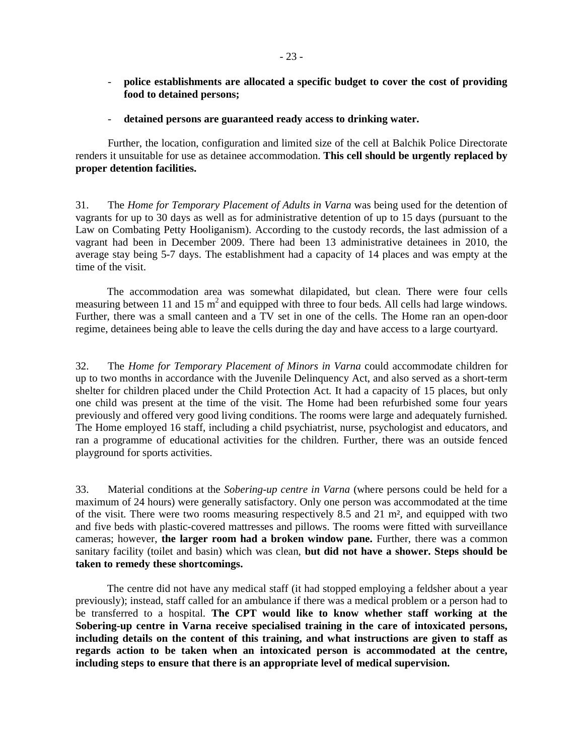- **police establishments are allocated a specific budget to cover the cost of providing food to detained persons;**
- **detained persons are guaranteed ready access to drinking water.**

Further, the location, configuration and limited size of the cell at Balchik Police Directorate renders it unsuitable for use as detainee accommodation. **This cell should be urgently replaced by proper detention facilities.** 

31. The *Home for Temporary Placement of Adults in Varna* was being used for the detention of vagrants for up to 30 days as well as for administrative detention of up to 15 days (pursuant to the Law on Combating Petty Hooliganism). According to the custody records, the last admission of a vagrant had been in December 2009. There had been 13 administrative detainees in 2010, the average stay being 5-7 days. The establishment had a capacity of 14 places and was empty at the time of the visit.

The accommodation area was somewhat dilapidated, but clean. There were four cells measuring between 11 and 15  $m<sup>2</sup>$  and equipped with three to four beds. All cells had large windows. Further, there was a small canteen and a TV set in one of the cells. The Home ran an open-door regime, detainees being able to leave the cells during the day and have access to a large courtyard.

32. The *Home for Temporary Placement of Minors in Varna* could accommodate children for up to two months in accordance with the Juvenile Delinquency Act, and also served as a short-term shelter for children placed under the Child Protection Act. It had a capacity of 15 places, but only one child was present at the time of the visit. The Home had been refurbished some four years previously and offered very good living conditions. The rooms were large and adequately furnished. The Home employed 16 staff, including a child psychiatrist, nurse, psychologist and educators, and ran a programme of educational activities for the children. Further, there was an outside fenced playground for sports activities.

33. Material conditions at the *Sobering-up centre in Varna* (where persons could be held for a maximum of 24 hours) were generally satisfactory. Only one person was accommodated at the time of the visit. There were two rooms measuring respectively 8.5 and 21 m², and equipped with two and five beds with plastic-covered mattresses and pillows. The rooms were fitted with surveillance cameras; however, **the larger room had a broken window pane.** Further, there was a common sanitary facility (toilet and basin) which was clean, **but did not have a shower. Steps should be taken to remedy these shortcomings.**

The centre did not have any medical staff (it had stopped employing a feldsher about a year previously); instead, staff called for an ambulance if there was a medical problem or a person had to be transferred to a hospital. **The CPT would like to know whether staff working at the Sobering-up centre in Varna receive specialised training in the care of intoxicated persons, including details on the content of this training, and what instructions are given to staff as regards action to be taken when an intoxicated person is accommodated at the centre, including steps to ensure that there is an appropriate level of medical supervision.**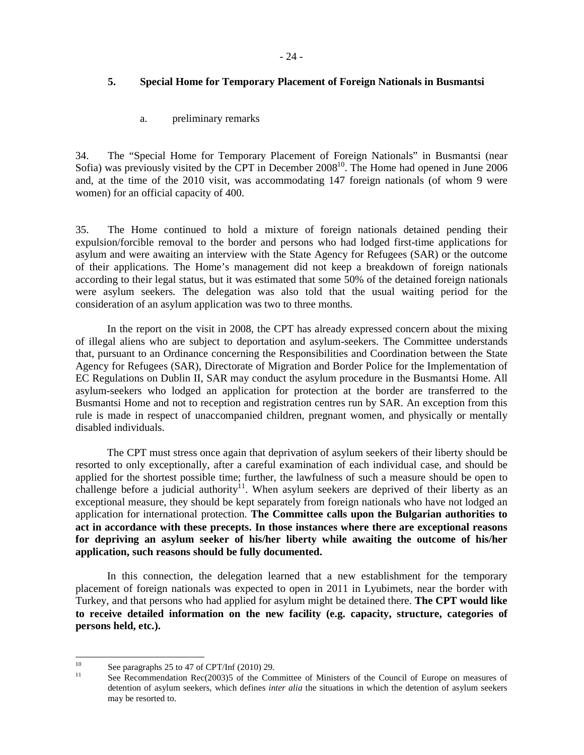### **5. Special Home for Temporary Placement of Foreign Nationals in Busmantsi**

#### a. preliminary remarks

34. The "Special Home for Temporary Placement of Foreign Nationals" in Busmantsi (near Sofia) was previously visited by the CPT in December  $2008^{10}$ . The Home had opened in June 2006 and, at the time of the 2010 visit, was accommodating 147 foreign nationals (of whom 9 were women) for an official capacity of 400.

35. The Home continued to hold a mixture of foreign nationals detained pending their expulsion/forcible removal to the border and persons who had lodged first-time applications for asylum and were awaiting an interview with the State Agency for Refugees (SAR) or the outcome of their applications. The Home's management did not keep a breakdown of foreign nationals according to their legal status, but it was estimated that some 50% of the detained foreign nationals were asylum seekers. The delegation was also told that the usual waiting period for the consideration of an asylum application was two to three months.

In the report on the visit in 2008, the CPT has already expressed concern about the mixing of illegal aliens who are subject to deportation and asylum-seekers. The Committee understands that, pursuant to an Ordinance concerning the Responsibilities and Coordination between the State Agency for Refugees (SAR), Directorate of Migration and Border Police for the Implementation of EC Regulations on Dublin II, SAR may conduct the asylum procedure in the Busmantsi Home. All asylum-seekers who lodged an application for protection at the border are transferred to the Busmantsi Home and not to reception and registration centres run by SAR. An exception from this rule is made in respect of unaccompanied children, pregnant women, and physically or mentally disabled individuals.

The CPT must stress once again that deprivation of asylum seekers of their liberty should be resorted to only exceptionally, after a careful examination of each individual case, and should be applied for the shortest possible time; further, the lawfulness of such a measure should be open to challenge before a judicial authority<sup>11</sup>. When asylum seekers are deprived of their liberty as an exceptional measure, they should be kept separately from foreign nationals who have not lodged an application for international protection. **The Committee calls upon the Bulgarian authorities to act in accordance with these precepts. In those instances where there are exceptional reasons for depriving an asylum seeker of his/her liberty while awaiting the outcome of his/her application, such reasons should be fully documented.** 

In this connection, the delegation learned that a new establishment for the temporary placement of foreign nationals was expected to open in 2011 in Lyubimets, near the border with Turkey, and that persons who had applied for asylum might be detained there. **The CPT would like to receive detailed information on the new facility (e.g. capacity, structure, categories of persons held, etc.).** 

 $10\,$ <sup>10</sup> See paragraphs 25 to 47 of CPT/Inf (2010) 29.

See Recommendation Rec(2003)5 of the Committee of Ministers of the Council of Europe on measures of detention of asylum seekers, which defines *inter alia* the situations in which the detention of asylum seekers may be resorted to.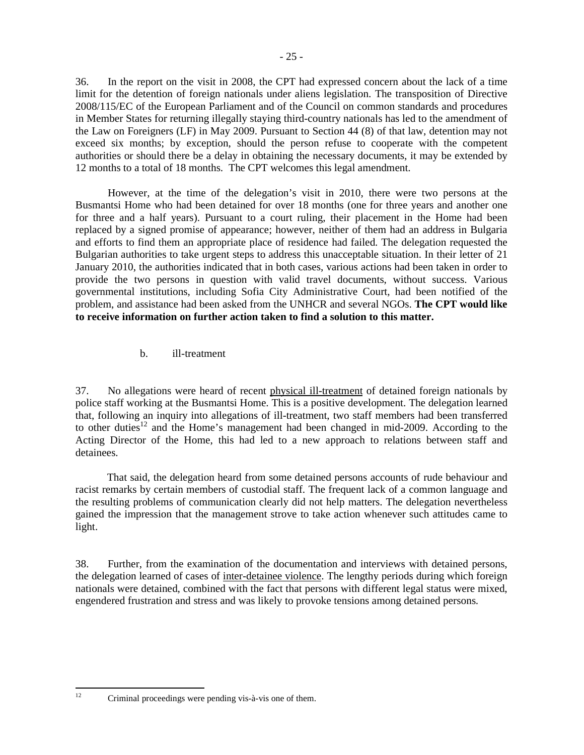36. In the report on the visit in 2008, the CPT had expressed concern about the lack of a time limit for the detention of foreign nationals under aliens legislation. The transposition of Directive 2008/115/EC of the European Parliament and of the Council on common standards and procedures in Member States for returning illegally staying third-country nationals has led to the amendment of the Law on Foreigners (LF) in May 2009. Pursuant to Section 44 (8) of that law, detention may not exceed six months; by exception, should the person refuse to cooperate with the competent authorities or should there be a delay in obtaining the necessary documents, it may be extended by 12 months to a total of 18 months. The CPT welcomes this legal amendment.

 However, at the time of the delegation's visit in 2010, there were two persons at the Busmantsi Home who had been detained for over 18 months (one for three years and another one for three and a half years). Pursuant to a court ruling, their placement in the Home had been replaced by a signed promise of appearance; however, neither of them had an address in Bulgaria and efforts to find them an appropriate place of residence had failed. The delegation requested the Bulgarian authorities to take urgent steps to address this unacceptable situation. In their letter of 21 January 2010, the authorities indicated that in both cases, various actions had been taken in order to provide the two persons in question with valid travel documents, without success. Various governmental institutions, including Sofia City Administrative Court, had been notified of the problem, and assistance had been asked from the UNHCR and several NGOs. **The CPT would like to receive information on further action taken to find a solution to this matter.**

b. ill-treatment

37. No allegations were heard of recent physical ill-treatment of detained foreign nationals by police staff working at the Busmantsi Home. This is a positive development. The delegation learned that, following an inquiry into allegations of ill-treatment, two staff members had been transferred to other duties<sup>12</sup> and the Home's management had been changed in mid-2009. According to the Acting Director of the Home, this had led to a new approach to relations between staff and detainees.

That said, the delegation heard from some detained persons accounts of rude behaviour and racist remarks by certain members of custodial staff. The frequent lack of a common language and the resulting problems of communication clearly did not help matters. The delegation nevertheless gained the impression that the management strove to take action whenever such attitudes came to light.

38. Further, from the examination of the documentation and interviews with detained persons, the delegation learned of cases of inter-detainee violence. The lengthy periods during which foreign nationals were detained, combined with the fact that persons with different legal status were mixed, engendered frustration and stress and was likely to provoke tensions among detained persons.

<sup>12</sup> 

Criminal proceedings were pending vis-à-vis one of them.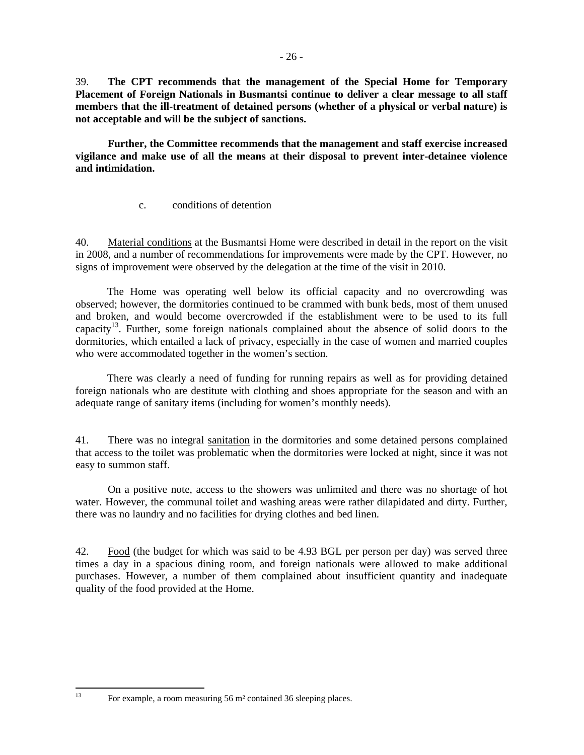39. **The CPT recommends that the management of the Special Home for Temporary Placement of Foreign Nationals in Busmantsi continue to deliver a clear message to all staff members that the ill-treatment of detained persons (whether of a physical or verbal nature) is not acceptable and will be the subject of sanctions.** 

 **Further, the Committee recommends that the management and staff exercise increased vigilance and make use of all the means at their disposal to prevent inter-detainee violence and intimidation.** 

c. conditions of detention

40. Material conditions at the Busmantsi Home were described in detail in the report on the visit in 2008, and a number of recommendations for improvements were made by the CPT. However, no signs of improvement were observed by the delegation at the time of the visit in 2010.

The Home was operating well below its official capacity and no overcrowding was observed; however, the dormitories continued to be crammed with bunk beds, most of them unused and broken, and would become overcrowded if the establishment were to be used to its full capacity<sup>13</sup>. Further, some foreign nationals complained about the absence of solid doors to the dormitories, which entailed a lack of privacy, especially in the case of women and married couples who were accommodated together in the women's section.

There was clearly a need of funding for running repairs as well as for providing detained foreign nationals who are destitute with clothing and shoes appropriate for the season and with an adequate range of sanitary items (including for women's monthly needs).

41. There was no integral sanitation in the dormitories and some detained persons complained that access to the toilet was problematic when the dormitories were locked at night, since it was not easy to summon staff.

 On a positive note, access to the showers was unlimited and there was no shortage of hot water. However, the communal toilet and washing areas were rather dilapidated and dirty. Further, there was no laundry and no facilities for drying clothes and bed linen.

42. Food (the budget for which was said to be 4.93 BGL per person per day) was served three times a day in a spacious dining room, and foreign nationals were allowed to make additional purchases. However, a number of them complained about insufficient quantity and inadequate quality of the food provided at the Home.

For example, a room measuring 56 m<sup>2</sup> contained 36 sleeping places.

13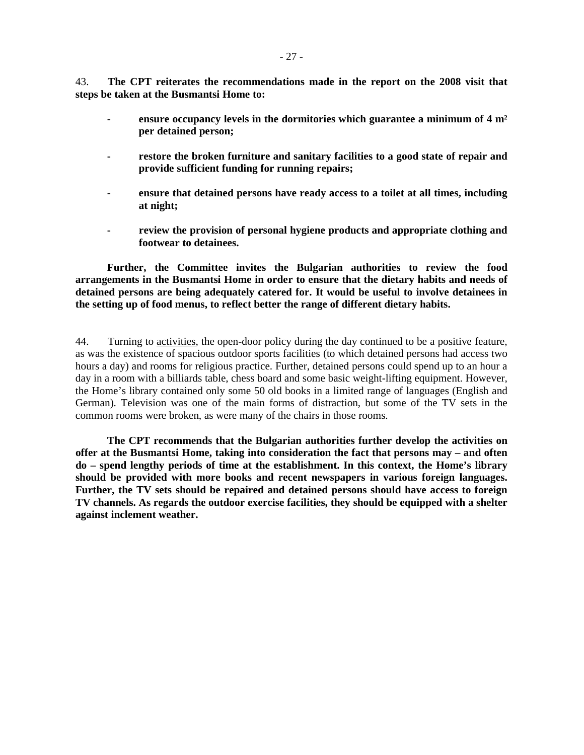43. **The CPT reiterates the recommendations made in the report on the 2008 visit that steps be taken at the Busmantsi Home to:**

- **ensure occupancy levels in the dormitories which guarantee a minimum of 4 m² per detained person;**
- **restore the broken furniture and sanitary facilities to a good state of repair and provide sufficient funding for running repairs;**
- **ensure that detained persons have ready access to a toilet at all times, including at night;**
- **review the provision of personal hygiene products and appropriate clothing and footwear to detainees.**

**Further, the Committee invites the Bulgarian authorities to review the food arrangements in the Busmantsi Home in order to ensure that the dietary habits and needs of detained persons are being adequately catered for. It would be useful to involve detainees in the setting up of food menus, to reflect better the range of different dietary habits.**

44. Turning to activities, the open-door policy during the day continued to be a positive feature, as was the existence of spacious outdoor sports facilities (to which detained persons had access two hours a day) and rooms for religious practice. Further, detained persons could spend up to an hour a day in a room with a billiards table, chess board and some basic weight-lifting equipment. However, the Home's library contained only some 50 old books in a limited range of languages (English and German). Television was one of the main forms of distraction, but some of the TV sets in the common rooms were broken, as were many of the chairs in those rooms.

**The CPT recommends that the Bulgarian authorities further develop the activities on offer at the Busmantsi Home, taking into consideration the fact that persons may – and often do – spend lengthy periods of time at the establishment. In this context, the Home's library should be provided with more books and recent newspapers in various foreign languages. Further, the TV sets should be repaired and detained persons should have access to foreign TV channels. As regards the outdoor exercise facilities, they should be equipped with a shelter against inclement weather.**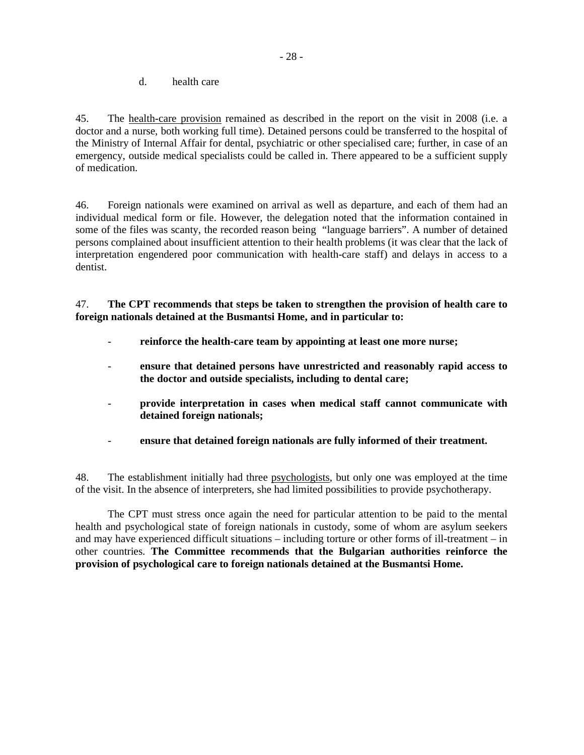d. health care

45. The health-care provision remained as described in the report on the visit in 2008 (i.e. a doctor and a nurse, both working full time). Detained persons could be transferred to the hospital of the Ministry of Internal Affair for dental, psychiatric or other specialised care; further, in case of an emergency, outside medical specialists could be called in. There appeared to be a sufficient supply of medication.

46. Foreign nationals were examined on arrival as well as departure, and each of them had an individual medical form or file. However, the delegation noted that the information contained in some of the files was scanty, the recorded reason being "language barriers". A number of detained persons complained about insufficient attention to their health problems (it was clear that the lack of interpretation engendered poor communication with health-care staff) and delays in access to a dentist.

47. **The CPT recommends that steps be taken to strengthen the provision of health care to foreign nationals detained at the Busmantsi Home, and in particular to:** 

- reinforce the health-care team by appointing at least one more nurse;
- **ensure that detained persons have unrestricted and reasonably rapid access to the doctor and outside specialists, including to dental care;**
- **provide interpretation in cases when medical staff cannot communicate with detained foreign nationals;**
- ensure that detained foreign nationals are fully informed of their treatment.

48. The establishment initially had three psychologists, but only one was employed at the time of the visit. In the absence of interpreters, she had limited possibilities to provide psychotherapy.

 The CPT must stress once again the need for particular attention to be paid to the mental health and psychological state of foreign nationals in custody, some of whom are asylum seekers and may have experienced difficult situations – including torture or other forms of ill-treatment – in other countries. **The Committee recommends that the Bulgarian authorities reinforce the provision of psychological care to foreign nationals detained at the Busmantsi Home.**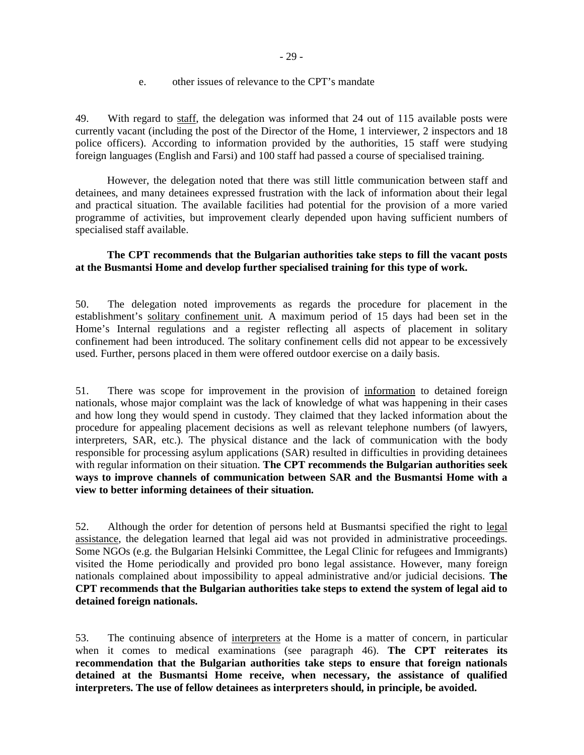49. With regard to staff, the delegation was informed that 24 out of 115 available posts were currently vacant (including the post of the Director of the Home, 1 interviewer, 2 inspectors and 18 police officers). According to information provided by the authorities, 15 staff were studying foreign languages (English and Farsi) and 100 staff had passed a course of specialised training.

However, the delegation noted that there was still little communication between staff and detainees, and many detainees expressed frustration with the lack of information about their legal and practical situation. The available facilities had potential for the provision of a more varied programme of activities, but improvement clearly depended upon having sufficient numbers of specialised staff available.

### **The CPT recommends that the Bulgarian authorities take steps to fill the vacant posts at the Busmantsi Home and develop further specialised training for this type of work.**

50. The delegation noted improvements as regards the procedure for placement in the establishment's solitary confinement unit. A maximum period of 15 days had been set in the Home's Internal regulations and a register reflecting all aspects of placement in solitary confinement had been introduced. The solitary confinement cells did not appear to be excessively used. Further, persons placed in them were offered outdoor exercise on a daily basis.

51. There was scope for improvement in the provision of information to detained foreign nationals, whose major complaint was the lack of knowledge of what was happening in their cases and how long they would spend in custody. They claimed that they lacked information about the procedure for appealing placement decisions as well as relevant telephone numbers (of lawyers, interpreters, SAR, etc.). The physical distance and the lack of communication with the body responsible for processing asylum applications (SAR) resulted in difficulties in providing detainees with regular information on their situation. **The CPT recommends the Bulgarian authorities seek ways to improve channels of communication between SAR and the Busmantsi Home with a view to better informing detainees of their situation.** 

52. Although the order for detention of persons held at Busmantsi specified the right to legal assistance, the delegation learned that legal aid was not provided in administrative proceedings. Some NGOs (e.g. the Bulgarian Helsinki Committee, the Legal Clinic for refugees and Immigrants) visited the Home periodically and provided pro bono legal assistance. However, many foreign nationals complained about impossibility to appeal administrative and/or judicial decisions. **The CPT recommends that the Bulgarian authorities take steps to extend the system of legal aid to detained foreign nationals.**

53. The continuing absence of interpreters at the Home is a matter of concern, in particular when it comes to medical examinations (see paragraph 46). **The CPT reiterates its recommendation that the Bulgarian authorities take steps to ensure that foreign nationals detained at the Busmantsi Home receive, when necessary, the assistance of qualified interpreters. The use of fellow detainees as interpreters should, in principle, be avoided.**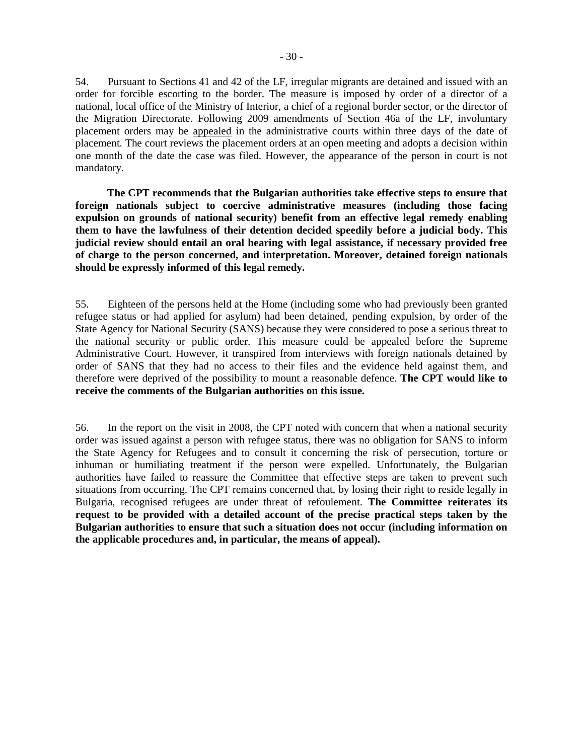54. Pursuant to Sections 41 and 42 of the LF, irregular migrants are detained and issued with an order for forcible escorting to the border. The measure is imposed by order of a director of a national, local office of the Ministry of Interior, a chief of a regional border sector, or the director of the Migration Directorate. Following 2009 amendments of Section 46a of the LF, involuntary placement orders may be appealed in the administrative courts within three days of the date of placement. The court reviews the placement orders at an open meeting and adopts a decision within one month of the date the case was filed. However, the appearance of the person in court is not mandatory.

**The CPT recommends that the Bulgarian authorities take effective steps to ensure that foreign nationals subject to coercive administrative measures (including those facing expulsion on grounds of national security) benefit from an effective legal remedy enabling them to have the lawfulness of their detention decided speedily before a judicial body. This judicial review should entail an oral hearing with legal assistance, if necessary provided free of charge to the person concerned, and interpretation. Moreover, detained foreign nationals should be expressly informed of this legal remedy.** 

55. Eighteen of the persons held at the Home (including some who had previously been granted refugee status or had applied for asylum) had been detained, pending expulsion, by order of the State Agency for National Security (SANS) because they were considered to pose a serious threat to the national security or public order. This measure could be appealed before the Supreme Administrative Court. However, it transpired from interviews with foreign nationals detained by order of SANS that they had no access to their files and the evidence held against them, and therefore were deprived of the possibility to mount a reasonable defence. **The CPT would like to receive the comments of the Bulgarian authorities on this issue.**

56. In the report on the visit in 2008, the CPT noted with concern that when a national security order was issued against a person with refugee status, there was no obligation for SANS to inform the State Agency for Refugees and to consult it concerning the risk of persecution, torture or inhuman or humiliating treatment if the person were expelled. Unfortunately, the Bulgarian authorities have failed to reassure the Committee that effective steps are taken to prevent such situations from occurring. The CPT remains concerned that, by losing their right to reside legally in Bulgaria, recognised refugees are under threat of refoulement. **The Committee reiterates its request to be provided with a detailed account of the precise practical steps taken by the Bulgarian authorities to ensure that such a situation does not occur (including information on the applicable procedures and, in particular, the means of appeal).**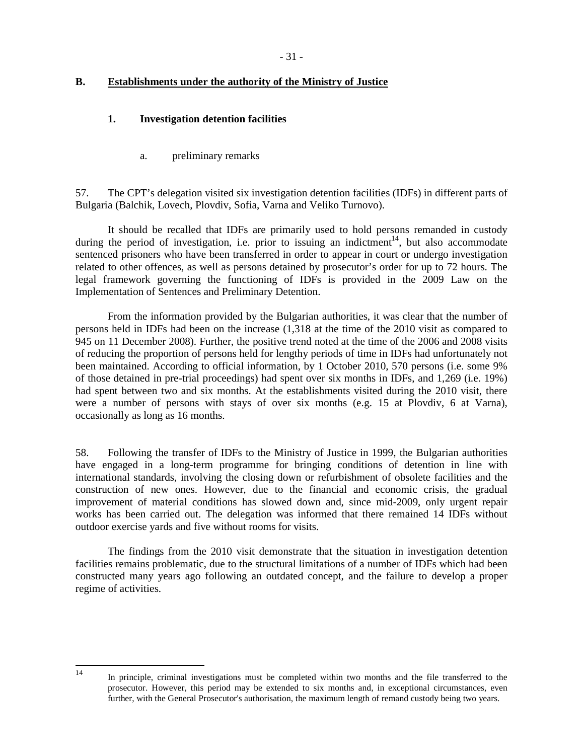## **B. Establishments under the authority of the Ministry of Justice**

## **1. Investigation detention facilities**

a. preliminary remarks

57. The CPT's delegation visited six investigation detention facilities (IDFs) in different parts of Bulgaria (Balchik, Lovech, Plovdiv, Sofia, Varna and Veliko Turnovo).

 It should be recalled that IDFs are primarily used to hold persons remanded in custody during the period of investigation, i.e. prior to issuing an indictment<sup>14</sup>, but also accommodate sentenced prisoners who have been transferred in order to appear in court or undergo investigation related to other offences, as well as persons detained by prosecutor's order for up to 72 hours. The legal framework governing the functioning of IDFs is provided in the 2009 Law on the Implementation of Sentences and Preliminary Detention.

 From the information provided by the Bulgarian authorities, it was clear that the number of persons held in IDFs had been on the increase (1,318 at the time of the 2010 visit as compared to 945 on 11 December 2008). Further, the positive trend noted at the time of the 2006 and 2008 visits of reducing the proportion of persons held for lengthy periods of time in IDFs had unfortunately not been maintained. According to official information, by 1 October 2010, 570 persons (i.e. some 9% of those detained in pre-trial proceedings) had spent over six months in IDFs, and 1,269 (i.e. 19%) had spent between two and six months. At the establishments visited during the 2010 visit, there were a number of persons with stays of over six months (e.g. 15 at Plovdiv, 6 at Varna), occasionally as long as 16 months.

58. Following the transfer of IDFs to the Ministry of Justice in 1999, the Bulgarian authorities have engaged in a long-term programme for bringing conditions of detention in line with international standards, involving the closing down or refurbishment of obsolete facilities and the construction of new ones. However, due to the financial and economic crisis, the gradual improvement of material conditions has slowed down and, since mid-2009, only urgent repair works has been carried out. The delegation was informed that there remained 14 IDFs without outdoor exercise yards and five without rooms for visits.

 The findings from the 2010 visit demonstrate that the situation in investigation detention facilities remains problematic, due to the structural limitations of a number of IDFs which had been constructed many years ago following an outdated concept, and the failure to develop a proper regime of activities.

 $\frac{1}{14}$ 

In principle, criminal investigations must be completed within two months and the file transferred to the prosecutor. However, this period may be extended to six months and, in exceptional circumstances, even further, with the General Prosecutor's authorisation, the maximum length of remand custody being two years.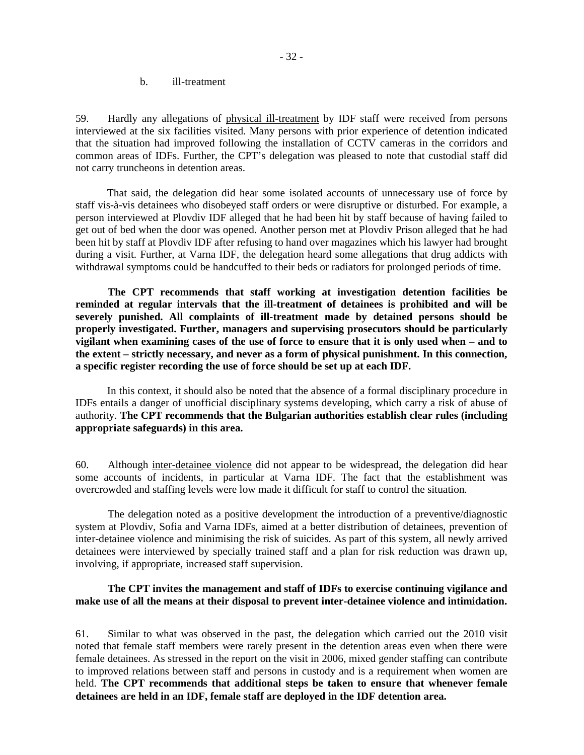b. ill-treatment

59. Hardly any allegations of physical ill-treatment by IDF staff were received from persons interviewed at the six facilities visited. Many persons with prior experience of detention indicated that the situation had improved following the installation of CCTV cameras in the corridors and common areas of IDFs. Further, the CPT's delegation was pleased to note that custodial staff did not carry truncheons in detention areas.

That said, the delegation did hear some isolated accounts of unnecessary use of force by staff vis-à-vis detainees who disobeyed staff orders or were disruptive or disturbed. For example, a person interviewed at Plovdiv IDF alleged that he had been hit by staff because of having failed to get out of bed when the door was opened. Another person met at Plovdiv Prison alleged that he had been hit by staff at Plovdiv IDF after refusing to hand over magazines which his lawyer had brought during a visit. Further, at Varna IDF, the delegation heard some allegations that drug addicts with withdrawal symptoms could be handcuffed to their beds or radiators for prolonged periods of time.

 **The CPT recommends that staff working at investigation detention facilities be reminded at regular intervals that the ill-treatment of detainees is prohibited and will be severely punished. All complaints of ill-treatment made by detained persons should be properly investigated. Further, managers and supervising prosecutors should be particularly vigilant when examining cases of the use of force to ensure that it is only used when – and to the extent – strictly necessary, and never as a form of physical punishment. In this connection, a specific register recording the use of force should be set up at each IDF.** 

In this context, it should also be noted that the absence of a formal disciplinary procedure in IDFs entails a danger of unofficial disciplinary systems developing, which carry a risk of abuse of authority. **The CPT recommends that the Bulgarian authorities establish clear rules (including appropriate safeguards) in this area.**

60. Although inter-detainee violence did not appear to be widespread, the delegation did hear some accounts of incidents, in particular at Varna IDF. The fact that the establishment was overcrowded and staffing levels were low made it difficult for staff to control the situation.

 The delegation noted as a positive development the introduction of a preventive/diagnostic system at Plovdiv, Sofia and Varna IDFs, aimed at a better distribution of detainees, prevention of inter-detainee violence and minimising the risk of suicides. As part of this system, all newly arrived detainees were interviewed by specially trained staff and a plan for risk reduction was drawn up, involving, if appropriate, increased staff supervision.

#### **The CPT invites the management and staff of IDFs to exercise continuing vigilance and make use of all the means at their disposal to prevent inter-detainee violence and intimidation.**

61. Similar to what was observed in the past, the delegation which carried out the 2010 visit noted that female staff members were rarely present in the detention areas even when there were female detainees. As stressed in the report on the visit in 2006, mixed gender staffing can contribute to improved relations between staff and persons in custody and is a requirement when women are held. **The CPT recommends that additional steps be taken to ensure that whenever female detainees are held in an IDF, female staff are deployed in the IDF detention area.**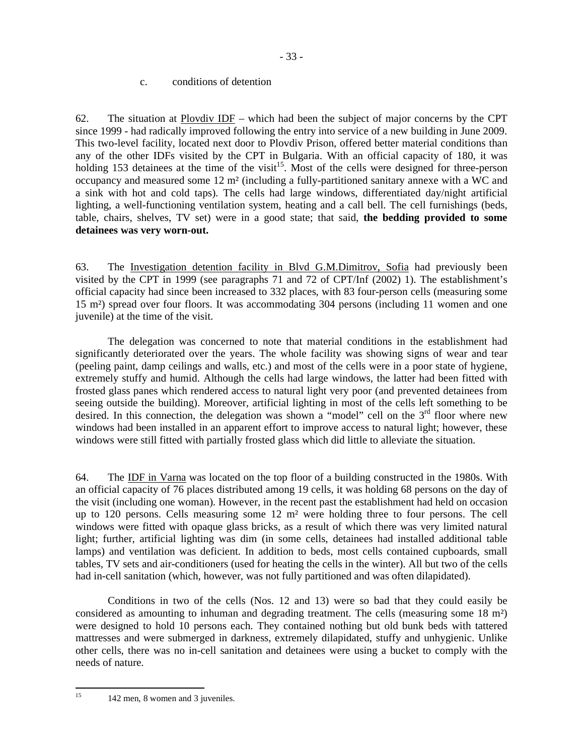#### c. conditions of detention

62. The situation at  $Plovdiv$  IDF – which had been the subject of major concerns by the CPT since 1999 - had radically improved following the entry into service of a new building in June 2009. This two-level facility, located next door to Plovdiv Prison, offered better material conditions than any of the other IDFs visited by the CPT in Bulgaria. With an official capacity of 180, it was holding 153 detainees at the time of the visit<sup>15</sup>. Most of the cells were designed for three-person occupancy and measured some 12 m² (including a fully-partitioned sanitary annexe with a WC and a sink with hot and cold taps). The cells had large windows, differentiated day/night artificial lighting, a well-functioning ventilation system, heating and a call bell. The cell furnishings (beds, table, chairs, shelves, TV set) were in a good state; that said, **the bedding provided to some detainees was very worn-out.**

63. The Investigation detention facility in Blvd G.M.Dimitrov, Sofia had previously been visited by the CPT in 1999 (see paragraphs 71 and 72 of CPT/Inf (2002) 1). The establishment's official capacity had since been increased to 332 places, with 83 four-person cells (measuring some 15 m²) spread over four floors. It was accommodating 304 persons (including 11 women and one juvenile) at the time of the visit.

 The delegation was concerned to note that material conditions in the establishment had significantly deteriorated over the years. The whole facility was showing signs of wear and tear (peeling paint, damp ceilings and walls, etc.) and most of the cells were in a poor state of hygiene, extremely stuffy and humid. Although the cells had large windows, the latter had been fitted with frosted glass panes which rendered access to natural light very poor (and prevented detainees from seeing outside the building). Moreover, artificial lighting in most of the cells left something to be desired. In this connection, the delegation was shown a "model" cell on the  $3<sup>rd</sup>$  floor where new windows had been installed in an apparent effort to improve access to natural light; however, these windows were still fitted with partially frosted glass which did little to alleviate the situation.

64. The IDF in Varna was located on the top floor of a building constructed in the 1980s. With an official capacity of 76 places distributed among 19 cells, it was holding 68 persons on the day of the visit (including one woman). However, in the recent past the establishment had held on occasion up to 120 persons. Cells measuring some 12 m² were holding three to four persons. The cell windows were fitted with opaque glass bricks, as a result of which there was very limited natural light; further, artificial lighting was dim (in some cells, detainees had installed additional table lamps) and ventilation was deficient. In addition to beds, most cells contained cupboards, small tables, TV sets and air-conditioners (used for heating the cells in the winter). All but two of the cells had in-cell sanitation (which, however, was not fully partitioned and was often dilapidated).

 Conditions in two of the cells (Nos. 12 and 13) were so bad that they could easily be considered as amounting to inhuman and degrading treatment. The cells (measuring some 18 m²) were designed to hold 10 persons each. They contained nothing but old bunk beds with tattered mattresses and were submerged in darkness, extremely dilapidated, stuffy and unhygienic. Unlike other cells, there was no in-cell sanitation and detainees were using a bucket to comply with the needs of nature.

15 142 men, 8 women and 3 juveniles.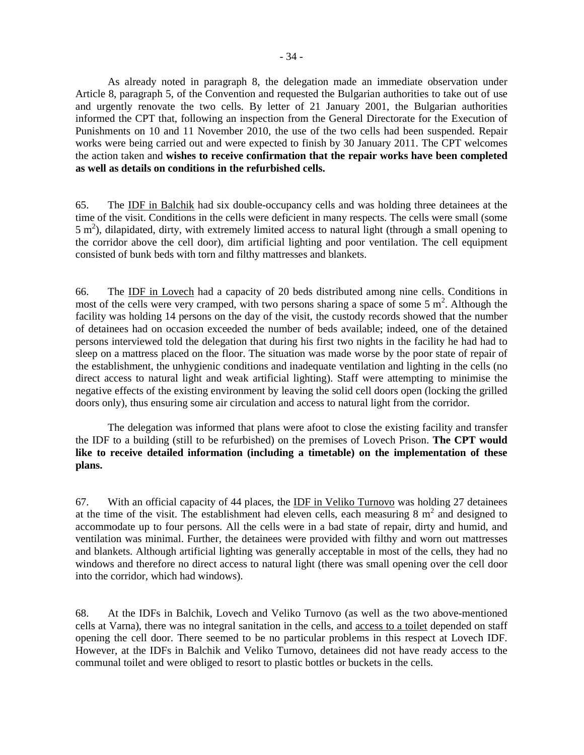As already noted in paragraph 8, the delegation made an immediate observation under Article 8, paragraph 5, of the Convention and requested the Bulgarian authorities to take out of use and urgently renovate the two cells. By letter of 21 January 2001, the Bulgarian authorities informed the CPT that, following an inspection from the General Directorate for the Execution of Punishments on 10 and 11 November 2010, the use of the two cells had been suspended. Repair works were being carried out and were expected to finish by 30 January 2011. The CPT welcomes the action taken and **wishes to receive confirmation that the repair works have been completed as well as details on conditions in the refurbished cells.**

65. The IDF in Balchik had six double-occupancy cells and was holding three detainees at the time of the visit. Conditions in the cells were deficient in many respects. The cells were small (some  $5 \text{ m}^2$ ), dilapidated, dirty, with extremely limited access to natural light (through a small opening to the corridor above the cell door), dim artificial lighting and poor ventilation. The cell equipment consisted of bunk beds with torn and filthy mattresses and blankets.

66. The IDF in Lovech had a capacity of 20 beds distributed among nine cells. Conditions in most of the cells were very cramped, with two persons sharing a space of some  $5 \text{ m}^2$ . Although the facility was holding 14 persons on the day of the visit, the custody records showed that the number of detainees had on occasion exceeded the number of beds available; indeed, one of the detained persons interviewed told the delegation that during his first two nights in the facility he had had to sleep on a mattress placed on the floor. The situation was made worse by the poor state of repair of the establishment, the unhygienic conditions and inadequate ventilation and lighting in the cells (no direct access to natural light and weak artificial lighting). Staff were attempting to minimise the negative effects of the existing environment by leaving the solid cell doors open (locking the grilled doors only), thus ensuring some air circulation and access to natural light from the corridor.

 The delegation was informed that plans were afoot to close the existing facility and transfer the IDF to a building (still to be refurbished) on the premises of Lovech Prison. **The CPT would like to receive detailed information (including a timetable) on the implementation of these plans.** 

67. With an official capacity of 44 places, the IDF in Veliko Turnovo was holding 27 detainees at the time of the visit. The establishment had eleven cells, each measuring  $8 \text{ m}^2$  and designed to accommodate up to four persons. All the cells were in a bad state of repair, dirty and humid, and ventilation was minimal. Further, the detainees were provided with filthy and worn out mattresses and blankets. Although artificial lighting was generally acceptable in most of the cells, they had no windows and therefore no direct access to natural light (there was small opening over the cell door into the corridor, which had windows).

68. At the IDFs in Balchik, Lovech and Veliko Turnovo (as well as the two above-mentioned cells at Varna), there was no integral sanitation in the cells, and access to a toilet depended on staff opening the cell door. There seemed to be no particular problems in this respect at Lovech IDF. However, at the IDFs in Balchik and Veliko Turnovo, detainees did not have ready access to the communal toilet and were obliged to resort to plastic bottles or buckets in the cells.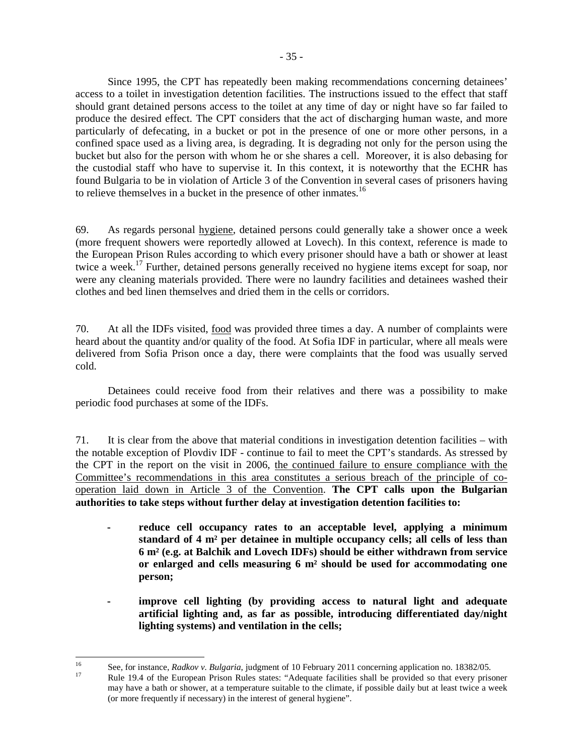Since 1995, the CPT has repeatedly been making recommendations concerning detainees' access to a toilet in investigation detention facilities. The instructions issued to the effect that staff should grant detained persons access to the toilet at any time of day or night have so far failed to produce the desired effect. The CPT considers that the act of discharging human waste, and more particularly of defecating, in a bucket or pot in the presence of one or more other persons, in a confined space used as a living area, is degrading. It is degrading not only for the person using the bucket but also for the person with whom he or she shares a cell. Moreover, it is also debasing for the custodial staff who have to supervise it. In this context, it is noteworthy that the ECHR has found Bulgaria to be in violation of Article 3 of the Convention in several cases of prisoners having to relieve themselves in a bucket in the presence of other inmates.<sup>16</sup>

69. As regards personal hygiene, detained persons could generally take a shower once a week (more frequent showers were reportedly allowed at Lovech). In this context, reference is made to the European Prison Rules according to which every prisoner should have a bath or shower at least twice a week.<sup>17</sup> Further, detained persons generally received no hygiene items except for soap, nor were any cleaning materials provided. There were no laundry facilities and detainees washed their clothes and bed linen themselves and dried them in the cells or corridors.

70. At all the IDFs visited, food was provided three times a day. A number of complaints were heard about the quantity and/or quality of the food. At Sofia IDF in particular, where all meals were delivered from Sofia Prison once a day, there were complaints that the food was usually served cold.

 Detainees could receive food from their relatives and there was a possibility to make periodic food purchases at some of the IDFs.

71. It is clear from the above that material conditions in investigation detention facilities – with the notable exception of Plovdiv IDF - continue to fail to meet the CPT's standards. As stressed by the CPT in the report on the visit in 2006, the continued failure to ensure compliance with the Committee's recommendations in this area constitutes a serious breach of the principle of cooperation laid down in Article 3 of the Convention. **The CPT calls upon the Bulgarian authorities to take steps without further delay at investigation detention facilities to:** 

- **reduce cell occupancy rates to an acceptable level, applying a minimum standard of 4 m² per detainee in multiple occupancy cells; all cells of less than 6 m² (e.g. at Balchik and Lovech IDFs) should be either withdrawn from service or enlarged and cells measuring 6 m² should be used for accommodating one person;**
- **improve cell lighting (by providing access to natural light and adequate artificial lighting and, as far as possible, introducing differentiated day/night lighting systems) and ventilation in the cells;**

<sup>16</sup> <sup>16</sup> See, for instance, *Radkov v. Bulgaria*, judgment of 10 February 2011 concerning application no. 18382/05. <sup>17</sup> Rule 19.4 of the European Prison Rules states: "Adequate facilities shall be provided so that every prisoner may have a bath or shower, at a temperature suitable to the climate, if possible daily but at least twice a week (or more frequently if necessary) in the interest of general hygiene".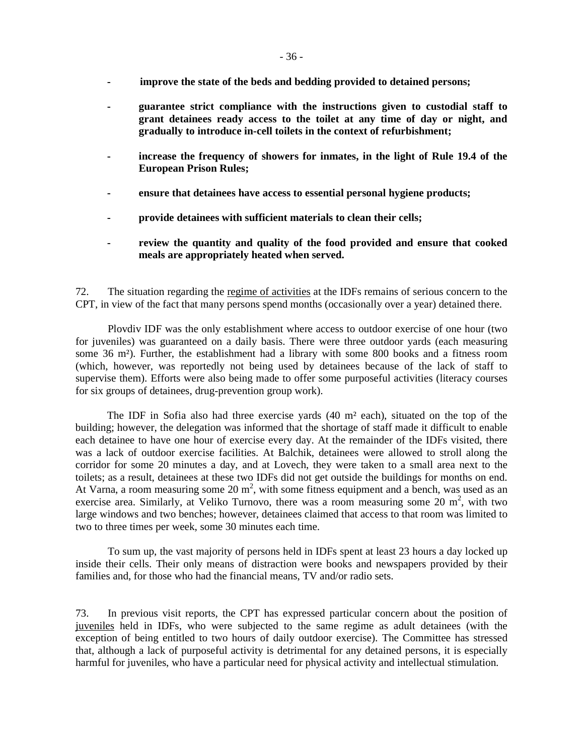- **improve the state of the beds and bedding provided to detained persons;**
- **guarantee strict compliance with the instructions given to custodial staff to grant detainees ready access to the toilet at any time of day or night, and gradually to introduce in-cell toilets in the context of refurbishment;**
- **increase the frequency of showers for inmates, in the light of Rule 19.4 of the European Prison Rules;**
- **ensure that detainees have access to essential personal hygiene products;**
- **provide detainees with sufficient materials to clean their cells;**
- **review the quantity and quality of the food provided and ensure that cooked meals are appropriately heated when served.**

72. The situation regarding the regime of activities at the IDFs remains of serious concern to the CPT, in view of the fact that many persons spend months (occasionally over a year) detained there.

 Plovdiv IDF was the only establishment where access to outdoor exercise of one hour (two for juveniles) was guaranteed on a daily basis. There were three outdoor yards (each measuring some 36 m²). Further, the establishment had a library with some 800 books and a fitness room (which, however, was reportedly not being used by detainees because of the lack of staff to supervise them). Efforts were also being made to offer some purposeful activities (literacy courses for six groups of detainees, drug-prevention group work).

The IDF in Sofia also had three exercise yards (40 m² each), situated on the top of the building; however, the delegation was informed that the shortage of staff made it difficult to enable each detainee to have one hour of exercise every day. At the remainder of the IDFs visited, there was a lack of outdoor exercise facilities. At Balchik, detainees were allowed to stroll along the corridor for some 20 minutes a day, and at Lovech, they were taken to a small area next to the toilets; as a result, detainees at these two IDFs did not get outside the buildings for months on end. At Varna, a room measuring some  $20 \text{ m}^2$ , with some fitness equipment and a bench, was used as an exercise area. Similarly, at Veliko Turnovo, there was a room measuring some 20  $m^2$ , with two large windows and two benches; however, detainees claimed that access to that room was limited to two to three times per week, some 30 minutes each time.

 To sum up, the vast majority of persons held in IDFs spent at least 23 hours a day locked up inside their cells. Their only means of distraction were books and newspapers provided by their families and, for those who had the financial means, TV and/or radio sets.

73. In previous visit reports, the CPT has expressed particular concern about the position of juveniles held in IDFs, who were subjected to the same regime as adult detainees (with the exception of being entitled to two hours of daily outdoor exercise). The Committee has stressed that, although a lack of purposeful activity is detrimental for any detained persons, it is especially harmful for juveniles, who have a particular need for physical activity and intellectual stimulation.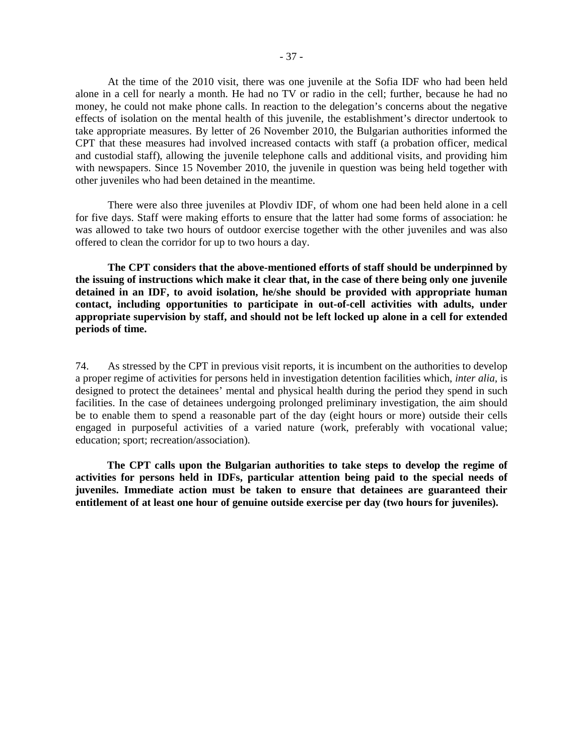At the time of the 2010 visit, there was one juvenile at the Sofia IDF who had been held alone in a cell for nearly a month. He had no TV or radio in the cell; further, because he had no money, he could not make phone calls. In reaction to the delegation's concerns about the negative effects of isolation on the mental health of this juvenile, the establishment's director undertook to take appropriate measures. By letter of 26 November 2010, the Bulgarian authorities informed the CPT that these measures had involved increased contacts with staff (a probation officer, medical and custodial staff), allowing the juvenile telephone calls and additional visits, and providing him with newspapers. Since 15 November 2010, the juvenile in question was being held together with other juveniles who had been detained in the meantime.

 There were also three juveniles at Plovdiv IDF, of whom one had been held alone in a cell for five days. Staff were making efforts to ensure that the latter had some forms of association: he was allowed to take two hours of outdoor exercise together with the other juveniles and was also offered to clean the corridor for up to two hours a day.

 **The CPT considers that the above-mentioned efforts of staff should be underpinned by the issuing of instructions which make it clear that, in the case of there being only one juvenile detained in an IDF, to avoid isolation, he/she should be provided with appropriate human contact, including opportunities to participate in out-of-cell activities with adults, under appropriate supervision by staff, and should not be left locked up alone in a cell for extended periods of time.** 

74. As stressed by the CPT in previous visit reports, it is incumbent on the authorities to develop a proper regime of activities for persons held in investigation detention facilities which, *inter alia,* is designed to protect the detainees' mental and physical health during the period they spend in such facilities. In the case of detainees undergoing prolonged preliminary investigation, the aim should be to enable them to spend a reasonable part of the day (eight hours or more) outside their cells engaged in purposeful activities of a varied nature (work, preferably with vocational value; education; sport; recreation/association).

**The CPT calls upon the Bulgarian authorities to take steps to develop the regime of activities for persons held in IDFs, particular attention being paid to the special needs of juveniles. Immediate action must be taken to ensure that detainees are guaranteed their entitlement of at least one hour of genuine outside exercise per day (two hours for juveniles).**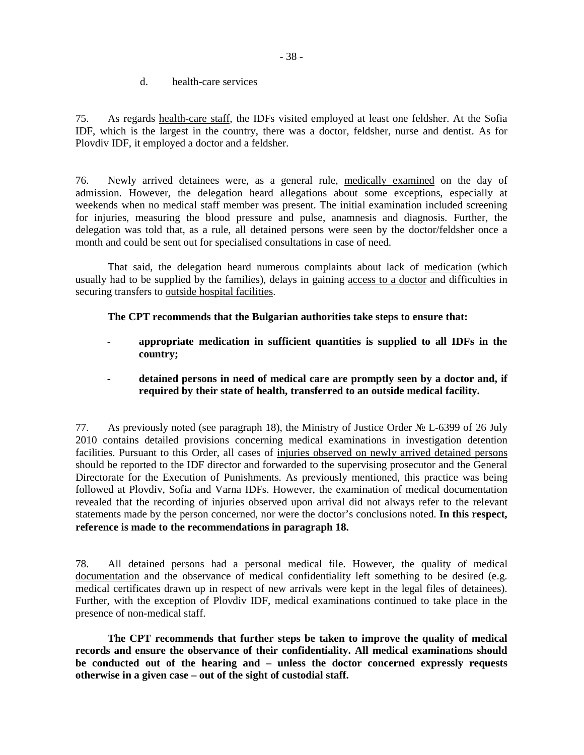d. health-care services

75. As regards health-care staff, the IDFs visited employed at least one feldsher. At the Sofia IDF, which is the largest in the country, there was a doctor, feldsher, nurse and dentist. As for Plovdiv IDF, it employed a doctor and a feldsher.

76. Newly arrived detainees were, as a general rule, medically examined on the day of admission. However, the delegation heard allegations about some exceptions, especially at weekends when no medical staff member was present. The initial examination included screening for injuries, measuring the blood pressure and pulse, anamnesis and diagnosis*.* Further, the delegation was told that, as a rule, all detained persons were seen by the doctor/feldsher once a month and could be sent out for specialised consultations in case of need.

 That said, the delegation heard numerous complaints about lack of medication (which usually had to be supplied by the families), delays in gaining access to a doctor and difficulties in securing transfers to outside hospital facilities.

**The CPT recommends that the Bulgarian authorities take steps to ensure that:** 

- **appropriate medication in sufficient quantities is supplied to all IDFs in the country;**
- **detained persons in need of medical care are promptly seen by a doctor and, if required by their state of health, transferred to an outside medical facility.**

77. As previously noted (see paragraph 18), the Ministry of Justice Order № L-6399 of 26 July 2010 contains detailed provisions concerning medical examinations in investigation detention facilities. Pursuant to this Order, all cases of injuries observed on newly arrived detained persons should be reported to the IDF director and forwarded to the supervising prosecutor and the General Directorate for the Execution of Punishments. As previously mentioned, this practice was being followed at Plovdiv, Sofia and Varna IDFs. However, the examination of medical documentation revealed that the recording of injuries observed upon arrival did not always refer to the relevant statements made by the person concerned, nor were the doctor's conclusions noted. **In this respect, reference is made to the recommendations in paragraph 18.**

78. All detained persons had a personal medical file. However, the quality of medical documentation and the observance of medical confidentiality left something to be desired (e.g. medical certificates drawn up in respect of new arrivals were kept in the legal files of detainees). Further, with the exception of Plovdiv IDF, medical examinations continued to take place in the presence of non-medical staff.

 **The CPT recommends that further steps be taken to improve the quality of medical records and ensure the observance of their confidentiality. All medical examinations should be conducted out of the hearing and – unless the doctor concerned expressly requests otherwise in a given case – out of the sight of custodial staff.**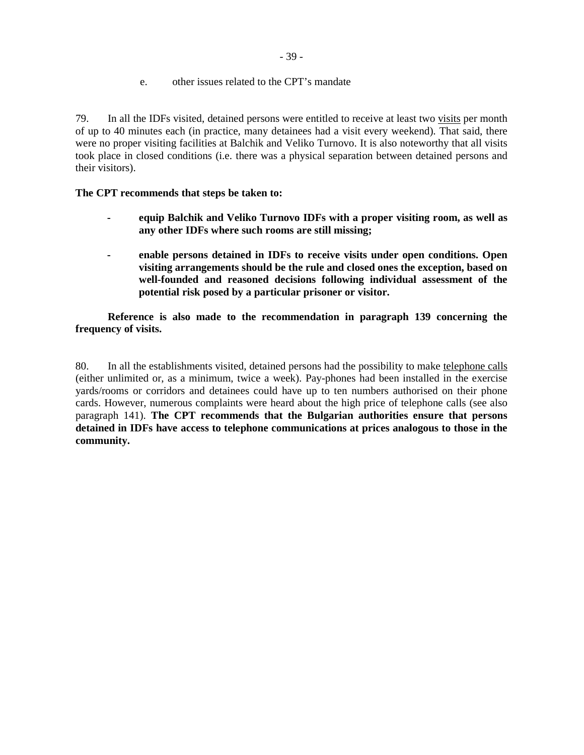e. other issues related to the CPT's mandate

79. In all the IDFs visited, detained persons were entitled to receive at least two visits per month of up to 40 minutes each (in practice, many detainees had a visit every weekend). That said, there were no proper visiting facilities at Balchik and Veliko Turnovo. It is also noteworthy that all visits took place in closed conditions (i.e. there was a physical separation between detained persons and their visitors).

## **The CPT recommends that steps be taken to:**

- **equip Balchik and Veliko Turnovo IDFs with a proper visiting room, as well as any other IDFs where such rooms are still missing;**
- **enable persons detained in IDFs to receive visits under open conditions. Open visiting arrangements should be the rule and closed ones the exception, based on well-founded and reasoned decisions following individual assessment of the potential risk posed by a particular prisoner or visitor.**

**Reference is also made to the recommendation in paragraph 139 concerning the frequency of visits.** 

80. In all the establishments visited, detained persons had the possibility to make telephone calls (either unlimited or, as a minimum, twice a week). Pay-phones had been installed in the exercise yards/rooms or corridors and detainees could have up to ten numbers authorised on their phone cards. However, numerous complaints were heard about the high price of telephone calls (see also paragraph 141). **The CPT recommends that the Bulgarian authorities ensure that persons detained in IDFs have access to telephone communications at prices analogous to those in the community.**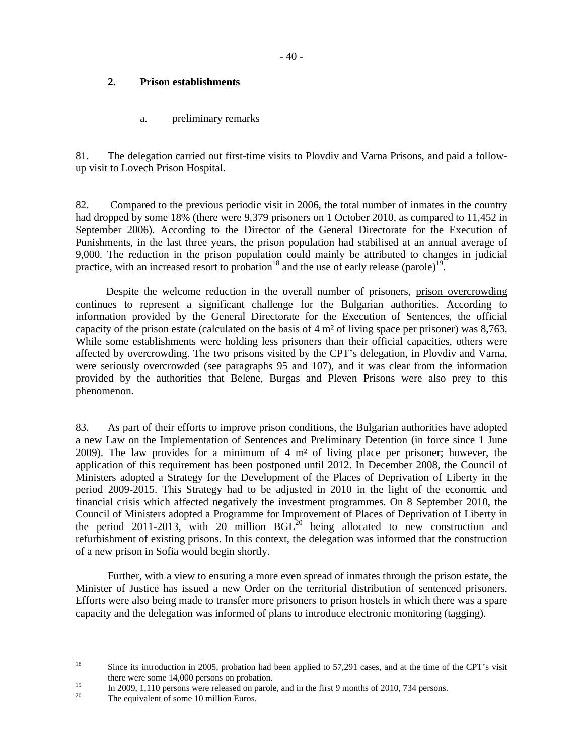# **2. Prison establishments**

a. preliminary remarks

81. The delegation carried out first-time visits to Plovdiv and Varna Prisons, and paid a followup visit to Lovech Prison Hospital.

82. Compared to the previous periodic visit in 2006, the total number of inmates in the country had dropped by some 18% (there were 9,379 prisoners on 1 October 2010, as compared to 11,452 in September 2006). According to the Director of the General Directorate for the Execution of Punishments, in the last three years, the prison population had stabilised at an annual average of 9,000. The reduction in the prison population could mainly be attributed to changes in judicial practice, with an increased resort to probation<sup>18</sup> and the use of early release (parole)<sup>19</sup>.

 Despite the welcome reduction in the overall number of prisoners, prison overcrowding continues to represent a significant challenge for the Bulgarian authorities. According to information provided by the General Directorate for the Execution of Sentences, the official capacity of the prison estate (calculated on the basis of 4 m² of living space per prisoner) was 8,763. While some establishments were holding less prisoners than their official capacities, others were affected by overcrowding. The two prisons visited by the CPT's delegation, in Plovdiv and Varna, were seriously overcrowded (see paragraphs 95 and 107), and it was clear from the information provided by the authorities that Belene, Burgas and Pleven Prisons were also prey to this phenomenon.

83. As part of their efforts to improve prison conditions, the Bulgarian authorities have adopted a new Law on the Implementation of Sentences and Preliminary Detention (in force since 1 June 2009). The law provides for a minimum of  $4 \text{ m}^2$  of living place per prisoner; however, the application of this requirement has been postponed until 2012. In December 2008, the Council of Ministers adopted a Strategy for the Development of the Places of Deprivation of Liberty in the period 2009-2015. This Strategy had to be adjusted in 2010 in the light of the economic and financial crisis which affected negatively the investment programmes. On 8 September 2010, the Council of Ministers adopted a Programme for Improvement of Places of Deprivation of Liberty in the period 2011-2013, with 20 million BGL<sup>20</sup> being allocated to new construction and refurbishment of existing prisons. In this context, the delegation was informed that the construction of a new prison in Sofia would begin shortly.

 Further, with a view to ensuring a more even spread of inmates through the prison estate, the Minister of Justice has issued a new Order on the territorial distribution of sentenced prisoners. Efforts were also being made to transfer more prisoners to prison hostels in which there was a spare capacity and the delegation was informed of plans to introduce electronic monitoring (tagging).

 $18\,$ Since its introduction in 2005, probation had been applied to 57,291 cases, and at the time of the CPT's visit there were some 14,000 persons on probation.

 $\frac{19}{20}$  In 2009, 1,110 persons were released on parole, and in the first 9 months of 2010, 734 persons.

The equivalent of some 10 million Euros.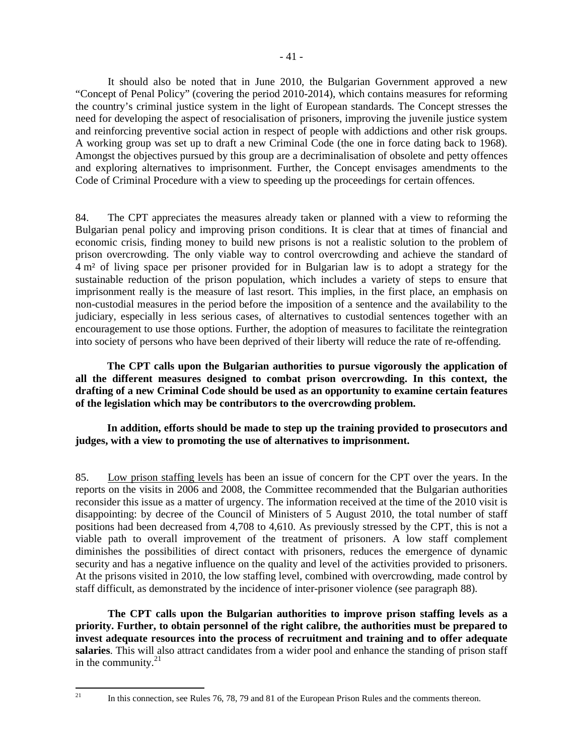It should also be noted that in June 2010, the Bulgarian Government approved a new "Concept of Penal Policy" (covering the period 2010-2014), which contains measures for reforming the country's criminal justice system in the light of European standards. The Concept stresses the need for developing the aspect of resocialisation of prisoners, improving the juvenile justice system and reinforcing preventive social action in respect of people with addictions and other risk groups. A working group was set up to draft a new Criminal Code (the one in force dating back to 1968). Amongst the objectives pursued by this group are a decriminalisation of obsolete and petty offences and exploring alternatives to imprisonment. Further, the Concept envisages amendments to the Code of Criminal Procedure with a view to speeding up the proceedings for certain offences.

84. The CPT appreciates the measures already taken or planned with a view to reforming the Bulgarian penal policy and improving prison conditions. It is clear that at times of financial and economic crisis, finding money to build new prisons is not a realistic solution to the problem of prison overcrowding. The only viable way to control overcrowding and achieve the standard of 4 m² of living space per prisoner provided for in Bulgarian law is to adopt a strategy for the sustainable reduction of the prison population, which includes a variety of steps to ensure that imprisonment really is the measure of last resort. This implies, in the first place, an emphasis on non-custodial measures in the period before the imposition of a sentence and the availability to the judiciary, especially in less serious cases, of alternatives to custodial sentences together with an encouragement to use those options. Further, the adoption of measures to facilitate the reintegration into society of persons who have been deprived of their liberty will reduce the rate of re-offending.

**The CPT calls upon the Bulgarian authorities to pursue vigorously the application of all the different measures designed to combat prison overcrowding. In this context, the drafting of a new Criminal Code should be used as an opportunity to examine certain features of the legislation which may be contributors to the overcrowding problem.** 

**In addition, efforts should be made to step up the training provided to prosecutors and judges, with a view to promoting the use of alternatives to imprisonment.** 

85. Low prison staffing levels has been an issue of concern for the CPT over the years. In the reports on the visits in 2006 and 2008, the Committee recommended that the Bulgarian authorities reconsider this issue as a matter of urgency. The information received at the time of the 2010 visit is disappointing: by decree of the Council of Ministers of 5 August 2010, the total number of staff positions had been decreased from 4,708 to 4,610. As previously stressed by the CPT, this is not a viable path to overall improvement of the treatment of prisoners. A low staff complement diminishes the possibilities of direct contact with prisoners, reduces the emergence of dynamic security and has a negative influence on the quality and level of the activities provided to prisoners. At the prisons visited in 2010, the low staffing level, combined with overcrowding, made control by staff difficult, as demonstrated by the incidence of inter-prisoner violence (see paragraph 88).

 **The CPT calls upon the Bulgarian authorities to improve prison staffing levels as a priority. Further, to obtain personnel of the right calibre, the authorities must be prepared to invest adequate resources into the process of recruitment and training and to offer adequate salaries**. This will also attract candidates from a wider pool and enhance the standing of prison staff in the community. $21$ 

 $21$ 

In this connection, see Rules 76, 78, 79 and 81 of the European Prison Rules and the comments thereon.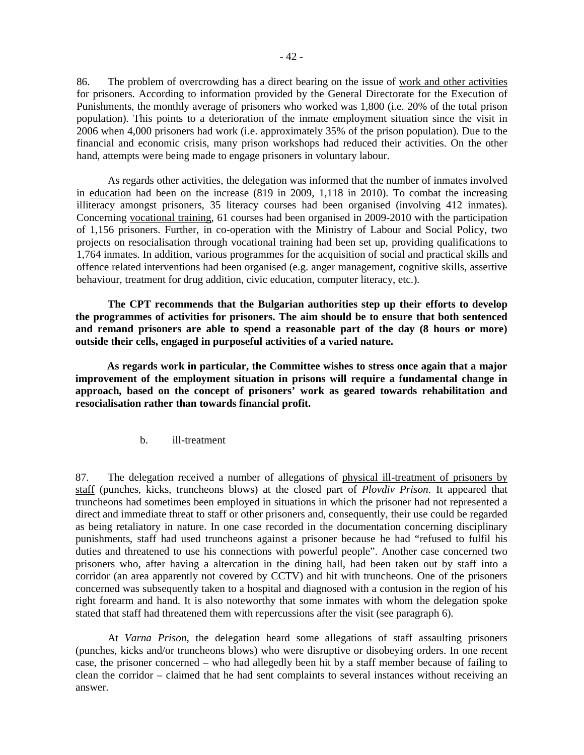86. The problem of overcrowding has a direct bearing on the issue of work and other activities for prisoners. According to information provided by the General Directorate for the Execution of Punishments, the monthly average of prisoners who worked was 1,800 (i.e. 20% of the total prison population). This points to a deterioration of the inmate employment situation since the visit in 2006 when 4,000 prisoners had work (i.e. approximately 35% of the prison population). Due to the financial and economic crisis, many prison workshops had reduced their activities. On the other hand, attempts were being made to engage prisoners in voluntary labour.

 As regards other activities, the delegation was informed that the number of inmates involved in education had been on the increase (819 in 2009, 1,118 in 2010). To combat the increasing illiteracy amongst prisoners, 35 literacy courses had been organised (involving 412 inmates). Concerning vocational training, 61 courses had been organised in 2009-2010 with the participation of 1,156 prisoners. Further, in co-operation with the Ministry of Labour and Social Policy, two projects on resocialisation through vocational training had been set up, providing qualifications to 1,764 inmates. In addition, various programmes for the acquisition of social and practical skills and offence related interventions had been organised (e.g. anger management, cognitive skills, assertive behaviour, treatment for drug addition, civic education, computer literacy, etc.).

 **The CPT recommends that the Bulgarian authorities step up their efforts to develop the programmes of activities for prisoners. The aim should be to ensure that both sentenced and remand prisoners are able to spend a reasonable part of the day (8 hours or more) outside their cells, engaged in purposeful activities of a varied nature.** 

**As regards work in particular, the Committee wishes to stress once again that a major improvement of the employment situation in prisons will require a fundamental change in approach, based on the concept of prisoners' work as geared towards rehabilitation and resocialisation rather than towards financial profit.** 

b. ill-treatment

87. The delegation received a number of allegations of physical ill-treatment of prisoners by staff (punches, kicks, truncheons blows) at the closed part of *Plovdiv Prison*. It appeared that truncheons had sometimes been employed in situations in which the prisoner had not represented a direct and immediate threat to staff or other prisoners and, consequently, their use could be regarded as being retaliatory in nature. In one case recorded in the documentation concerning disciplinary punishments, staff had used truncheons against a prisoner because he had "refused to fulfil his duties and threatened to use his connections with powerful people". Another case concerned two prisoners who, after having a altercation in the dining hall, had been taken out by staff into a corridor (an area apparently not covered by CCTV) and hit with truncheons. One of the prisoners concerned was subsequently taken to a hospital and diagnosed with a contusion in the region of his right forearm and hand. It is also noteworthy that some inmates with whom the delegation spoke stated that staff had threatened them with repercussions after the visit (see paragraph 6).

 At *Varna Prison*, the delegation heard some allegations of staff assaulting prisoners (punches, kicks and/or truncheons blows) who were disruptive or disobeying orders. In one recent case, the prisoner concerned – who had allegedly been hit by a staff member because of failing to clean the corridor – claimed that he had sent complaints to several instances without receiving an answer.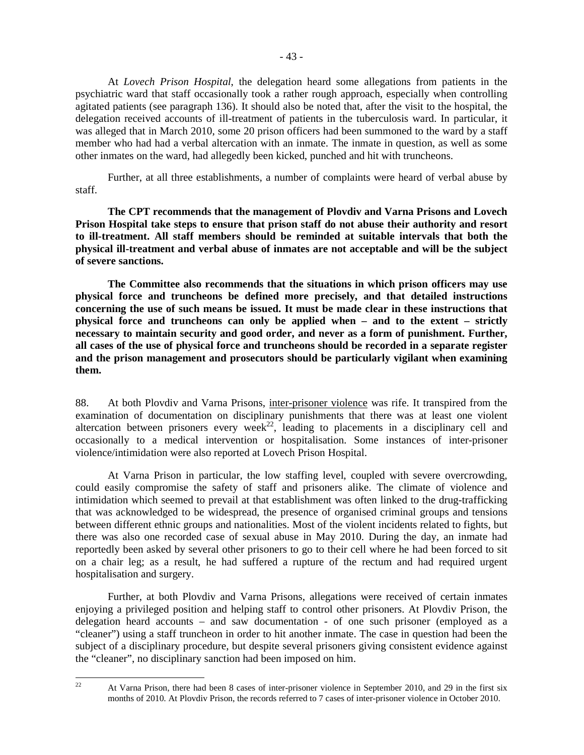At *Lovech Prison Hospital*, the delegation heard some allegations from patients in the psychiatric ward that staff occasionally took a rather rough approach, especially when controlling agitated patients (see paragraph 136). It should also be noted that, after the visit to the hospital, the delegation received accounts of ill-treatment of patients in the tuberculosis ward. In particular, it was alleged that in March 2010, some 20 prison officers had been summoned to the ward by a staff member who had had a verbal altercation with an inmate. The inmate in question, as well as some other inmates on the ward, had allegedly been kicked, punched and hit with truncheons.

 Further, at all three establishments, a number of complaints were heard of verbal abuse by staff.

 **The CPT recommends that the management of Plovdiv and Varna Prisons and Lovech Prison Hospital take steps to ensure that prison staff do not abuse their authority and resort to ill-treatment. All staff members should be reminded at suitable intervals that both the physical ill-treatment and verbal abuse of inmates are not acceptable and will be the subject of severe sanctions.** 

 **The Committee also recommends that the situations in which prison officers may use physical force and truncheons be defined more precisely, and that detailed instructions concerning the use of such means be issued. It must be made clear in these instructions that physical force and truncheons can only be applied when – and to the extent – strictly necessary to maintain security and good order, and never as a form of punishment. Further, all cases of the use of physical force and truncheons should be recorded in a separate register and the prison management and prosecutors should be particularly vigilant when examining them.** 

88. At both Plovdiv and Varna Prisons, inter-prisoner violence was rife. It transpired from the examination of documentation on disciplinary punishments that there was at least one violent altercation between prisoners every week<sup>22</sup>, leading to placements in a disciplinary cell and occasionally to a medical intervention or hospitalisation. Some instances of inter-prisoner violence/intimidation were also reported at Lovech Prison Hospital.

 At Varna Prison in particular, the low staffing level, coupled with severe overcrowding, could easily compromise the safety of staff and prisoners alike. The climate of violence and intimidation which seemed to prevail at that establishment was often linked to the drug-trafficking that was acknowledged to be widespread, the presence of organised criminal groups and tensions between different ethnic groups and nationalities. Most of the violent incidents related to fights, but there was also one recorded case of sexual abuse in May 2010. During the day, an inmate had reportedly been asked by several other prisoners to go to their cell where he had been forced to sit on a chair leg; as a result, he had suffered a rupture of the rectum and had required urgent hospitalisation and surgery.

 Further, at both Plovdiv and Varna Prisons, allegations were received of certain inmates enjoying a privileged position and helping staff to control other prisoners. At Plovdiv Prison, the delegation heard accounts – and saw documentation - of one such prisoner (employed as a "cleaner") using a staff truncheon in order to hit another inmate. The case in question had been the subject of a disciplinary procedure, but despite several prisoners giving consistent evidence against the "cleaner", no disciplinary sanction had been imposed on him.

 $22$ 

<sup>22</sup> At Varna Prison, there had been 8 cases of inter-prisoner violence in September 2010, and 29 in the first six months of 2010. At Plovdiv Prison, the records referred to 7 cases of inter-prisoner violence in October 2010.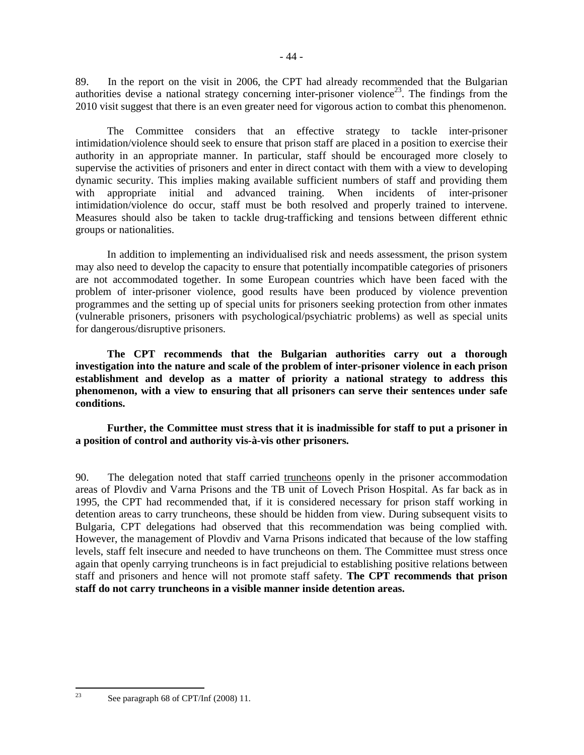89. In the report on the visit in 2006, the CPT had already recommended that the Bulgarian authorities devise a national strategy concerning inter-prisoner violence<sup>23</sup>. The findings from the 2010 visit suggest that there is an even greater need for vigorous action to combat this phenomenon.

The Committee considers that an effective strategy to tackle inter-prisoner intimidation/violence should seek to ensure that prison staff are placed in a position to exercise their authority in an appropriate manner. In particular, staff should be encouraged more closely to supervise the activities of prisoners and enter in direct contact with them with a view to developing dynamic security. This implies making available sufficient numbers of staff and providing them with appropriate initial and advanced training. When incidents of inter-prisoner intimidation/violence do occur, staff must be both resolved and properly trained to intervene. Measures should also be taken to tackle drug-trafficking and tensions between different ethnic groups or nationalities.

In addition to implementing an individualised risk and needs assessment, the prison system may also need to develop the capacity to ensure that potentially incompatible categories of prisoners are not accommodated together. In some European countries which have been faced with the problem of inter-prisoner violence, good results have been produced by violence prevention programmes and the setting up of special units for prisoners seeking protection from other inmates (vulnerable prisoners, prisoners with psychological/psychiatric problems) as well as special units for dangerous/disruptive prisoners.

**The CPT recommends that the Bulgarian authorities carry out a thorough investigation into the nature and scale of the problem of inter-prisoner violence in each prison establishment and develop as a matter of priority a national strategy to address this phenomenon, with a view to ensuring that all prisoners can serve their sentences under safe conditions.** 

**Further, the Committee must stress that it is inadmissible for staff to put a prisoner in a position of control and authority vis-à-vis other prisoners.** 

90. The delegation noted that staff carried truncheons openly in the prisoner accommodation areas of Plovdiv and Varna Prisons and the TB unit of Lovech Prison Hospital. As far back as in 1995, the CPT had recommended that, if it is considered necessary for prison staff working in detention areas to carry truncheons, these should be hidden from view. During subsequent visits to Bulgaria, CPT delegations had observed that this recommendation was being complied with. However, the management of Plovdiv and Varna Prisons indicated that because of the low staffing levels, staff felt insecure and needed to have truncheons on them. The Committee must stress once again that openly carrying truncheons is in fact prejudicial to establishing positive relations between staff and prisoners and hence will not promote staff safety. **The CPT recommends that prison staff do not carry truncheons in a visible manner inside detention areas.** 

23

See paragraph 68 of CPT/Inf (2008) 11.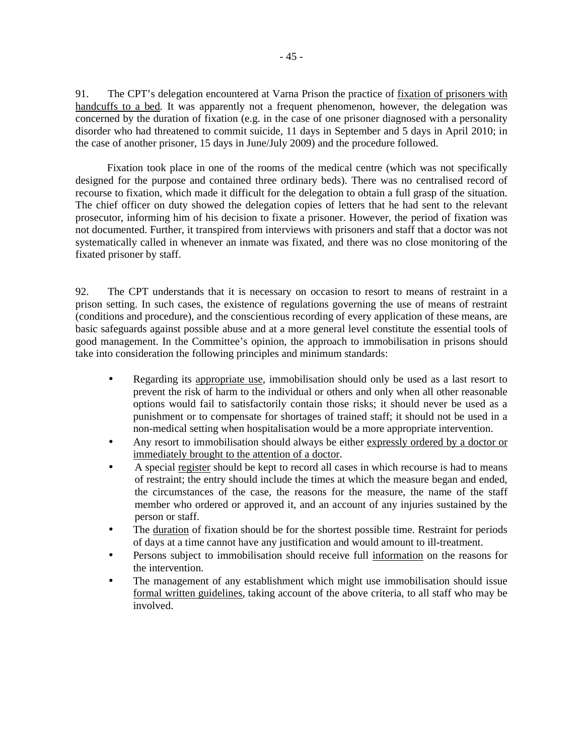91. The CPT's delegation encountered at Varna Prison the practice of fixation of prisoners with handcuffs to a bed. It was apparently not a frequent phenomenon, however, the delegation was concerned by the duration of fixation (e.g. in the case of one prisoner diagnosed with a personality disorder who had threatened to commit suicide, 11 days in September and 5 days in April 2010; in the case of another prisoner, 15 days in June/July 2009) and the procedure followed.

Fixation took place in one of the rooms of the medical centre (which was not specifically designed for the purpose and contained three ordinary beds). There was no centralised record of recourse to fixation, which made it difficult for the delegation to obtain a full grasp of the situation. The chief officer on duty showed the delegation copies of letters that he had sent to the relevant prosecutor, informing him of his decision to fixate a prisoner. However, the period of fixation was not documented. Further, it transpired from interviews with prisoners and staff that a doctor was not systematically called in whenever an inmate was fixated, and there was no close monitoring of the fixated prisoner by staff.

92. The CPT understands that it is necessary on occasion to resort to means of restraint in a prison setting. In such cases, the existence of regulations governing the use of means of restraint (conditions and procedure), and the conscientious recording of every application of these means, are basic safeguards against possible abuse and at a more general level constitute the essential tools of good management. In the Committee's opinion, the approach to immobilisation in prisons should take into consideration the following principles and minimum standards:

- Regarding its appropriate use, immobilisation should only be used as a last resort to prevent the risk of harm to the individual or others and only when all other reasonable options would fail to satisfactorily contain those risks; it should never be used as a punishment or to compensate for shortages of trained staff; it should not be used in a non-medical setting when hospitalisation would be a more appropriate intervention.
- Any resort to immobilisation should always be either expressly ordered by a doctor or immediately brought to the attention of a doctor.
- A special register should be kept to record all cases in which recourse is had to means of restraint; the entry should include the times at which the measure began and ended, the circumstances of the case, the reasons for the measure, the name of the staff member who ordered or approved it, and an account of any injuries sustained by the person or staff.
- The duration of fixation should be for the shortest possible time. Restraint for periods of days at a time cannot have any justification and would amount to ill-treatment.
- Persons subject to immobilisation should receive full information on the reasons for the intervention.
- The management of any establishment which might use immobilisation should issue formal written guidelines, taking account of the above criteria, to all staff who may be involved.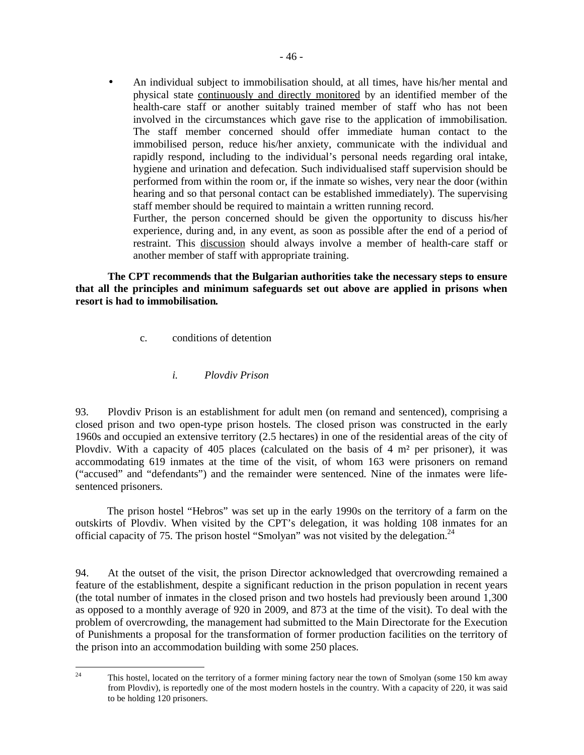• An individual subject to immobilisation should, at all times, have his/her mental and physical state continuously and directly monitored by an identified member of the health-care staff or another suitably trained member of staff who has not been involved in the circumstances which gave rise to the application of immobilisation. The staff member concerned should offer immediate human contact to the immobilised person, reduce his/her anxiety, communicate with the individual and rapidly respond, including to the individual's personal needs regarding oral intake, hygiene and urination and defecation. Such individualised staff supervision should be performed from within the room or, if the inmate so wishes, very near the door (within hearing and so that personal contact can be established immediately). The supervising staff member should be required to maintain a written running record.

 Further, the person concerned should be given the opportunity to discuss his/her experience, during and, in any event, as soon as possible after the end of a period of restraint. This discussion should always involve a member of health-care staff or another member of staff with appropriate training.

**The CPT recommends that the Bulgarian authorities take the necessary steps to ensure that all the principles and minimum safeguards set out above are applied in prisons when resort is had to immobilisation***.*

- c. conditions of detention
	- *i. Plovdiv Prison*

93. Plovdiv Prison is an establishment for adult men (on remand and sentenced), comprising a closed prison and two open-type prison hostels. The closed prison was constructed in the early 1960s and occupied an extensive territory (2.5 hectares) in one of the residential areas of the city of Plovdiv. With a capacity of 405 places (calculated on the basis of 4  $m<sup>2</sup>$  per prisoner), it was accommodating 619 inmates at the time of the visit, of whom 163 were prisoners on remand ("accused" and "defendants") and the remainder were sentenced. Nine of the inmates were lifesentenced prisoners.

The prison hostel "Hebros" was set up in the early 1990s on the territory of a farm on the outskirts of Plovdiv. When visited by the CPT's delegation, it was holding 108 inmates for an official capacity of 75. The prison hostel "Smolyan" was not visited by the delegation.<sup>24</sup>

94. At the outset of the visit, the prison Director acknowledged that overcrowding remained a feature of the establishment, despite a significant reduction in the prison population in recent years (the total number of inmates in the closed prison and two hostels had previously been around 1,300 as opposed to a monthly average of 920 in 2009, and 873 at the time of the visit). To deal with the problem of overcrowding, the management had submitted to the Main Directorate for the Execution of Punishments a proposal for the transformation of former production facilities on the territory of the prison into an accommodation building with some 250 places.

 $24$ This hostel, located on the territory of a former mining factory near the town of Smolyan (some 150 km away from Plovdiv), is reportedly one of the most modern hostels in the country. With a capacity of 220, it was said to be holding 120 prisoners.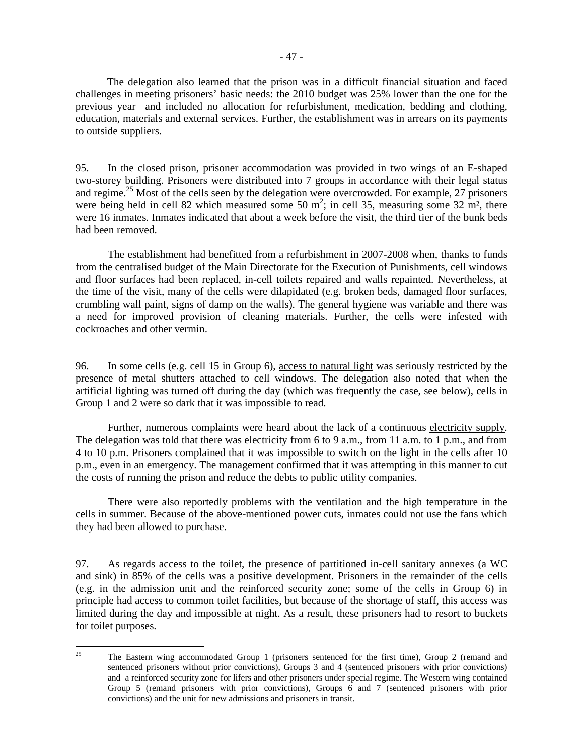The delegation also learned that the prison was in a difficult financial situation and faced challenges in meeting prisoners' basic needs: the 2010 budget was 25% lower than the one for the previous year and included no allocation for refurbishment, medication, bedding and clothing, education, materials and external services. Further, the establishment was in arrears on its payments to outside suppliers.

95. In the closed prison, prisoner accommodation was provided in two wings of an E-shaped two-storey building. Prisoners were distributed into 7 groups in accordance with their legal status and regime.<sup>25</sup> Most of the cells seen by the delegation were <u>overcrowded</u>. For example, 27 prisoners were being held in cell 82 which measured some 50  $m^2$ ; in cell 35, measuring some 32  $m^2$ , there were 16 inmates. Inmates indicated that about a week before the visit, the third tier of the bunk beds had been removed.

 The establishment had benefitted from a refurbishment in 2007-2008 when, thanks to funds from the centralised budget of the Main Directorate for the Execution of Punishments, cell windows and floor surfaces had been replaced, in-cell toilets repaired and walls repainted. Nevertheless, at the time of the visit, many of the cells were dilapidated (e.g. broken beds, damaged floor surfaces, crumbling wall paint, signs of damp on the walls). The general hygiene was variable and there was a need for improved provision of cleaning materials. Further, the cells were infested with cockroaches and other vermin.

96. In some cells (e.g. cell 15 in Group 6), access to natural light was seriously restricted by the presence of metal shutters attached to cell windows. The delegation also noted that when the artificial lighting was turned off during the day (which was frequently the case, see below), cells in Group 1 and 2 were so dark that it was impossible to read.

 Further, numerous complaints were heard about the lack of a continuous electricity supply. The delegation was told that there was electricity from 6 to 9 a.m., from 11 a.m. to 1 p.m., and from 4 to 10 p.m. Prisoners complained that it was impossible to switch on the light in the cells after 10 p.m., even in an emergency. The management confirmed that it was attempting in this manner to cut the costs of running the prison and reduce the debts to public utility companies.

 There were also reportedly problems with the ventilation and the high temperature in the cells in summer. Because of the above-mentioned power cuts, inmates could not use the fans which they had been allowed to purchase.

97. As regards access to the toilet, the presence of partitioned in-cell sanitary annexes (a WC and sink) in 85% of the cells was a positive development. Prisoners in the remainder of the cells (e.g. in the admission unit and the reinforced security zone; some of the cells in Group 6) in principle had access to common toilet facilities, but because of the shortage of staff, this access was limited during the day and impossible at night. As a result, these prisoners had to resort to buckets for toilet purposes.

 $25$ <sup>25</sup> The Eastern wing accommodated Group 1 (prisoners sentenced for the first time), Group 2 (remand and sentenced prisoners without prior convictions), Groups 3 and 4 (sentenced prisoners with prior convictions) and a reinforced security zone for lifers and other prisoners under special regime. The Western wing contained Group 5 (remand prisoners with prior convictions), Groups 6 and 7 (sentenced prisoners with prior convictions) and the unit for new admissions and prisoners in transit.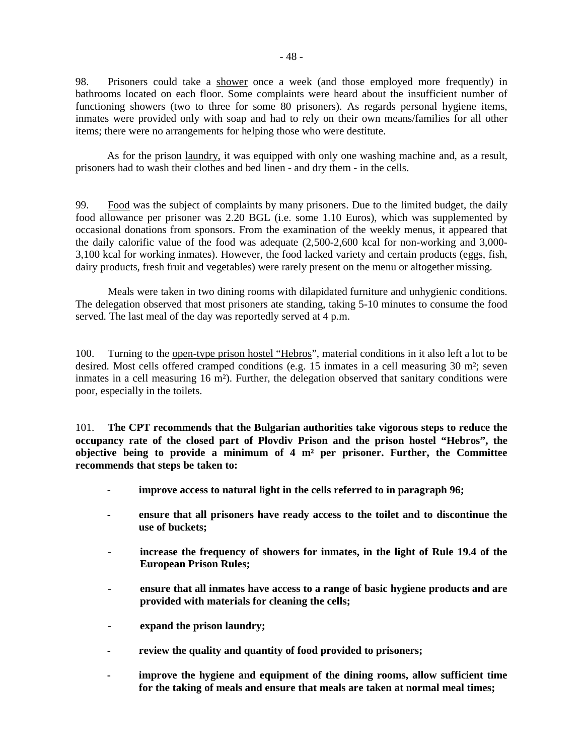98. Prisoners could take a shower once a week (and those employed more frequently) in bathrooms located on each floor. Some complaints were heard about the insufficient number of functioning showers (two to three for some 80 prisoners). As regards personal hygiene items, inmates were provided only with soap and had to rely on their own means/families for all other items; there were no arrangements for helping those who were destitute.

As for the prison laundry, it was equipped with only one washing machine and, as a result, prisoners had to wash their clothes and bed linen - and dry them - in the cells.

99. Food was the subject of complaints by many prisoners. Due to the limited budget, the daily food allowance per prisoner was 2.20 BGL (i.e. some 1.10 Euros), which was supplemented by occasional donations from sponsors. From the examination of the weekly menus, it appeared that the daily calorific value of the food was adequate (2,500-2,600 kcal for non-working and 3,000- 3,100 kcal for working inmates). However, the food lacked variety and certain products (eggs, fish, dairy products, fresh fruit and vegetables) were rarely present on the menu or altogether missing.

 Meals were taken in two dining rooms with dilapidated furniture and unhygienic conditions. The delegation observed that most prisoners ate standing, taking 5-10 minutes to consume the food served. The last meal of the day was reportedly served at 4 p.m.

100. Turning to the open-type prison hostel "Hebros", material conditions in it also left a lot to be desired. Most cells offered cramped conditions (e.g. 15 inmates in a cell measuring 30 m<sup>2</sup>; seven inmates in a cell measuring 16 m²). Further, the delegation observed that sanitary conditions were poor, especially in the toilets.

101. **The CPT recommends that the Bulgarian authorities take vigorous steps to reduce the occupancy rate of the closed part of Plovdiv Prison and the prison hostel "Hebros", the objective being to provide a minimum of 4 m² per prisoner. Further, the Committee recommends that steps be taken to:** 

- **improve access to natural light in the cells referred to in paragraph 96;**
- **ensure that all prisoners have ready access to the toilet and to discontinue the use of buckets;**
- increase the frequency of showers for inmates, in the light of Rule 19.4 of the **European Prison Rules;**
- **ensure that all inmates have access to a range of basic hygiene products and are provided with materials for cleaning the cells;**
- expand the prison laundry;
- **review the quality and quantity of food provided to prisoners;**
- improve the hygiene and equipment of the dining rooms, allow sufficient time **for the taking of meals and ensure that meals are taken at normal meal times;**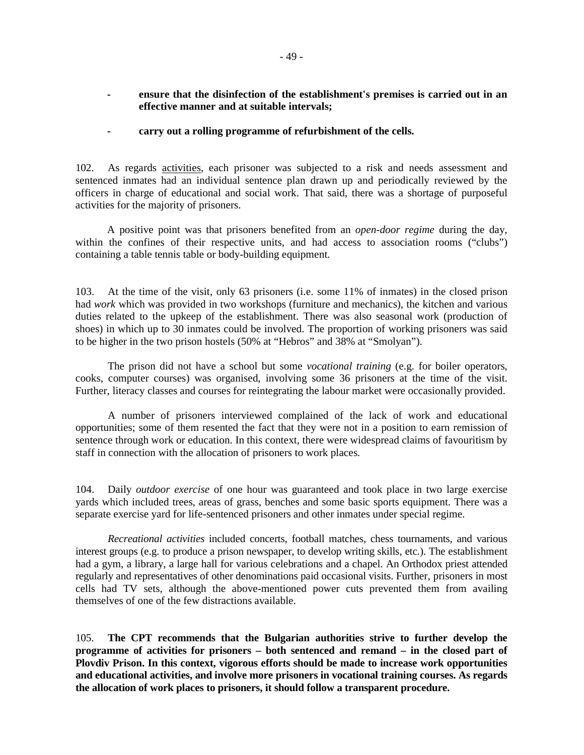- ensure that the disinfection of the establishment's premises is carried out in an **effective manner and at suitable intervals;**
- **carry out a rolling programme of refurbishment of the cells.**

102. As regards activities, each prisoner was subjected to a risk and needs assessment and sentenced inmates had an individual sentence plan drawn up and periodically reviewed by the officers in charge of educational and social work. That said, there was a shortage of purposeful activities for the majority of prisoners.

A positive point was that prisoners benefited from an *open-door regime* during the day, within the confines of their respective units, and had access to association rooms ("clubs") containing a table tennis table or body-building equipment.

103. At the time of the visit, only 63 prisoners (i.e. some 11% of inmates) in the closed prison had *work* which was provided in two workshops (furniture and mechanics), the kitchen and various duties related to the upkeep of the establishment. There was also seasonal work (production of shoes) in which up to 30 inmates could be involved. The proportion of working prisoners was said to be higher in the two prison hostels (50% at "Hebros" and 38% at "Smolyan").

 The prison did not have a school but some *vocational training* (e.g. for boiler operators, cooks, computer courses) was organised, involving some 36 prisoners at the time of the visit. Further, literacy classes and courses for reintegrating the labour market were occasionally provided.

 A number of prisoners interviewed complained of the lack of work and educational opportunities; some of them resented the fact that they were not in a position to earn remission of sentence through work or education. In this context, there were widespread claims of favouritism by staff in connection with the allocation of prisoners to work places.

104. Daily *outdoor exercise* of one hour was guaranteed and took place in two large exercise yards which included trees, areas of grass, benches and some basic sports equipment. There was a separate exercise yard for life-sentenced prisoners and other inmates under special regime.

 *Recreational activities* included concerts, football matches, chess tournaments, and various interest groups (e.g. to produce a prison newspaper, to develop writing skills, etc.). The establishment had a gym, a library, a large hall for various celebrations and a chapel. An Orthodox priest attended regularly and representatives of other denominations paid occasional visits. Further, prisoners in most cells had TV sets, although the above-mentioned power cuts prevented them from availing themselves of one of the few distractions available.

105. **The CPT recommends that the Bulgarian authorities strive to further develop the programme of activities for prisoners – both sentenced and remand – in the closed part of Plovdiv Prison. In this context, vigorous efforts should be made to increase work opportunities and educational activities, and involve more prisoners in vocational training courses. As regards the allocation of work places to prisoners, it should follow a transparent procedure.**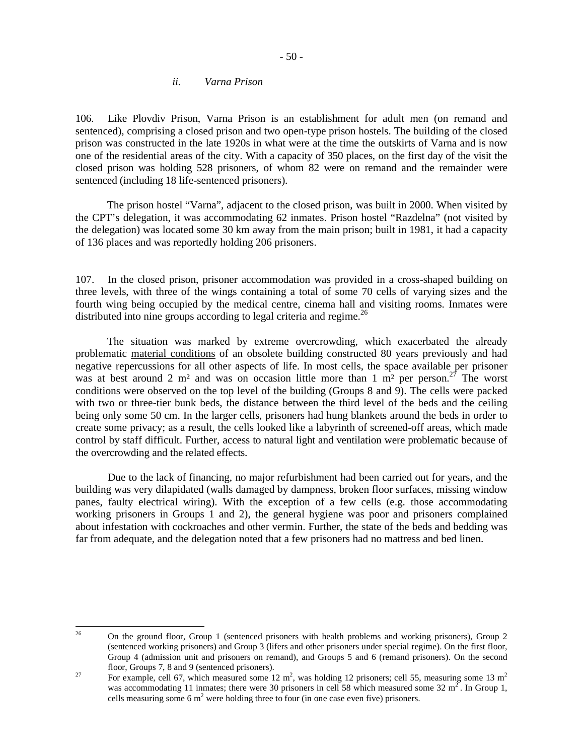#### *ii. Varna Prison*

106. Like Plovdiv Prison, Varna Prison is an establishment for adult men (on remand and sentenced), comprising a closed prison and two open-type prison hostels. The building of the closed prison was constructed in the late 1920s in what were at the time the outskirts of Varna and is now one of the residential areas of the city. With a capacity of 350 places, on the first day of the visit the closed prison was holding 528 prisoners, of whom 82 were on remand and the remainder were sentenced (including 18 life-sentenced prisoners).

The prison hostel "Varna", adjacent to the closed prison, was built in 2000. When visited by the CPT's delegation, it was accommodating 62 inmates. Prison hostel "Razdelna" (not visited by the delegation) was located some 30 km away from the main prison; built in 1981, it had a capacity of 136 places and was reportedly holding 206 prisoners.

107. In the closed prison, prisoner accommodation was provided in a cross-shaped building on three levels, with three of the wings containing a total of some 70 cells of varying sizes and the fourth wing being occupied by the medical centre, cinema hall and visiting rooms. Inmates were distributed into nine groups according to legal criteria and regime.<sup>26</sup>

The situation was marked by extreme overcrowding, which exacerbated the already problematic material conditions of an obsolete building constructed 80 years previously and had negative repercussions for all other aspects of life. In most cells, the space available per prisoner was at best around 2 m<sup>2</sup> and was on occasion little more than 1 m<sup>2</sup> per person.<sup>27</sup> The worst conditions were observed on the top level of the building (Groups 8 and 9). The cells were packed with two or three-tier bunk beds, the distance between the third level of the beds and the ceiling being only some 50 cm. In the larger cells, prisoners had hung blankets around the beds in order to create some privacy; as a result, the cells looked like a labyrinth of screened-off areas, which made control by staff difficult. Further, access to natural light and ventilation were problematic because of the overcrowding and the related effects.

 Due to the lack of financing, no major refurbishment had been carried out for years, and the building was very dilapidated (walls damaged by dampness, broken floor surfaces, missing window panes, faulty electrical wiring). With the exception of a few cells (e.g. those accommodating working prisoners in Groups 1 and 2), the general hygiene was poor and prisoners complained about infestation with cockroaches and other vermin. Further, the state of the beds and bedding was far from adequate, and the delegation noted that a few prisoners had no mattress and bed linen.

<sup>26</sup> <sup>26</sup> On the ground floor, Group 1 (sentenced prisoners with health problems and working prisoners), Group 2 (sentenced working prisoners) and Group 3 (lifers and other prisoners under special regime). On the first floor, Group 4 (admission unit and prisoners on remand), and Groups 5 and 6 (remand prisoners). On the second floor, Groups 7, 8 and 9 (sentenced prisoners).

<sup>&</sup>lt;sup>27</sup> For example, cell 67, which measured some 12 m<sup>2</sup>, was holding 12 prisoners; cell 55, measuring some 13 m<sup>2</sup> was accommodating 11 inmates; there were 30 prisoners in cell 58 which measured some 32 m<sup>2</sup>. In Group 1, cells measuring some 6  $m^2$  were holding three to four (in one case even five) prisoners.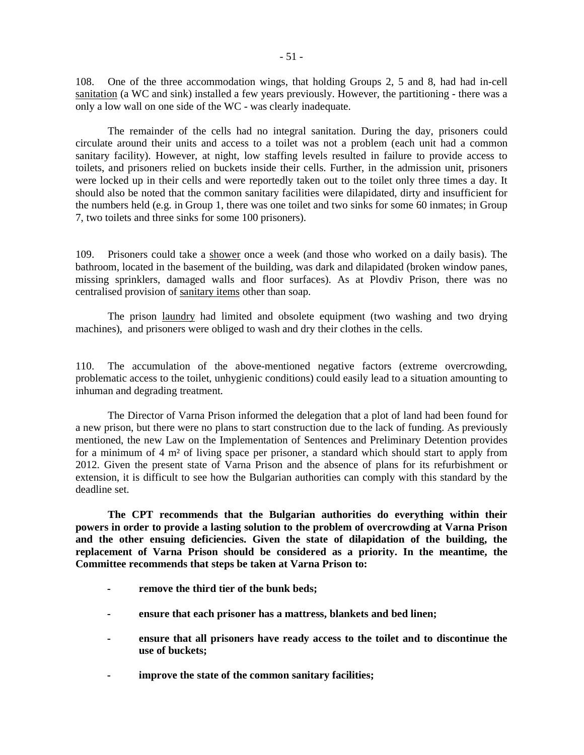108. One of the three accommodation wings, that holding Groups 2, 5 and 8, had had in-cell sanitation (a WC and sink) installed a few years previously. However, the partitioning - there was a only a low wall on one side of the WC - was clearly inadequate.

 The remainder of the cells had no integral sanitation. During the day, prisoners could circulate around their units and access to a toilet was not a problem (each unit had a common sanitary facility). However, at night, low staffing levels resulted in failure to provide access to toilets, and prisoners relied on buckets inside their cells. Further, in the admission unit, prisoners were locked up in their cells and were reportedly taken out to the toilet only three times a day. It should also be noted that the common sanitary facilities were dilapidated, dirty and insufficient for the numbers held (e.g. in Group 1, there was one toilet and two sinks for some 60 inmates; in Group 7, two toilets and three sinks for some 100 prisoners).

109. Prisoners could take a shower once a week (and those who worked on a daily basis). The bathroom, located in the basement of the building, was dark and dilapidated (broken window panes, missing sprinklers, damaged walls and floor surfaces). As at Plovdiv Prison, there was no centralised provision of sanitary items other than soap.

 The prison laundry had limited and obsolete equipment (two washing and two drying machines), and prisoners were obliged to wash and dry their clothes in the cells.

110. The accumulation of the above-mentioned negative factors (extreme overcrowding, problematic access to the toilet, unhygienic conditions) could easily lead to a situation amounting to inhuman and degrading treatment.

 The Director of Varna Prison informed the delegation that a plot of land had been found for a new prison, but there were no plans to start construction due to the lack of funding. As previously mentioned, the new Law on the Implementation of Sentences and Preliminary Detention provides for a minimum of 4 m² of living space per prisoner, a standard which should start to apply from 2012. Given the present state of Varna Prison and the absence of plans for its refurbishment or extension, it is difficult to see how the Bulgarian authorities can comply with this standard by the deadline set.

 **The CPT recommends that the Bulgarian authorities do everything within their powers in order to provide a lasting solution to the problem of overcrowding at Varna Prison and the other ensuing deficiencies. Given the state of dilapidation of the building, the replacement of Varna Prison should be considered as a priority. In the meantime, the Committee recommends that steps be taken at Varna Prison to:** 

- **remove the third tier of the bunk beds;**
- **ensure that each prisoner has a mattress, blankets and bed linen;**
- **ensure that all prisoners have ready access to the toilet and to discontinue the use of buckets;**
- **improve the state of the common sanitary facilities;**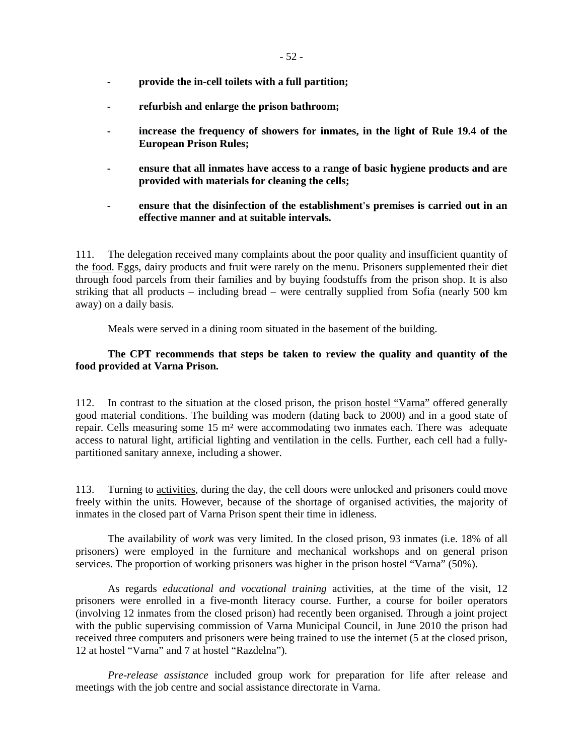- **provide the in-cell toilets with a full partition;**
- **refurbish and enlarge the prison bathroom;**
- **increase the frequency of showers for inmates, in the light of Rule 19.4 of the European Prison Rules;**
- **ensure that all inmates have access to a range of basic hygiene products and are provided with materials for cleaning the cells;**
- **ensure that the disinfection of the establishment's premises is carried out in an effective manner and at suitable intervals.**

111. The delegation received many complaints about the poor quality and insufficient quantity of the food. Eggs, dairy products and fruit were rarely on the menu. Prisoners supplemented their diet through food parcels from their families and by buying foodstuffs from the prison shop. It is also striking that all products – including bread – were centrally supplied from Sofia (nearly 500 km away) on a daily basis.

Meals were served in a dining room situated in the basement of the building.

## **The CPT recommends that steps be taken to review the quality and quantity of the food provided at Varna Prison.**

112. In contrast to the situation at the closed prison, the prison hostel "Varna" offered generally good material conditions. The building was modern (dating back to 2000) and in a good state of repair. Cells measuring some 15 m² were accommodating two inmates each. There was adequate access to natural light, artificial lighting and ventilation in the cells. Further, each cell had a fullypartitioned sanitary annexe, including a shower.

113. Turning to activities, during the day, the cell doors were unlocked and prisoners could move freely within the units. However, because of the shortage of organised activities, the majority of inmates in the closed part of Varna Prison spent their time in idleness.

 The availability of *work* was very limited. In the closed prison, 93 inmates (i.e. 18% of all prisoners) were employed in the furniture and mechanical workshops and on general prison services. The proportion of working prisoners was higher in the prison hostel "Varna" (50%).

 As regards *educational and vocational training* activities, at the time of the visit, 12 prisoners were enrolled in a five-month literacy course. Further, a course for boiler operators (involving 12 inmates from the closed prison) had recently been organised. Through a joint project with the public supervising commission of Varna Municipal Council, in June 2010 the prison had received three computers and prisoners were being trained to use the internet (5 at the closed prison, 12 at hostel "Varna" and 7 at hostel "Razdelna").

 *Pre-release assistance* included group work for preparation for life after release and meetings with the job centre and social assistance directorate in Varna.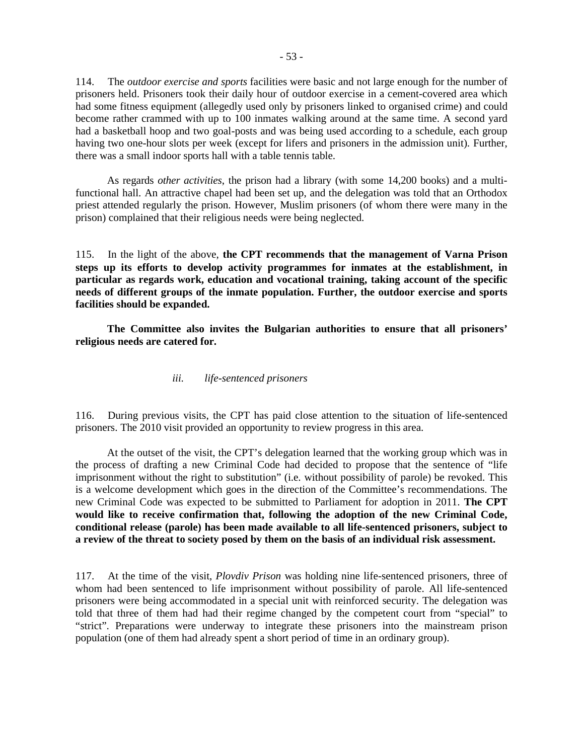114. The *outdoor exercise and sports* facilities were basic and not large enough for the number of prisoners held. Prisoners took their daily hour of outdoor exercise in a cement-covered area which had some fitness equipment (allegedly used only by prisoners linked to organised crime) and could become rather crammed with up to 100 inmates walking around at the same time. A second yard had a basketball hoop and two goal-posts and was being used according to a schedule, each group having two one-hour slots per week (except for lifers and prisoners in the admission unit). Further, there was a small indoor sports hall with a table tennis table.

As regards *other activities*, the prison had a library (with some 14,200 books) and a multifunctional hall. An attractive chapel had been set up, and the delegation was told that an Orthodox priest attended regularly the prison. However, Muslim prisoners (of whom there were many in the prison) complained that their religious needs were being neglected.

115. In the light of the above, **the CPT recommends that the management of Varna Prison steps up its efforts to develop activity programmes for inmates at the establishment, in particular as regards work, education and vocational training, taking account of the specific needs of different groups of the inmate population. Further, the outdoor exercise and sports facilities should be expanded.** 

**The Committee also invites the Bulgarian authorities to ensure that all prisoners' religious needs are catered for.** 

#### *iii. life-sentenced prisoners*

116. During previous visits, the CPT has paid close attention to the situation of life-sentenced prisoners. The 2010 visit provided an opportunity to review progress in this area.

 At the outset of the visit, the CPT's delegation learned that the working group which was in the process of drafting a new Criminal Code had decided to propose that the sentence of "life imprisonment without the right to substitution" (i.e. without possibility of parole) be revoked. This is a welcome development which goes in the direction of the Committee's recommendations. The new Criminal Code was expected to be submitted to Parliament for adoption in 2011. **The CPT would like to receive confirmation that, following the adoption of the new Criminal Code, conditional release (parole) has been made available to all life-sentenced prisoners, subject to a review of the threat to society posed by them on the basis of an individual risk assessment.** 

117. At the time of the visit, *Plovdiv Prison* was holding nine life-sentenced prisoners, three of whom had been sentenced to life imprisonment without possibility of parole. All life-sentenced prisoners were being accommodated in a special unit with reinforced security. The delegation was told that three of them had had their regime changed by the competent court from "special" to "strict". Preparations were underway to integrate these prisoners into the mainstream prison population (one of them had already spent a short period of time in an ordinary group).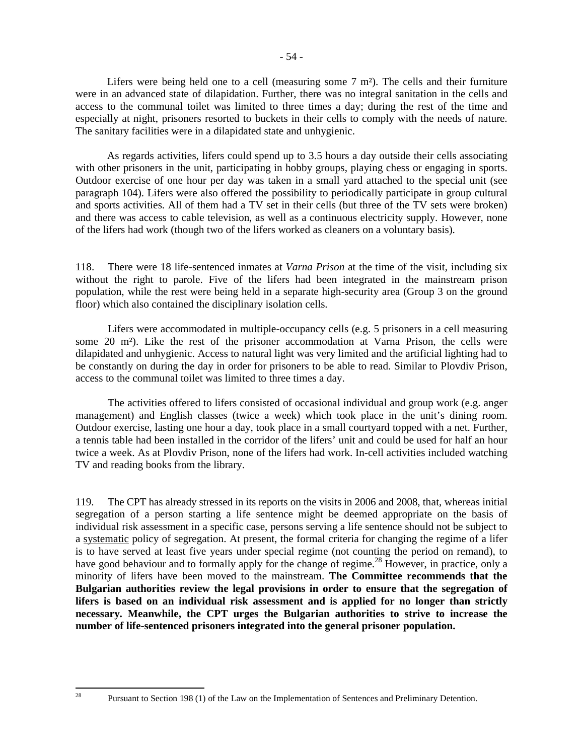Lifers were being held one to a cell (measuring some  $7 \text{ m}^2$ ). The cells and their furniture were in an advanced state of dilapidation. Further, there was no integral sanitation in the cells and access to the communal toilet was limited to three times a day; during the rest of the time and especially at night, prisoners resorted to buckets in their cells to comply with the needs of nature. The sanitary facilities were in a dilapidated state and unhygienic.

As regards activities, lifers could spend up to 3.5 hours a day outside their cells associating with other prisoners in the unit, participating in hobby groups, playing chess or engaging in sports. Outdoor exercise of one hour per day was taken in a small yard attached to the special unit (see paragraph 104). Lifers were also offered the possibility to periodically participate in group cultural and sports activities. All of them had a TV set in their cells (but three of the TV sets were broken) and there was access to cable television, as well as a continuous electricity supply. However, none of the lifers had work (though two of the lifers worked as cleaners on a voluntary basis).

118. There were 18 life-sentenced inmates at *Varna Prison* at the time of the visit, including six without the right to parole. Five of the lifers had been integrated in the mainstream prison population, while the rest were being held in a separate high-security area (Group 3 on the ground floor) which also contained the disciplinary isolation cells.

 Lifers were accommodated in multiple-occupancy cells (e.g. 5 prisoners in a cell measuring some 20 m²). Like the rest of the prisoner accommodation at Varna Prison, the cells were dilapidated and unhygienic. Access to natural light was very limited and the artificial lighting had to be constantly on during the day in order for prisoners to be able to read. Similar to Plovdiv Prison, access to the communal toilet was limited to three times a day.

 The activities offered to lifers consisted of occasional individual and group work (e.g. anger management) and English classes (twice a week) which took place in the unit's dining room. Outdoor exercise, lasting one hour a day, took place in a small courtyard topped with a net. Further, a tennis table had been installed in the corridor of the lifers' unit and could be used for half an hour twice a week. As at Plovdiv Prison, none of the lifers had work. In-cell activities included watching TV and reading books from the library.

119. The CPT has already stressed in its reports on the visits in 2006 and 2008, that, whereas initial segregation of a person starting a life sentence might be deemed appropriate on the basis of individual risk assessment in a specific case, persons serving a life sentence should not be subject to a systematic policy of segregation. At present, the formal criteria for changing the regime of a lifer is to have served at least five years under special regime (not counting the period on remand), to have good behaviour and to formally apply for the change of regime.<sup>28</sup> However, in practice, only a minority of lifers have been moved to the mainstream. **The Committee recommends that the Bulgarian authorities review the legal provisions in order to ensure that the segregation of lifers is based on an individual risk assessment and is applied for no longer than strictly necessary. Meanwhile, the CPT urges the Bulgarian authorities to strive to increase the number of life-sentenced prisoners integrated into the general prisoner population.** 

28

<sup>28</sup> Pursuant to Section 198 (1) of the Law on the Implementation of Sentences and Preliminary Detention.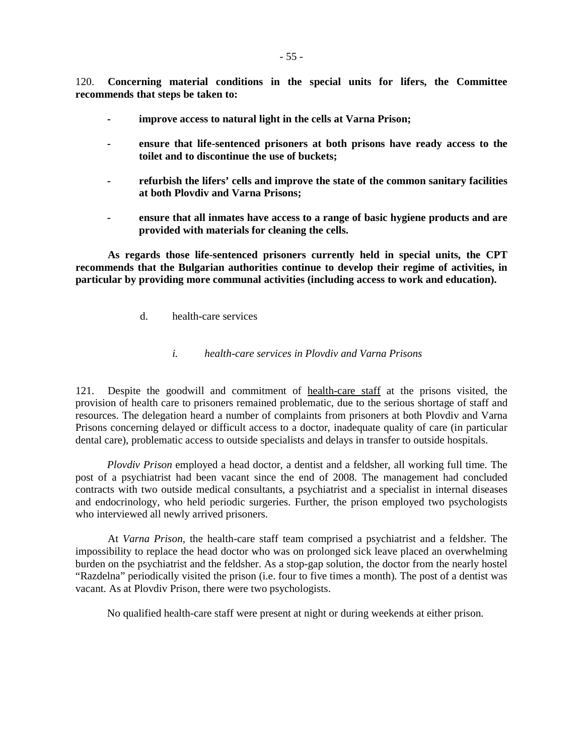120. **Concerning material conditions in the special units for lifers, the Committee recommends that steps be taken to:**

- **improve access to natural light in the cells at Varna Prison;**
- ensure that life-sentenced prisoners at both prisons have ready access to the **toilet and to discontinue the use of buckets;**
- refurbish the lifers' cells and improve the state of the common sanitary facilities **at both Plovdiv and Varna Prisons;**
- **ensure that all inmates have access to a range of basic hygiene products and are provided with materials for cleaning the cells.**

 **As regards those life-sentenced prisoners currently held in special units, the CPT recommends that the Bulgarian authorities continue to develop their regime of activities, in particular by providing more communal activities (including access to work and education).** 

d. health-care services

### *i. health-care services in Plovdiv and Varna Prisons*

121. Despite the goodwill and commitment of health-care staff at the prisons visited, the provision of health care to prisoners remained problematic, due to the serious shortage of staff and resources. The delegation heard a number of complaints from prisoners at both Plovdiv and Varna Prisons concerning delayed or difficult access to a doctor, inadequate quality of care (in particular dental care), problematic access to outside specialists and delays in transfer to outside hospitals.

*Plovdiv Prison* employed a head doctor, a dentist and a feldsher, all working full time. The post of a psychiatrist had been vacant since the end of 2008. The management had concluded contracts with two outside medical consultants, a psychiatrist and a specialist in internal diseases and endocrinology, who held periodic surgeries. Further, the prison employed two psychologists who interviewed all newly arrived prisoners.

 At *Varna Prison,* the health-care staff team comprised a psychiatrist and a feldsher. The impossibility to replace the head doctor who was on prolonged sick leave placed an overwhelming burden on the psychiatrist and the feldsher. As a stop-gap solution, the doctor from the nearly hostel "Razdelna" periodically visited the prison (i.e. four to five times a month). The post of a dentist was vacant. As at Plovdiv Prison, there were two psychologists.

No qualified health-care staff were present at night or during weekends at either prison.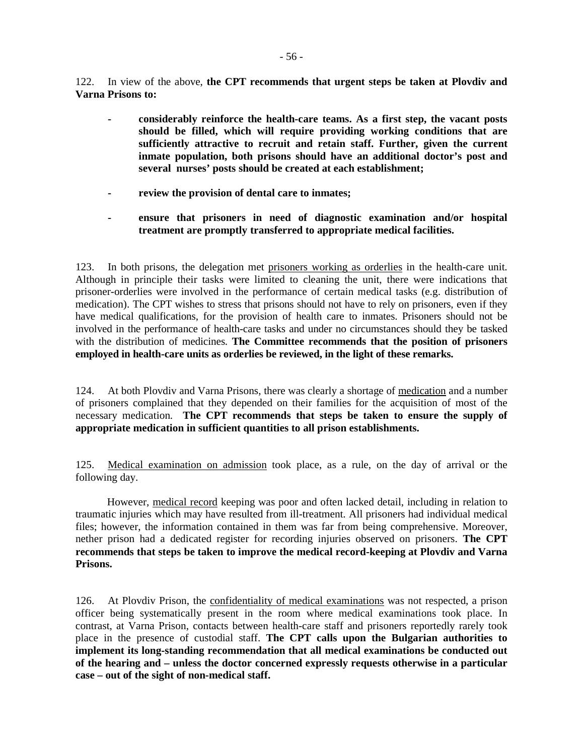122. In view of the above, **the CPT recommends that urgent steps be taken at Plovdiv and Varna Prisons to:** 

- **considerably reinforce the health-care teams. As a first step, the vacant posts should be filled, which will require providing working conditions that are sufficiently attractive to recruit and retain staff. Further, given the current inmate population, both prisons should have an additional doctor's post and several nurses' posts should be created at each establishment;**
- **review the provision of dental care to inmates;**
- **ensure that prisoners in need of diagnostic examination and/or hospital treatment are promptly transferred to appropriate medical facilities.**

123. In both prisons, the delegation met prisoners working as orderlies in the health-care unit. Although in principle their tasks were limited to cleaning the unit, there were indications that prisoner-orderlies were involved in the performance of certain medical tasks (e.g. distribution of medication). The CPT wishes to stress that prisons should not have to rely on prisoners, even if they have medical qualifications, for the provision of health care to inmates. Prisoners should not be involved in the performance of health-care tasks and under no circumstances should they be tasked with the distribution of medicines. **The Committee recommends that the position of prisoners employed in health-care units as orderlies be reviewed, in the light of these remarks.**

124. At both Plovdiv and Varna Prisons, there was clearly a shortage of medication and a number of prisoners complained that they depended on their families for the acquisition of most of the necessary medication. **The CPT recommends that steps be taken to ensure the supply of appropriate medication in sufficient quantities to all prison establishments.**

125. Medical examination on admission took place, as a rule, on the day of arrival or the following day.

However, medical record keeping was poor and often lacked detail, including in relation to traumatic injuries which may have resulted from ill-treatment. All prisoners had individual medical files; however, the information contained in them was far from being comprehensive. Moreover, nether prison had a dedicated register for recording injuries observed on prisoners. **The CPT recommends that steps be taken to improve the medical record-keeping at Plovdiv and Varna Prisons.** 

126. At Plovdiv Prison, the confidentiality of medical examinations was not respected, a prison officer being systematically present in the room where medical examinations took place. In contrast, at Varna Prison, contacts between health-care staff and prisoners reportedly rarely took place in the presence of custodial staff. **The CPT calls upon the Bulgarian authorities to implement its long-standing recommendation that all medical examinations be conducted out of the hearing and – unless the doctor concerned expressly requests otherwise in a particular case – out of the sight of non-medical staff.**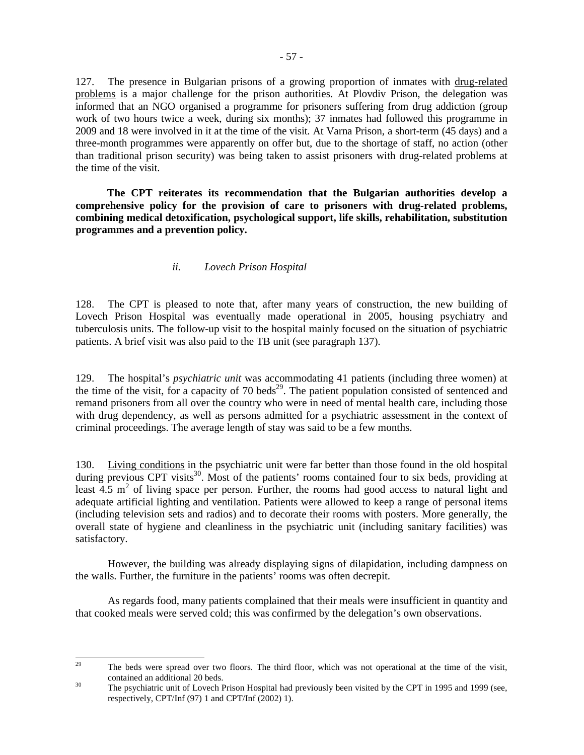127. The presence in Bulgarian prisons of a growing proportion of inmates with drug-related problems is a major challenge for the prison authorities. At Plovdiv Prison, the delegation was informed that an NGO organised a programme for prisoners suffering from drug addiction (group work of two hours twice a week, during six months); 37 inmates had followed this programme in 2009 and 18 were involved in it at the time of the visit. At Varna Prison, a short-term (45 days) and a three-month programmes were apparently on offer but, due to the shortage of staff, no action (other than traditional prison security) was being taken to assist prisoners with drug-related problems at the time of the visit.

**The CPT reiterates its recommendation that the Bulgarian authorities develop a comprehensive policy for the provision of care to prisoners with drug-related problems, combining medical detoxification, psychological support, life skills, rehabilitation, substitution programmes and a prevention policy.**

## *ii. Lovech Prison Hospital*

128. The CPT is pleased to note that, after many years of construction, the new building of Lovech Prison Hospital was eventually made operational in 2005, housing psychiatry and tuberculosis units. The follow-up visit to the hospital mainly focused on the situation of psychiatric patients. A brief visit was also paid to the TB unit (see paragraph 137).

129. The hospital's *psychiatric unit* was accommodating 41 patients (including three women) at the time of the visit, for a capacity of 70 beds<sup>29</sup>. The patient population consisted of sentenced and remand prisoners from all over the country who were in need of mental health care, including those with drug dependency, as well as persons admitted for a psychiatric assessment in the context of criminal proceedings. The average length of stay was said to be a few months.

130. Living conditions in the psychiatric unit were far better than those found in the old hospital during previous CPT visits<sup>30</sup>. Most of the patients' rooms contained four to six beds, providing at least  $4.5 \text{ m}^2$  of living space per person. Further, the rooms had good access to natural light and adequate artificial lighting and ventilation. Patients were allowed to keep a range of personal items (including television sets and radios) and to decorate their rooms with posters. More generally, the overall state of hygiene and cleanliness in the psychiatric unit (including sanitary facilities) was satisfactory.

 However, the building was already displaying signs of dilapidation, including dampness on the walls. Further, the furniture in the patients' rooms was often decrepit.

 As regards food, many patients complained that their meals were insufficient in quantity and that cooked meals were served cold; this was confirmed by the delegation's own observations.

 $29$ The beds were spread over two floors. The third floor, which was not operational at the time of the visit, contained an additional 20 beds.

<sup>&</sup>lt;sup>30</sup> The psychiatric unit of Lovech Prison Hospital had previously been visited by the CPT in 1995 and 1999 (see, respectively, CPT/Inf (97) 1 and CPT/Inf (2002) 1).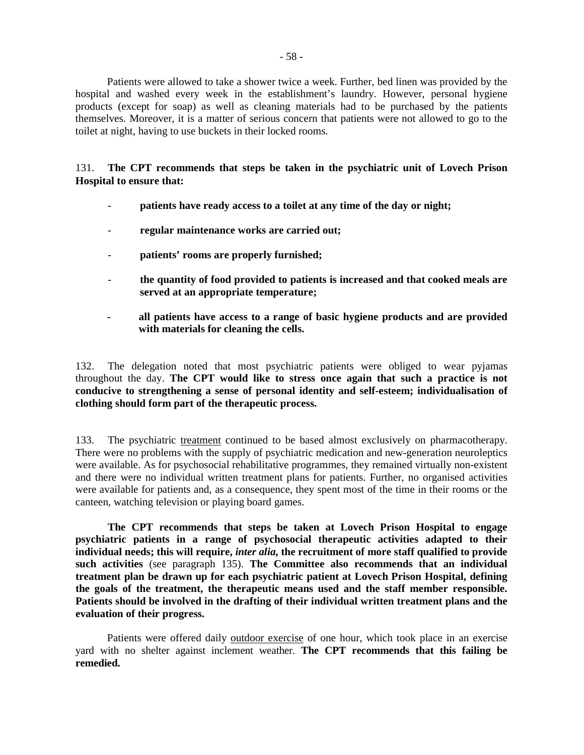Patients were allowed to take a shower twice a week. Further, bed linen was provided by the hospital and washed every week in the establishment's laundry. However, personal hygiene products (except for soap) as well as cleaning materials had to be purchased by the patients themselves. Moreover, it is a matter of serious concern that patients were not allowed to go to the toilet at night, having to use buckets in their locked rooms.

131. **The CPT recommends that steps be taken in the psychiatric unit of Lovech Prison Hospital to ensure that:** 

- patients have ready access to a toilet at any time of the day or night;
- **regular maintenance works are carried out;**
- **patients' rooms are properly furnished;**
- **the quantity of food provided to patients is increased and that cooked meals are served at an appropriate temperature;**
- **all patients have access to a range of basic hygiene products and are provided with materials for cleaning the cells.**

132. The delegation noted that most psychiatric patients were obliged to wear pyjamas throughout the day. **The CPT would like to stress once again that such a practice is not conducive to strengthening a sense of personal identity and self-esteem; individualisation of clothing should form part of the therapeutic process.**

133. The psychiatric treatment continued to be based almost exclusively on pharmacotherapy. There were no problems with the supply of psychiatric medication and new-generation neuroleptics were available. As for psychosocial rehabilitative programmes, they remained virtually non-existent and there were no individual written treatment plans for patients. Further, no organised activities were available for patients and, as a consequence, they spent most of the time in their rooms or the canteen, watching television or playing board games.

**The CPT recommends that steps be taken at Lovech Prison Hospital to engage psychiatric patients in a range of psychosocial therapeutic activities adapted to their individual needs; this will require,** *inter alia***, the recruitment of more staff qualified to provide such activities** (see paragraph 135). **The Committee also recommends that an individual treatment plan be drawn up for each psychiatric patient at Lovech Prison Hospital, defining the goals of the treatment, the therapeutic means used and the staff member responsible. Patients should be involved in the drafting of their individual written treatment plans and the evaluation of their progress.**

Patients were offered daily outdoor exercise of one hour, which took place in an exercise yard with no shelter against inclement weather. **The CPT recommends that this failing be remedied.**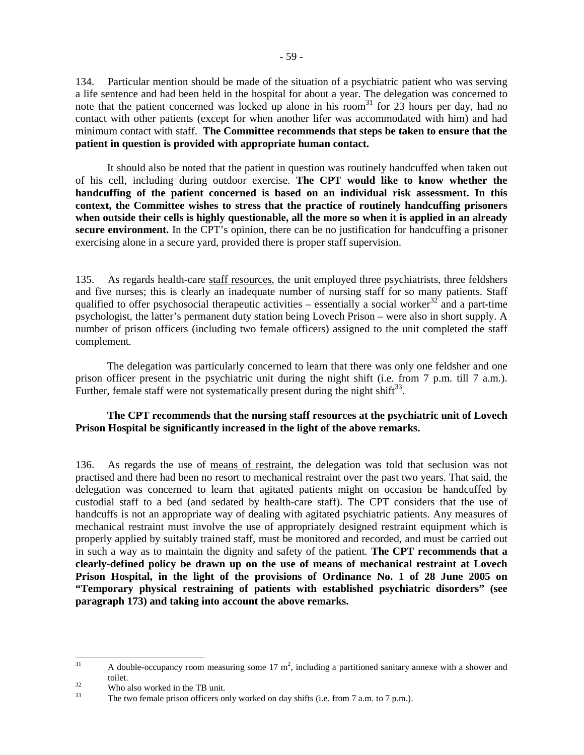134. Particular mention should be made of the situation of a psychiatric patient who was serving a life sentence and had been held in the hospital for about a year. The delegation was concerned to note that the patient concerned was locked up alone in his room<sup>31</sup> for 23 hours per day, had no contact with other patients (except for when another lifer was accommodated with him) and had minimum contact with staff. **The Committee recommends that steps be taken to ensure that the patient in question is provided with appropriate human contact.** 

It should also be noted that the patient in question was routinely handcuffed when taken out of his cell, including during outdoor exercise. **The CPT would like to know whether the handcuffing of the patient concerned is based on an individual risk assessment. In this context, the Committee wishes to stress that the practice of routinely handcuffing prisoners when outside their cells is highly questionable, all the more so when it is applied in an already secure environment.** In the CPT's opinion, there can be no justification for handcuffing a prisoner exercising alone in a secure yard, provided there is proper staff supervision.

135. As regards health-care staff resources, the unit employed three psychiatrists, three feldshers and five nurses; this is clearly an inadequate number of nursing staff for so many patients. Staff qualified to offer psychosocial therapeutic activities – essentially a social worker<sup>32</sup> and a part-time psychologist, the latter's permanent duty station being Lovech Prison – were also in short supply. A number of prison officers (including two female officers) assigned to the unit completed the staff complement.

The delegation was particularly concerned to learn that there was only one feldsher and one prison officer present in the psychiatric unit during the night shift (i.e. from 7 p.m. till 7 a.m.). Further, female staff were not systematically present during the night shift<sup>33</sup>.

## **The CPT recommends that the nursing staff resources at the psychiatric unit of Lovech Prison Hospital be significantly increased in the light of the above remarks.**

136. As regards the use of means of restraint, the delegation was told that seclusion was not practised and there had been no resort to mechanical restraint over the past two years. That said, the delegation was concerned to learn that agitated patients might on occasion be handcuffed by custodial staff to a bed (and sedated by health-care staff). The CPT considers that the use of handcuffs is not an appropriate way of dealing with agitated psychiatric patients. Any measures of mechanical restraint must involve the use of appropriately designed restraint equipment which is properly applied by suitably trained staff, must be monitored and recorded, and must be carried out in such a way as to maintain the dignity and safety of the patient. **The CPT recommends that a clearly-defined policy be drawn up on the use of means of mechanical restraint at Lovech Prison Hospital, in the light of the provisions of Ordinance No. 1 of 28 June 2005 on "Temporary physical restraining of patients with established psychiatric disorders" (see paragraph 173) and taking into account the above remarks.** 

 $31$  $31$  A double-occupancy room measuring some 17 m<sup>2</sup>, including a partitioned sanitary annexe with a shower and toilet.

 $\frac{32}{33}$  Who also worked in the TB unit.

The two female prison officers only worked on day shifts (i.e. from 7 a.m. to 7 p.m.).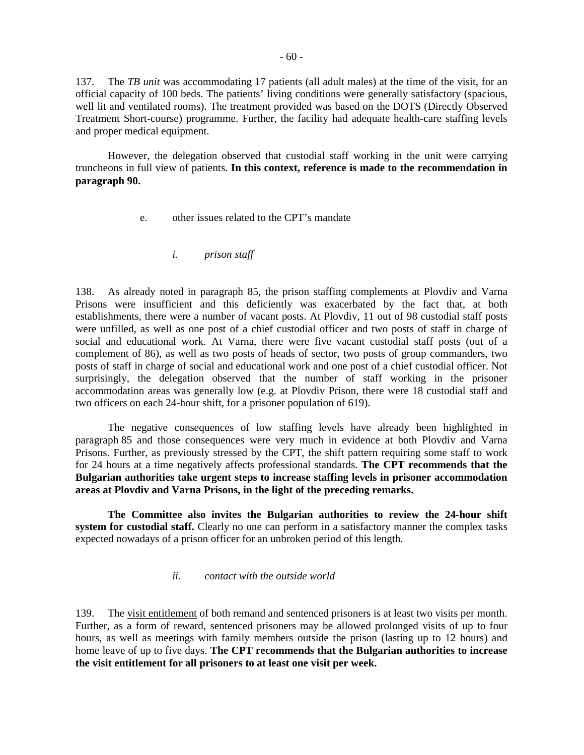137. The *TB unit* was accommodating 17 patients (all adult males) at the time of the visit, for an official capacity of 100 beds. The patients' living conditions were generally satisfactory (spacious, well lit and ventilated rooms). The treatment provided was based on the DOTS (Directly Observed Treatment Short-course) programme. Further, the facility had adequate health-care staffing levels and proper medical equipment.

 However, the delegation observed that custodial staff working in the unit were carrying truncheons in full view of patients. **In this context, reference is made to the recommendation in paragraph 90.**

- e. other issues related to the CPT's mandate
	- *i. prison staff*

138. As already noted in paragraph 85, the prison staffing complements at Plovdiv and Varna Prisons were insufficient and this deficiently was exacerbated by the fact that, at both establishments, there were a number of vacant posts. At Plovdiv, 11 out of 98 custodial staff posts were unfilled, as well as one post of a chief custodial officer and two posts of staff in charge of social and educational work. At Varna, there were five vacant custodial staff posts (out of a complement of 86), as well as two posts of heads of sector, two posts of group commanders, two posts of staff in charge of social and educational work and one post of a chief custodial officer. Not surprisingly, the delegation observed that the number of staff working in the prisoner accommodation areas was generally low (e.g. at Plovdiv Prison, there were 18 custodial staff and two officers on each 24-hour shift, for a prisoner population of 619).

 The negative consequences of low staffing levels have already been highlighted in paragraph 85 and those consequences were very much in evidence at both Plovdiv and Varna Prisons. Further, as previously stressed by the CPT, the shift pattern requiring some staff to work for 24 hours at a time negatively affects professional standards. **The CPT recommends that the Bulgarian authorities take urgent steps to increase staffing levels in prisoner accommodation areas at Plovdiv and Varna Prisons, in the light of the preceding remarks.** 

 **The Committee also invites the Bulgarian authorities to review the 24-hour shift system for custodial staff.** Clearly no one can perform in a satisfactory manner the complex tasks expected nowadays of a prison officer for an unbroken period of this length.

#### *ii. contact with the outside world*

139. The <u>visit entitlement</u> of both remand and sentenced prisoners is at least two visits per month. Further, as a form of reward, sentenced prisoners may be allowed prolonged visits of up to four hours, as well as meetings with family members outside the prison (lasting up to 12 hours) and home leave of up to five days. **The CPT recommends that the Bulgarian authorities to increase the visit entitlement for all prisoners to at least one visit per week.**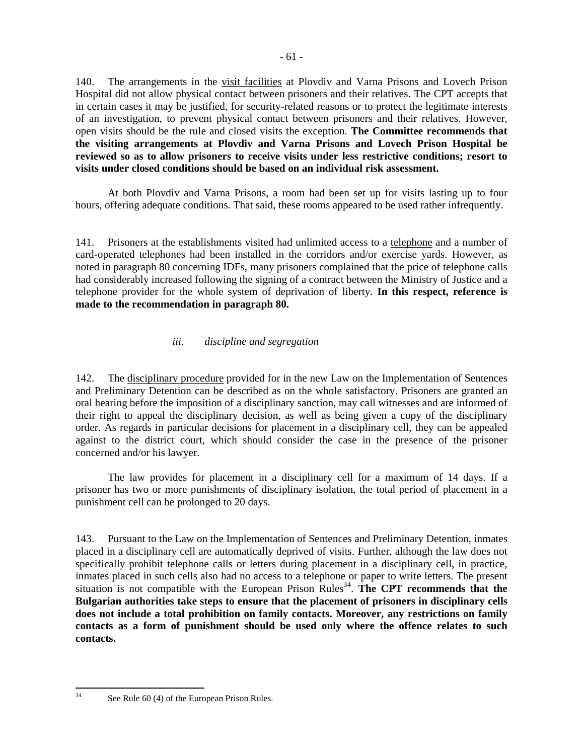140. The arrangements in the visit facilities at Plovdiv and Varna Prisons and Lovech Prison Hospital did not allow physical contact between prisoners and their relatives. The CPT accepts that in certain cases it may be justified, for security-related reasons or to protect the legitimate interests of an investigation, to prevent physical contact between prisoners and their relatives. However, open visits should be the rule and closed visits the exception. **The Committee recommends that the visiting arrangements at Plovdiv and Varna Prisons and Lovech Prison Hospital be reviewed so as to allow prisoners to receive visits under less restrictive conditions; resort to visits under closed conditions should be based on an individual risk assessment.** 

 At both Plovdiv and Varna Prisons, a room had been set up for visits lasting up to four hours, offering adequate conditions. That said, these rooms appeared to be used rather infrequently.

141. Prisoners at the establishments visited had unlimited access to a telephone and a number of card-operated telephones had been installed in the corridors and/or exercise yards. However, as noted in paragraph 80 concerning IDFs, many prisoners complained that the price of telephone calls had considerably increased following the signing of a contract between the Ministry of Justice and a telephone provider for the whole system of deprivation of liberty. **In this respect, reference is made to the recommendation in paragraph 80.** 

# *iii. discipline and segregation*

142. The disciplinary procedure provided for in the new Law on the Implementation of Sentences and Preliminary Detention can be described as on the whole satisfactory. Prisoners are granted an oral hearing before the imposition of a disciplinary sanction, may call witnesses and are informed of their right to appeal the disciplinary decision, as well as being given a copy of the disciplinary order. As regards in particular decisions for placement in a disciplinary cell, they can be appealed against to the district court, which should consider the case in the presence of the prisoner concerned and/or his lawyer.

 The law provides for placement in a disciplinary cell for a maximum of 14 days. If a prisoner has two or more punishments of disciplinary isolation, the total period of placement in a punishment cell can be prolonged to 20 days.

143. Pursuant to the Law on the Implementation of Sentences and Preliminary Detention, inmates placed in a disciplinary cell are automatically deprived of visits. Further, although the law does not specifically prohibit telephone calls or letters during placement in a disciplinary cell, in practice, inmates placed in such cells also had no access to a telephone or paper to write letters. The present  $s$ ituation is not compatible with the European Prison Rules<sup>34</sup>. The CPT recommends that the **Bulgarian authorities take steps to ensure that the placement of prisoners in disciplinary cells does not include a total prohibition on family contacts. Moreover, any restrictions on family contacts as a form of punishment should be used only where the offence relates to such contacts.** 

<sup>34</sup> 

See Rule 60 (4) of the European Prison Rules.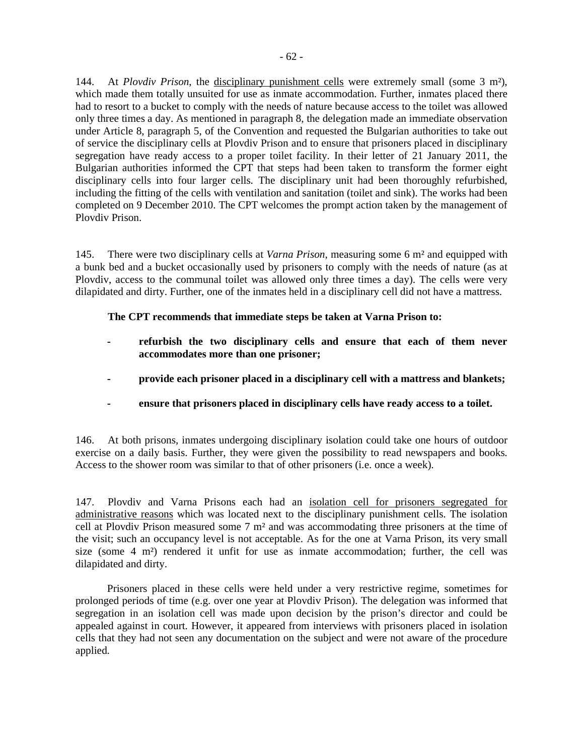144. At *Plovdiv Prison*, the disciplinary punishment cells were extremely small (some 3 m²), which made them totally unsuited for use as inmate accommodation. Further, inmates placed there had to resort to a bucket to comply with the needs of nature because access to the toilet was allowed only three times a day. As mentioned in paragraph 8, the delegation made an immediate observation under Article 8, paragraph 5, of the Convention and requested the Bulgarian authorities to take out of service the disciplinary cells at Plovdiv Prison and to ensure that prisoners placed in disciplinary segregation have ready access to a proper toilet facility. In their letter of 21 January 2011, the Bulgarian authorities informed the CPT that steps had been taken to transform the former eight disciplinary cells into four larger cells. The disciplinary unit had been thoroughly refurbished, including the fitting of the cells with ventilation and sanitation (toilet and sink). The works had been completed on 9 December 2010. The CPT welcomes the prompt action taken by the management of Plovdiv Prison.

145. There were two disciplinary cells at *Varna Prison*, measuring some 6 m² and equipped with a bunk bed and a bucket occasionally used by prisoners to comply with the needs of nature (as at Plovdiv, access to the communal toilet was allowed only three times a day). The cells were very dilapidated and dirty. Further, one of the inmates held in a disciplinary cell did not have a mattress.

## **The CPT recommends that immediate steps be taken at Varna Prison to:**

- **refurbish the two disciplinary cells and ensure that each of them never accommodates more than one prisoner;**
- **provide each prisoner placed in a disciplinary cell with a mattress and blankets;**
- **ensure that prisoners placed in disciplinary cells have ready access to a toilet.**

146. At both prisons, inmates undergoing disciplinary isolation could take one hours of outdoor exercise on a daily basis. Further, they were given the possibility to read newspapers and books. Access to the shower room was similar to that of other prisoners (i.e. once a week).

147. Plovdiv and Varna Prisons each had an isolation cell for prisoners segregated for administrative reasons which was located next to the disciplinary punishment cells. The isolation cell at Plovdiv Prison measured some 7 m² and was accommodating three prisoners at the time of the visit; such an occupancy level is not acceptable. As for the one at Varna Prison, its very small size (some  $4 \text{ m}^2$ ) rendered it unfit for use as inmate accommodation; further, the cell was dilapidated and dirty.

Prisoners placed in these cells were held under a very restrictive regime, sometimes for prolonged periods of time (e.g. over one year at Plovdiv Prison). The delegation was informed that segregation in an isolation cell was made upon decision by the prison's director and could be appealed against in court. However, it appeared from interviews with prisoners placed in isolation cells that they had not seen any documentation on the subject and were not aware of the procedure applied.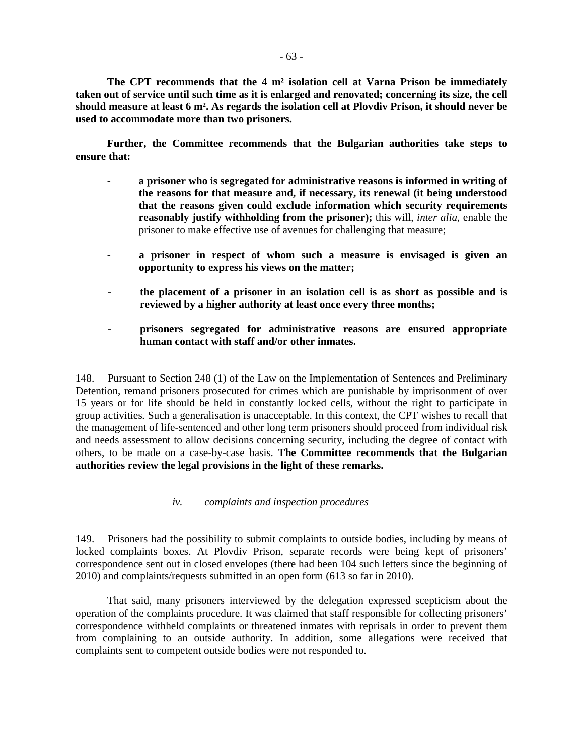**The CPT recommends that the 4 m² isolation cell at Varna Prison be immediately taken out of service until such time as it is enlarged and renovated; concerning its size, the cell should measure at least 6 m². As regards the isolation cell at Plovdiv Prison, it should never be used to accommodate more than two prisoners.**

**Further, the Committee recommends that the Bulgarian authorities take steps to ensure that:**

- **a prisoner who is segregated for administrative reasons is informed in writing of the reasons for that measure and, if necessary, its renewal (it being understood that the reasons given could exclude information which security requirements reasonably justify withholding from the prisoner);** this will, *inter alia*, enable the prisoner to make effective use of avenues for challenging that measure;
- **a prisoner in respect of whom such a measure is envisaged is given an opportunity to express his views on the matter;**
- the placement of a prisoner in an isolation cell is as short as possible and is **reviewed by a higher authority at least once every three months;**
- **prisoners segregated for administrative reasons are ensured appropriate human contact with staff and/or other inmates.**

148. Pursuant to Section 248 (1) of the Law on the Implementation of Sentences and Preliminary Detention, remand prisoners prosecuted for crimes which are punishable by imprisonment of over 15 years or for life should be held in constantly locked cells, without the right to participate in group activities. Such a generalisation is unacceptable. In this context, the CPT wishes to recall that the management of life-sentenced and other long term prisoners should proceed from individual risk and needs assessment to allow decisions concerning security, including the degree of contact with others, to be made on a case-by-case basis. **The Committee recommends that the Bulgarian authorities review the legal provisions in the light of these remarks.** 

#### *iv. complaints and inspection procedures*

149. Prisoners had the possibility to submit complaints to outside bodies, including by means of locked complaints boxes. At Plovdiv Prison, separate records were being kept of prisoners' correspondence sent out in closed envelopes (there had been 104 such letters since the beginning of 2010) and complaints/requests submitted in an open form (613 so far in 2010).

That said, many prisoners interviewed by the delegation expressed scepticism about the operation of the complaints procedure. It was claimed that staff responsible for collecting prisoners' correspondence withheld complaints or threatened inmates with reprisals in order to prevent them from complaining to an outside authority. In addition, some allegations were received that complaints sent to competent outside bodies were not responded to.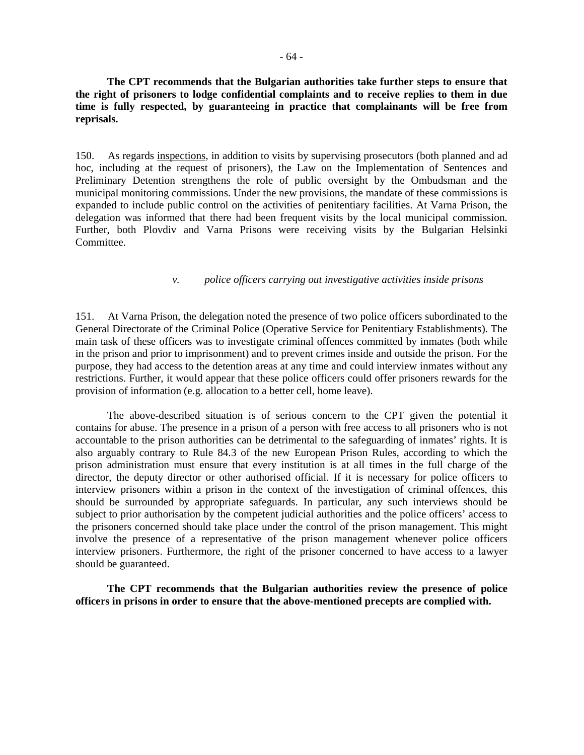**The CPT recommends that the Bulgarian authorities take further steps to ensure that the right of prisoners to lodge confidential complaints and to receive replies to them in due time is fully respected, by guaranteeing in practice that complainants will be free from reprisals.** 

150. As regards inspections, in addition to visits by supervising prosecutors (both planned and ad hoc, including at the request of prisoners), the Law on the Implementation of Sentences and Preliminary Detention strengthens the role of public oversight by the Ombudsman and the municipal monitoring commissions. Under the new provisions, the mandate of these commissions is expanded to include public control on the activities of penitentiary facilities. At Varna Prison, the delegation was informed that there had been frequent visits by the local municipal commission. Further, both Plovdiv and Varna Prisons were receiving visits by the Bulgarian Helsinki Committee.

#### *v. police officers carrying out investigative activities inside prisons*

151. At Varna Prison, the delegation noted the presence of two police officers subordinated to the General Directorate of the Criminal Police (Operative Service for Penitentiary Establishments). The main task of these officers was to investigate criminal offences committed by inmates (both while in the prison and prior to imprisonment) and to prevent crimes inside and outside the prison. For the purpose, they had access to the detention areas at any time and could interview inmates without any restrictions. Further, it would appear that these police officers could offer prisoners rewards for the provision of information (e.g. allocation to a better cell, home leave).

The above-described situation is of serious concern to the CPT given the potential it contains for abuse. The presence in a prison of a person with free access to all prisoners who is not accountable to the prison authorities can be detrimental to the safeguarding of inmates' rights. It is also arguably contrary to Rule 84.3 of the new European Prison Rules, according to which the prison administration must ensure that every institution is at all times in the full charge of the director, the deputy director or other authorised official. If it is necessary for police officers to interview prisoners within a prison in the context of the investigation of criminal offences, this should be surrounded by appropriate safeguards. In particular, any such interviews should be subject to prior authorisation by the competent judicial authorities and the police officers' access to the prisoners concerned should take place under the control of the prison management. This might involve the presence of a representative of the prison management whenever police officers interview prisoners. Furthermore, the right of the prisoner concerned to have access to a lawyer should be guaranteed.

**The CPT recommends that the Bulgarian authorities review the presence of police officers in prisons in order to ensure that the above-mentioned precepts are complied with.**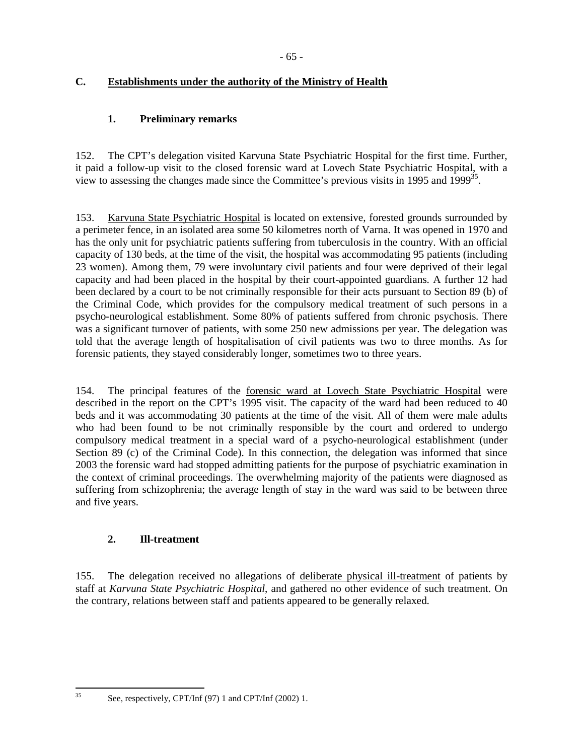# **C. Establishments under the authority of the Ministry of Health**

# **1. Preliminary remarks**

152. The CPT's delegation visited Karvuna State Psychiatric Hospital for the first time. Further, it paid a follow-up visit to the closed forensic ward at Lovech State Psychiatric Hospital, with a view to assessing the changes made since the Committee's previous visits in 1995 and  $1999^{35}$ .

153. Karvuna State Psychiatric Hospital is located on extensive, forested grounds surrounded by a perimeter fence, in an isolated area some 50 kilometres north of Varna. It was opened in 1970 and has the only unit for psychiatric patients suffering from tuberculosis in the country. With an official capacity of 130 beds, at the time of the visit, the hospital was accommodating 95 patients (including 23 women). Among them, 79 were involuntary civil patients and four were deprived of their legal capacity and had been placed in the hospital by their court-appointed guardians. A further 12 had been declared by a court to be not criminally responsible for their acts pursuant to Section 89 (b) of the Criminal Code, which provides for the compulsory medical treatment of such persons in a psycho-neurological establishment. Some 80% of patients suffered from chronic psychosis. There was a significant turnover of patients, with some 250 new admissions per year. The delegation was told that the average length of hospitalisation of civil patients was two to three months. As for forensic patients, they stayed considerably longer, sometimes two to three years.

154. The principal features of the forensic ward at Lovech State Psychiatric Hospital were described in the report on the CPT's 1995 visit. The capacity of the ward had been reduced to 40 beds and it was accommodating 30 patients at the time of the visit. All of them were male adults who had been found to be not criminally responsible by the court and ordered to undergo compulsory medical treatment in a special ward of a psycho-neurological establishment (under Section 89 (c) of the Criminal Code). In this connection, the delegation was informed that since 2003 the forensic ward had stopped admitting patients for the purpose of psychiatric examination in the context of criminal proceedings. The overwhelming majority of the patients were diagnosed as suffering from schizophrenia; the average length of stay in the ward was said to be between three and five years.

# **2. Ill-treatment**

155. The delegation received no allegations of deliberate physical ill-treatment of patients by staff at *Karvuna State Psychiatric Hospital*, and gathered no other evidence of such treatment. On the contrary, relations between staff and patients appeared to be generally relaxed.

35

See, respectively, CPT/Inf (97) 1 and CPT/Inf (2002) 1.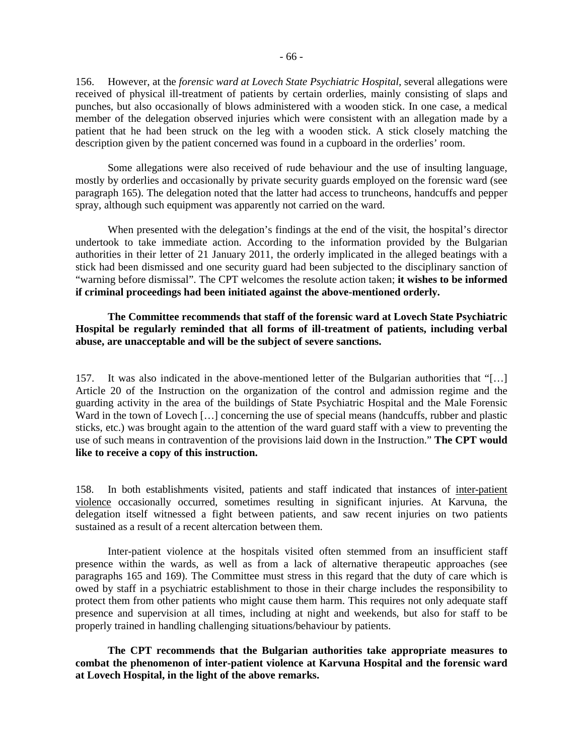156. However, at the *forensic ward at Lovech State Psychiatric Hospital*, several allegations were received of physical ill-treatment of patients by certain orderlies, mainly consisting of slaps and punches, but also occasionally of blows administered with a wooden stick. In one case, a medical member of the delegation observed injuries which were consistent with an allegation made by a patient that he had been struck on the leg with a wooden stick. A stick closely matching the description given by the patient concerned was found in a cupboard in the orderlies' room.

 Some allegations were also received of rude behaviour and the use of insulting language, mostly by orderlies and occasionally by private security guards employed on the forensic ward (see paragraph 165). The delegation noted that the latter had access to truncheons, handcuffs and pepper spray, although such equipment was apparently not carried on the ward.

When presented with the delegation's findings at the end of the visit, the hospital's director undertook to take immediate action. According to the information provided by the Bulgarian authorities in their letter of 21 January 2011, the orderly implicated in the alleged beatings with a stick had been dismissed and one security guard had been subjected to the disciplinary sanction of "warning before dismissal". The CPT welcomes the resolute action taken; **it wishes to be informed if criminal proceedings had been initiated against the above-mentioned orderly.** 

### **The Committee recommends that staff of the forensic ward at Lovech State Psychiatric Hospital be regularly reminded that all forms of ill-treatment of patients, including verbal abuse, are unacceptable and will be the subject of severe sanctions.**

157. It was also indicated in the above-mentioned letter of the Bulgarian authorities that "[…] Article 20 of the Instruction on the organization of the control and admission regime and the guarding activity in the area of the buildings of State Psychiatric Hospital and the Male Forensic Ward in the town of Lovech [...] concerning the use of special means (handcuffs, rubber and plastic sticks, etc.) was brought again to the attention of the ward guard staff with a view to preventing the use of such means in contravention of the provisions laid down in the Instruction." **The CPT would like to receive a copy of this instruction.** 

158. In both establishments visited, patients and staff indicated that instances of inter-patient violence occasionally occurred, sometimes resulting in significant injuries. At Karvuna, the delegation itself witnessed a fight between patients, and saw recent injuries on two patients sustained as a result of a recent altercation between them.

 Inter-patient violence at the hospitals visited often stemmed from an insufficient staff presence within the wards, as well as from a lack of alternative therapeutic approaches (see paragraphs 165 and 169). The Committee must stress in this regard that the duty of care which is owed by staff in a psychiatric establishment to those in their charge includes the responsibility to protect them from other patients who might cause them harm. This requires not only adequate staff presence and supervision at all times, including at night and weekends, but also for staff to be properly trained in handling challenging situations/behaviour by patients.

**The CPT recommends that the Bulgarian authorities take appropriate measures to combat the phenomenon of inter-patient violence at Karvuna Hospital and the forensic ward at Lovech Hospital, in the light of the above remarks.**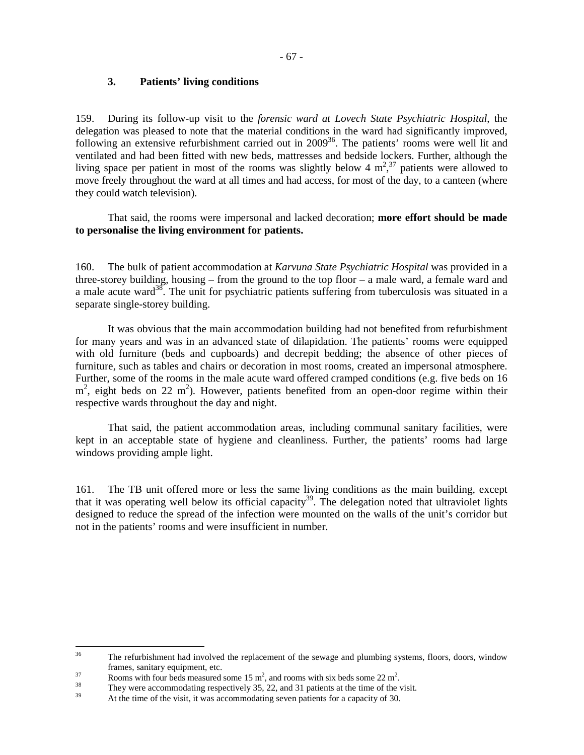## **3. Patients' living conditions**

159. During its follow-up visit to the *forensic ward at Lovech State Psychiatric Hospital*, the delegation was pleased to note that the material conditions in the ward had significantly improved, following an extensive refurbishment carried out in 2009<sup>36</sup>. The patients' rooms were well lit and ventilated and had been fitted with new beds, mattresses and bedside lockers. Further, although the living space per patient in most of the rooms was slightly below 4  $m<sup>2</sup>$ ,<sup>37</sup> patients were allowed to move freely throughout the ward at all times and had access, for most of the day, to a canteen (where they could watch television).

 That said, the rooms were impersonal and lacked decoration; **more effort should be made to personalise the living environment for patients.**

160. The bulk of patient accommodation at *Karvuna State Psychiatric Hospital* was provided in a three-storey building, housing – from the ground to the top floor – a male ward, a female ward and a male acute ward<sup>38</sup>. The unit for psychiatric patients suffering from tuberculosis was situated in a separate single-storey building.

 It was obvious that the main accommodation building had not benefited from refurbishment for many years and was in an advanced state of dilapidation. The patients' rooms were equipped with old furniture (beds and cupboards) and decrepit bedding; the absence of other pieces of furniture, such as tables and chairs or decoration in most rooms, created an impersonal atmosphere. Further, some of the rooms in the male acute ward offered cramped conditions (e.g. five beds on 16  $m<sup>2</sup>$ , eight beds on 22 m<sup>2</sup>). However, patients benefited from an open-door regime within their respective wards throughout the day and night.

 That said, the patient accommodation areas, including communal sanitary facilities, were kept in an acceptable state of hygiene and cleanliness. Further, the patients' rooms had large windows providing ample light.

161. The TB unit offered more or less the same living conditions as the main building, except that it was operating well below its official capacity<sup>39</sup>. The delegation noted that ultraviolet lights designed to reduce the spread of the infection were mounted on the walls of the unit's corridor but not in the patients' rooms and were insufficient in number.

 $36$ The refurbishment had involved the replacement of the sewage and plumbing systems, floors, doors, window frames, sanitary equipment, etc.

 $37$  Rooms with four beds measured some 15 m<sup>2</sup>, and rooms with six beds some 22 m<sup>2</sup>.

<sup>&</sup>lt;sup>38</sup> They were accommodating respectively 35, 22, and 31 patients at the time of the visit.

At the time of the visit, it was accommodating seven patients for a capacity of 30.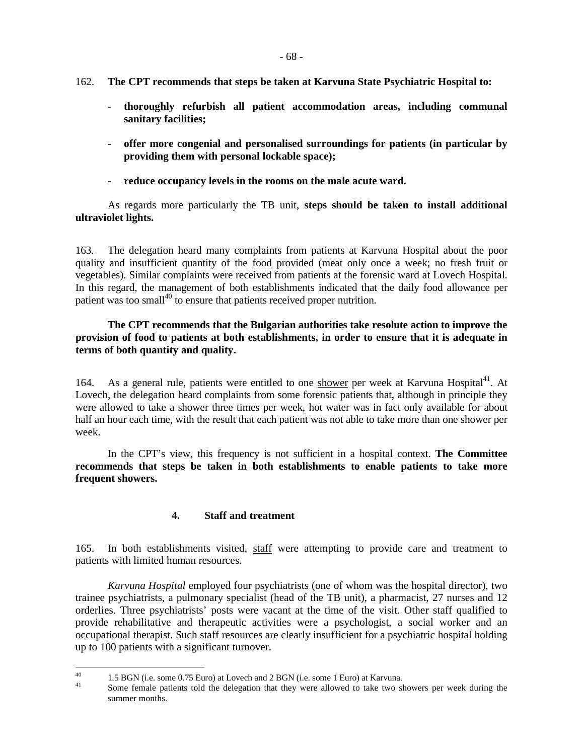- 162. **The CPT recommends that steps be taken at Karvuna State Psychiatric Hospital to:** 
	- **thoroughly refurbish all patient accommodation areas, including communal sanitary facilities;**
	- **offer more congenial and personalised surroundings for patients (in particular by providing them with personal lockable space);**
	- reduce occupancy levels in the rooms on the male acute ward.

As regards more particularly the TB unit, **steps should be taken to install additional ultraviolet lights.** 

163. The delegation heard many complaints from patients at Karvuna Hospital about the poor quality and insufficient quantity of the food provided (meat only once a week; no fresh fruit or vegetables). Similar complaints were received from patients at the forensic ward at Lovech Hospital. In this regard, the management of both establishments indicated that the daily food allowance per patient was too small<sup>40</sup> to ensure that patients received proper nutrition.

## **The CPT recommends that the Bulgarian authorities take resolute action to improve the provision of food to patients at both establishments, in order to ensure that it is adequate in terms of both quantity and quality.**

164. As a general rule, patients were entitled to one shower per week at Karvuna Hospital<sup>41</sup>. At Lovech, the delegation heard complaints from some forensic patients that, although in principle they were allowed to take a shower three times per week, hot water was in fact only available for about half an hour each time, with the result that each patient was not able to take more than one shower per week.

 In the CPT's view, this frequency is not sufficient in a hospital context. **The Committee recommends that steps be taken in both establishments to enable patients to take more frequent showers.**

# **4. Staff and treatment**

165. In both establishments visited, staff were attempting to provide care and treatment to patients with limited human resources.

*Karvuna Hospital* employed four psychiatrists (one of whom was the hospital director), two trainee psychiatrists, a pulmonary specialist (head of the TB unit), a pharmacist, 27 nurses and 12 orderlies. Three psychiatrists' posts were vacant at the time of the visit. Other staff qualified to provide rehabilitative and therapeutic activities were a psychologist, a social worker and an occupational therapist. Such staff resources are clearly insufficient for a psychiatric hospital holding up to 100 patients with a significant turnover.

 $40<sup>2</sup>$ <sup>40</sup> 1.5 BGN (i.e. some 0.75 Euro) at Lovech and 2 BGN (i.e. some 1 Euro) at Karvuna.

Some female patients told the delegation that they were allowed to take two showers per week during the summer months.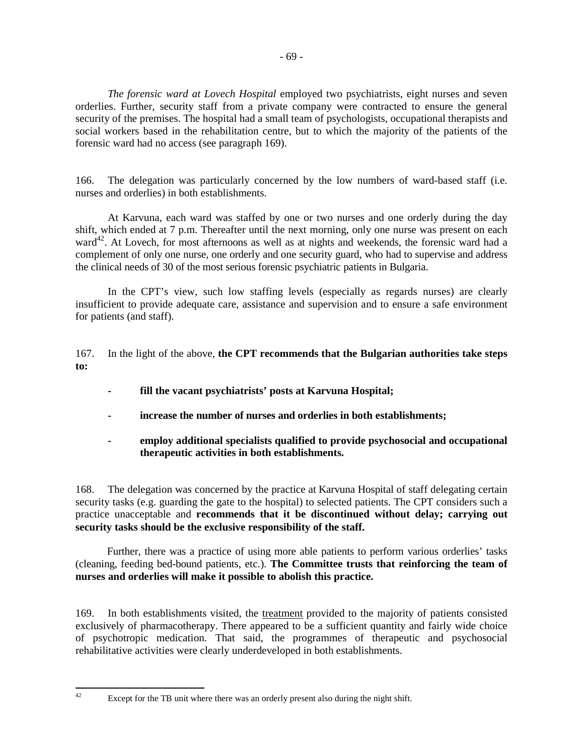*The forensic ward at Lovech Hospital* employed two psychiatrists, eight nurses and seven orderlies. Further, security staff from a private company were contracted to ensure the general security of the premises. The hospital had a small team of psychologists, occupational therapists and social workers based in the rehabilitation centre, but to which the majority of the patients of the forensic ward had no access (see paragraph 169).

166. The delegation was particularly concerned by the low numbers of ward-based staff (i.e. nurses and orderlies) in both establishments.

 At Karvuna, each ward was staffed by one or two nurses and one orderly during the day shift, which ended at 7 p.m. Thereafter until the next morning, only one nurse was present on each ward<sup>42</sup>. At Lovech, for most afternoons as well as at nights and weekends, the forensic ward had a complement of only one nurse, one orderly and one security guard, who had to supervise and address the clinical needs of 30 of the most serious forensic psychiatric patients in Bulgaria.

 In the CPT's view, such low staffing levels (especially as regards nurses) are clearly insufficient to provide adequate care, assistance and supervision and to ensure a safe environment for patients (and staff).

167. In the light of the above, **the CPT recommends that the Bulgarian authorities take steps to:** 

- **fill the vacant psychiatrists' posts at Karvuna Hospital;**
- **increase the number of nurses and orderlies in both establishments;**
- **employ additional specialists qualified to provide psychosocial and occupational therapeutic activities in both establishments.**

168. The delegation was concerned by the practice at Karvuna Hospital of staff delegating certain security tasks (e.g. guarding the gate to the hospital) to selected patients. The CPT considers such a practice unacceptable and **recommends that it be discontinued without delay; carrying out security tasks should be the exclusive responsibility of the staff.**

Further, there was a practice of using more able patients to perform various orderlies' tasks (cleaning, feeding bed-bound patients, etc.). **The Committee trusts that reinforcing the team of nurses and orderlies will make it possible to abolish this practice.**

169. In both establishments visited, the treatment provided to the majority of patients consisted exclusively of pharmacotherapy. There appeared to be a sufficient quantity and fairly wide choice of psychotropic medication. That said, the programmes of therapeutic and psychosocial rehabilitative activities were clearly underdeveloped in both establishments.

 $42$ 

Except for the TB unit where there was an orderly present also during the night shift.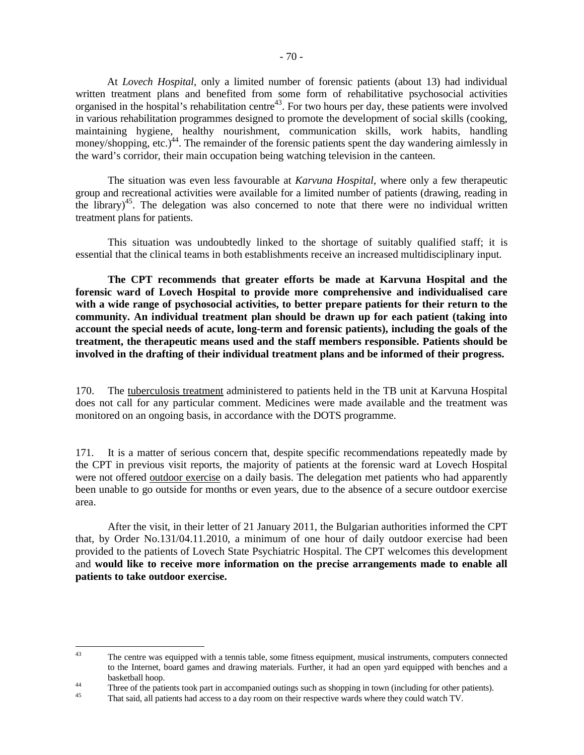At *Lovech Hospital*, only a limited number of forensic patients (about 13) had individual written treatment plans and benefited from some form of rehabilitative psychosocial activities organised in the hospital's rehabilitation centre<sup>43</sup>. For two hours per day, these patients were involved in various rehabilitation programmes designed to promote the development of social skills (cooking, maintaining hygiene, healthy nourishment, communication skills, work habits, handling money/shopping, etc.)<sup>44</sup>. The remainder of the forensic patients spent the day wandering aimlessly in the ward's corridor, their main occupation being watching television in the canteen.

 The situation was even less favourable at *Karvuna Hospital*, where only a few therapeutic group and recreational activities were available for a limited number of patients (drawing, reading in the library)<sup>45</sup>. The delegation was also concerned to note that there were no individual written treatment plans for patients.

 This situation was undoubtedly linked to the shortage of suitably qualified staff; it is essential that the clinical teams in both establishments receive an increased multidisciplinary input.

 **The CPT recommends that greater efforts be made at Karvuna Hospital and the forensic ward of Lovech Hospital to provide more comprehensive and individualised care with a wide range of psychosocial activities, to better prepare patients for their return to the community. An individual treatment plan should be drawn up for each patient (taking into account the special needs of acute, long-term and forensic patients), including the goals of the treatment, the therapeutic means used and the staff members responsible. Patients should be involved in the drafting of their individual treatment plans and be informed of their progress.** 

170. The tuberculosis treatment administered to patients held in the TB unit at Karvuna Hospital does not call for any particular comment. Medicines were made available and the treatment was monitored on an ongoing basis, in accordance with the DOTS programme.

171. It is a matter of serious concern that, despite specific recommendations repeatedly made by the CPT in previous visit reports, the majority of patients at the forensic ward at Lovech Hospital were not offered outdoor exercise on a daily basis. The delegation met patients who had apparently been unable to go outside for months or even years, due to the absence of a secure outdoor exercise area.

 After the visit, in their letter of 21 January 2011, the Bulgarian authorities informed the CPT that, by Order No.131/04.11.2010, a minimum of one hour of daily outdoor exercise had been provided to the patients of Lovech State Psychiatric Hospital. The CPT welcomes this development and **would like to receive more information on the precise arrangements made to enable all patients to take outdoor exercise.**

 $43$ The centre was equipped with a tennis table, some fitness equipment, musical instruments, computers connected to the Internet, board games and drawing materials. Further, it had an open yard equipped with benches and a basketball hoop.

<sup>&</sup>lt;sup>44</sup><br>Three of the patients took part in accompanied outings such as shopping in town (including for other patients).

<sup>45</sup> That said, all patients had access to a day room on their respective wards where they could watch TV.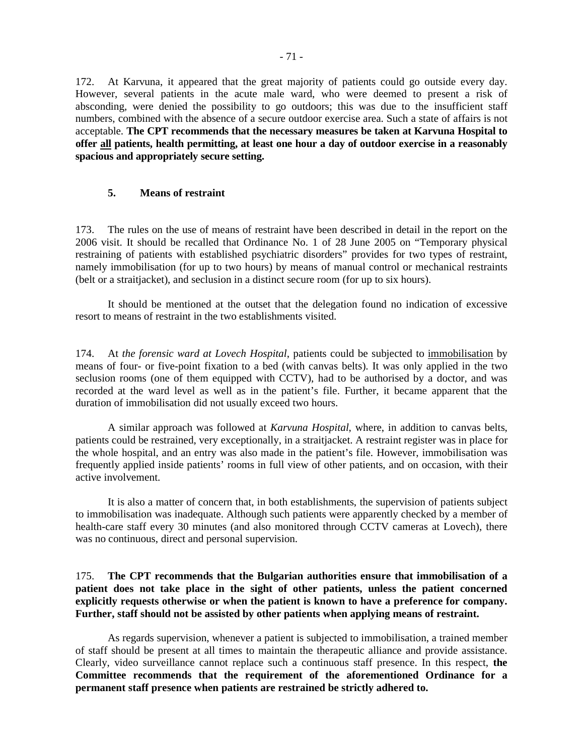172. At Karvuna, it appeared that the great majority of patients could go outside every day. However, several patients in the acute male ward, who were deemed to present a risk of absconding, were denied the possibility to go outdoors; this was due to the insufficient staff numbers, combined with the absence of a secure outdoor exercise area. Such a state of affairs is not acceptable. **The CPT recommends that the necessary measures be taken at Karvuna Hospital to offer all patients, health permitting, at least one hour a day of outdoor exercise in a reasonably spacious and appropriately secure setting.** 

#### **5. Means of restraint**

173. The rules on the use of means of restraint have been described in detail in the report on the 2006 visit. It should be recalled that Ordinance No. 1 of 28 June 2005 on "Temporary physical restraining of patients with established psychiatric disorders" provides for two types of restraint, namely immobilisation (for up to two hours) by means of manual control or mechanical restraints (belt or a straitjacket), and seclusion in a distinct secure room (for up to six hours).

 It should be mentioned at the outset that the delegation found no indication of excessive resort to means of restraint in the two establishments visited.

174. At *the forensic ward at Lovech Hospital*, patients could be subjected to immobilisation by means of four- or five-point fixation to a bed (with canvas belts). It was only applied in the two seclusion rooms (one of them equipped with CCTV), had to be authorised by a doctor, and was recorded at the ward level as well as in the patient's file. Further, it became apparent that the duration of immobilisation did not usually exceed two hours.

 A similar approach was followed at *Karvuna Hospital*, where, in addition to canvas belts, patients could be restrained, very exceptionally, in a straitjacket. A restraint register was in place for the whole hospital, and an entry was also made in the patient's file. However, immobilisation was frequently applied inside patients' rooms in full view of other patients, and on occasion, with their active involvement.

 It is also a matter of concern that, in both establishments, the supervision of patients subject to immobilisation was inadequate. Although such patients were apparently checked by a member of health-care staff every 30 minutes (and also monitored through CCTV cameras at Lovech), there was no continuous, direct and personal supervision.

175. **The CPT recommends that the Bulgarian authorities ensure that immobilisation of a patient does not take place in the sight of other patients, unless the patient concerned explicitly requests otherwise or when the patient is known to have a preference for company. Further, staff should not be assisted by other patients when applying means of restraint.**

 As regards supervision, whenever a patient is subjected to immobilisation, a trained member of staff should be present at all times to maintain the therapeutic alliance and provide assistance. Clearly, video surveillance cannot replace such a continuous staff presence. In this respect, **the Committee recommends that the requirement of the aforementioned Ordinance for a permanent staff presence when patients are restrained be strictly adhered to.**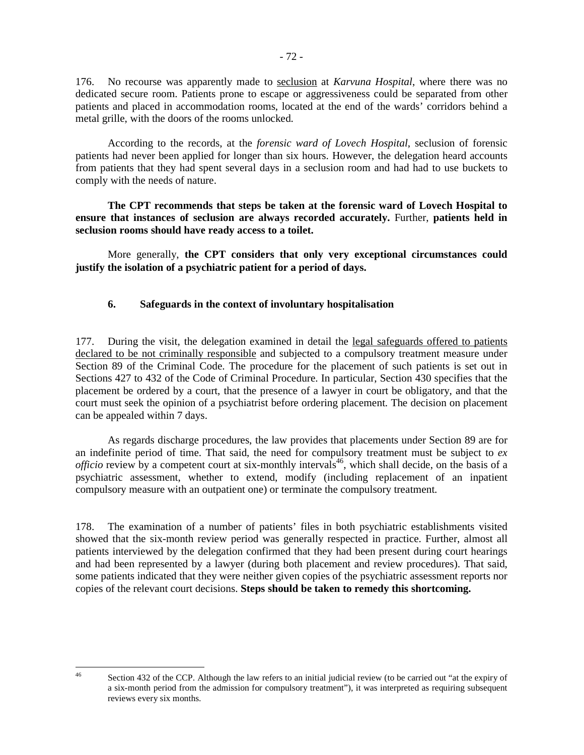176. No recourse was apparently made to seclusion at *Karvuna Hospital*, where there was no dedicated secure room. Patients prone to escape or aggressiveness could be separated from other patients and placed in accommodation rooms, located at the end of the wards' corridors behind a metal grille, with the doors of the rooms unlocked.

 According to the records, at the *forensic ward of Lovech Hospital*, seclusion of forensic patients had never been applied for longer than six hours. However, the delegation heard accounts from patients that they had spent several days in a seclusion room and had had to use buckets to comply with the needs of nature.

**The CPT recommends that steps be taken at the forensic ward of Lovech Hospital to ensure that instances of seclusion are always recorded accurately.** Further, **patients held in seclusion rooms should have ready access to a toilet.** 

 More generally, **the CPT considers that only very exceptional circumstances could justify the isolation of a psychiatric patient for a period of days.**

## **6. Safeguards in the context of involuntary hospitalisation**

177. During the visit, the delegation examined in detail the legal safeguards offered to patients declared to be not criminally responsible and subjected to a compulsory treatment measure under Section 89 of the Criminal Code. The procedure for the placement of such patients is set out in Sections 427 to 432 of the Code of Criminal Procedure. In particular, Section 430 specifies that the placement be ordered by a court, that the presence of a lawyer in court be obligatory, and that the court must seek the opinion of a psychiatrist before ordering placement. The decision on placement can be appealed within 7 days.

 As regards discharge procedures, the law provides that placements under Section 89 are for an indefinite period of time. That said, the need for compulsory treatment must be subject to *ex officio* review by a competent court at six-monthly intervals<sup>46</sup>, which shall decide, on the basis of a psychiatric assessment, whether to extend, modify (including replacement of an inpatient compulsory measure with an outpatient one) or terminate the compulsory treatment.

178. The examination of a number of patients' files in both psychiatric establishments visited showed that the six-month review period was generally respected in practice. Further, almost all patients interviewed by the delegation confirmed that they had been present during court hearings and had been represented by a lawyer (during both placement and review procedures). That said, some patients indicated that they were neither given copies of the psychiatric assessment reports nor copies of the relevant court decisions. **Steps should be taken to remedy this shortcoming.** 

 $46$ 

Section 432 of the CCP. Although the law refers to an initial judicial review (to be carried out "at the expiry of a six-month period from the admission for compulsory treatment"), it was interpreted as requiring subsequent reviews every six months.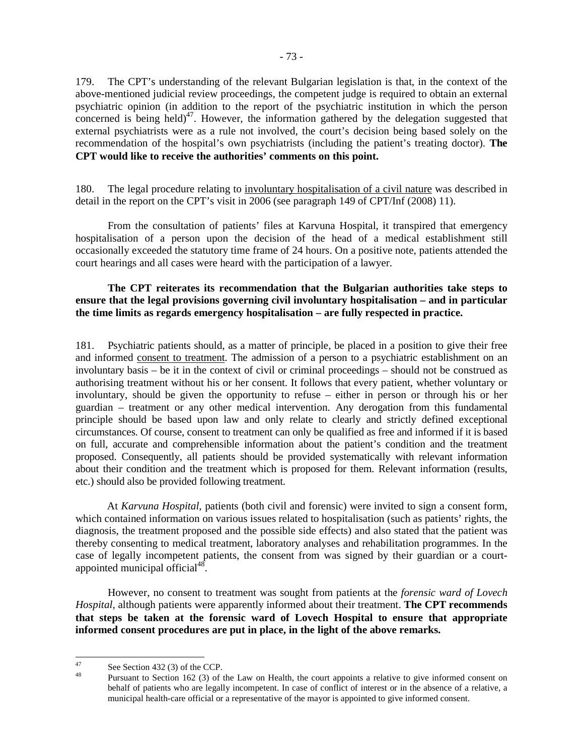179. The CPT's understanding of the relevant Bulgarian legislation is that, in the context of the above-mentioned judicial review proceedings, the competent judge is required to obtain an external psychiatric opinion (in addition to the report of the psychiatric institution in which the person concerned is being held)<sup>47</sup>. However, the information gathered by the delegation suggested that external psychiatrists were as a rule not involved, the court's decision being based solely on the recommendation of the hospital's own psychiatrists (including the patient's treating doctor). **The CPT would like to receive the authorities' comments on this point.** 

180. The legal procedure relating to involuntary hospitalisation of a civil nature was described in detail in the report on the CPT's visit in 2006 (see paragraph 149 of CPT/Inf (2008) 11).

 From the consultation of patients' files at Karvuna Hospital, it transpired that emergency hospitalisation of a person upon the decision of the head of a medical establishment still occasionally exceeded the statutory time frame of 24 hours. On a positive note, patients attended the court hearings and all cases were heard with the participation of a lawyer.

# **The CPT reiterates its recommendation that the Bulgarian authorities take steps to ensure that the legal provisions governing civil involuntary hospitalisation – and in particular the time limits as regards emergency hospitalisation – are fully respected in practice.**

181. Psychiatric patients should, as a matter of principle, be placed in a position to give their free and informed consent to treatment. The admission of a person to a psychiatric establishment on an involuntary basis – be it in the context of civil or criminal proceedings – should not be construed as authorising treatment without his or her consent. It follows that every patient, whether voluntary or involuntary, should be given the opportunity to refuse – either in person or through his or her guardian – treatment or any other medical intervention. Any derogation from this fundamental principle should be based upon law and only relate to clearly and strictly defined exceptional circumstances. Of course, consent to treatment can only be qualified as free and informed if it is based on full, accurate and comprehensible information about the patient's condition and the treatment proposed. Consequently, all patients should be provided systematically with relevant information about their condition and the treatment which is proposed for them. Relevant information (results, etc.) should also be provided following treatment.

At *Karvuna Hospital*, patients (both civil and forensic) were invited to sign a consent form, which contained information on various issues related to hospitalisation (such as patients' rights, the diagnosis, the treatment proposed and the possible side effects) and also stated that the patient was thereby consenting to medical treatment, laboratory analyses and rehabilitation programmes. In the case of legally incompetent patients, the consent from was signed by their guardian or a courtappointed municipal official<sup>48</sup>.

 However, no consent to treatment was sought from patients at the *forensic ward of Lovech Hospital*, although patients were apparently informed about their treatment. **The CPT recommends that steps be taken at the forensic ward of Lovech Hospital to ensure that appropriate informed consent procedures are put in place, in the light of the above remarks.**

<sup>47</sup> <sup>47</sup> See Section 432 (3) of the CCP.

Pursuant to Section 162 (3) of the Law on Health, the court appoints a relative to give informed consent on behalf of patients who are legally incompetent. In case of conflict of interest or in the absence of a relative, a municipal health-care official or a representative of the mayor is appointed to give informed consent.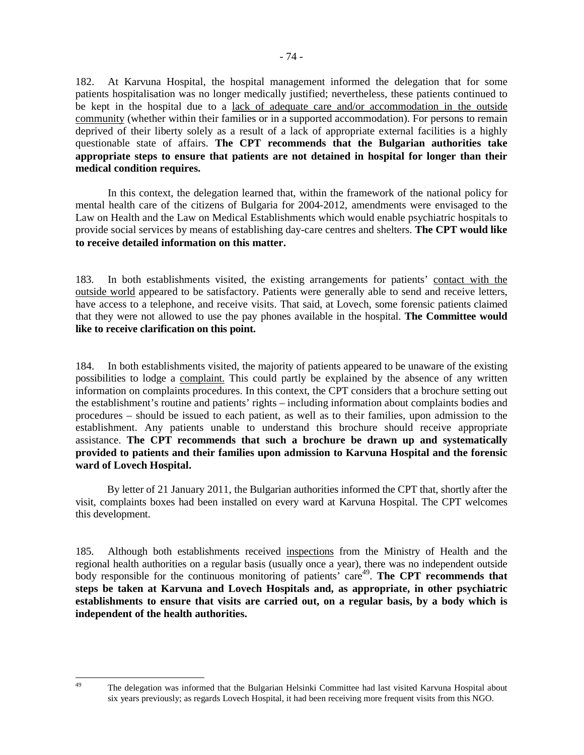182. At Karvuna Hospital, the hospital management informed the delegation that for some patients hospitalisation was no longer medically justified; nevertheless, these patients continued to be kept in the hospital due to a lack of adequate care and/or accommodation in the outside community (whether within their families or in a supported accommodation). For persons to remain deprived of their liberty solely as a result of a lack of appropriate external facilities is a highly questionable state of affairs. **The CPT recommends that the Bulgarian authorities take appropriate steps to ensure that patients are not detained in hospital for longer than their medical condition requires.** 

In this context, the delegation learned that, within the framework of the national policy for mental health care of the citizens of Bulgaria for 2004-2012, amendments were envisaged to the Law on Health and the Law on Medical Establishments which would enable psychiatric hospitals to provide social services by means of establishing day-care centres and shelters. **The CPT would like to receive detailed information on this matter.**

183. In both establishments visited, the existing arrangements for patients' contact with the outside world appeared to be satisfactory. Patients were generally able to send and receive letters, have access to a telephone, and receive visits. That said, at Lovech, some forensic patients claimed that they were not allowed to use the pay phones available in the hospital. **The Committee would like to receive clarification on this point.** 

184. In both establishments visited, the majority of patients appeared to be unaware of the existing possibilities to lodge a complaint. This could partly be explained by the absence of any written information on complaints procedures. In this context, the CPT considers that a brochure setting out the establishment's routine and patients' rights – including information about complaints bodies and procedures – should be issued to each patient, as well as to their families, upon admission to the establishment. Any patients unable to understand this brochure should receive appropriate assistance. **The CPT recommends that such a brochure be drawn up and systematically provided to patients and their families upon admission to Karvuna Hospital and the forensic ward of Lovech Hospital.**

By letter of 21 January 2011, the Bulgarian authorities informed the CPT that, shortly after the visit, complaints boxes had been installed on every ward at Karvuna Hospital. The CPT welcomes this development.

185. Although both establishments received inspections from the Ministry of Health and the regional health authorities on a regular basis (usually once a year), there was no independent outside body responsible for the continuous monitoring of patients' care<sup>49</sup>. The CPT recommends that **steps be taken at Karvuna and Lovech Hospitals and, as appropriate, in other psychiatric establishments to ensure that visits are carried out, on a regular basis, by a body which is independent of the health authorities.**

<sup>49</sup> 

<sup>49</sup> The delegation was informed that the Bulgarian Helsinki Committee had last visited Karvuna Hospital about six years previously; as regards Lovech Hospital, it had been receiving more frequent visits from this NGO.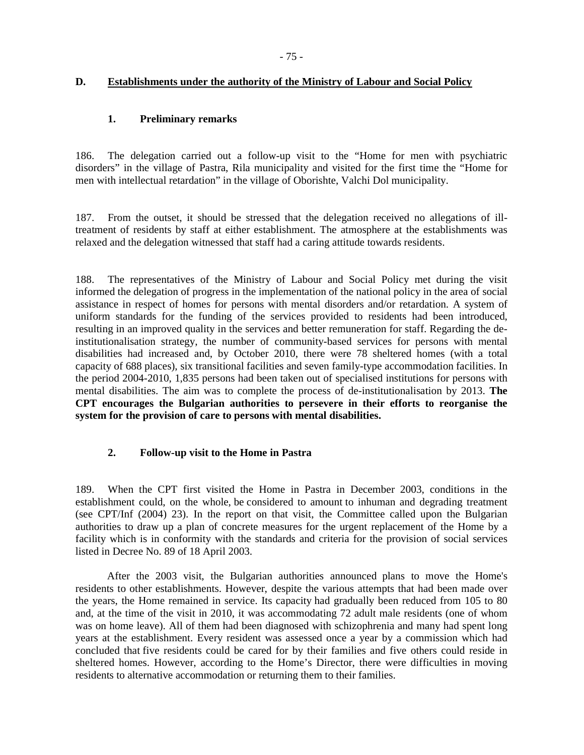# **D. Establishments under the authority of the Ministry of Labour and Social Policy**

# **1. Preliminary remarks**

186. The delegation carried out a follow-up visit to the "Home for men with psychiatric disorders" in the village of Pastra, Rila municipality and visited for the first time the "Home for men with intellectual retardation" in the village of Oborishte, Valchi Dol municipality.

187. From the outset, it should be stressed that the delegation received no allegations of illtreatment of residents by staff at either establishment. The atmosphere at the establishments was relaxed and the delegation witnessed that staff had a caring attitude towards residents.

188. The representatives of the Ministry of Labour and Social Policy met during the visit informed the delegation of progress in the implementation of the national policy in the area of social assistance in respect of homes for persons with mental disorders and/or retardation. A system of uniform standards for the funding of the services provided to residents had been introduced, resulting in an improved quality in the services and better remuneration for staff. Regarding the deinstitutionalisation strategy, the number of community-based services for persons with mental disabilities had increased and, by October 2010, there were 78 sheltered homes (with a total capacity of 688 places), six transitional facilities and seven family-type accommodation facilities. In the period 2004-2010, 1,835 persons had been taken out of specialised institutions for persons with mental disabilities. The aim was to complete the process of de-institutionalisation by 2013. **The CPT encourages the Bulgarian authorities to persevere in their efforts to reorganise the system for the provision of care to persons with mental disabilities.**

# **2. Follow-up visit to the Home in Pastra**

189. When the CPT first visited the Home in Pastra in December 2003, conditions in the establishment could, on the whole, be considered to amount to inhuman and degrading treatment (see CPT/Inf (2004) 23). In the report on that visit, the Committee called upon the Bulgarian authorities to draw up a plan of concrete measures for the urgent replacement of the Home by a facility which is in conformity with the standards and criteria for the provision of social services listed in Decree No. 89 of 18 April 2003.

After the 2003 visit, the Bulgarian authorities announced plans to move the Home's residents to other establishments. However, despite the various attempts that had been made over the years, the Home remained in service. Its capacity had gradually been reduced from 105 to 80 and, at the time of the visit in 2010, it was accommodating 72 adult male residents (one of whom was on home leave). All of them had been diagnosed with schizophrenia and many had spent long years at the establishment. Every resident was assessed once a year by a commission which had concluded that five residents could be cared for by their families and five others could reside in sheltered homes. However, according to the Home's Director, there were difficulties in moving residents to alternative accommodation or returning them to their families.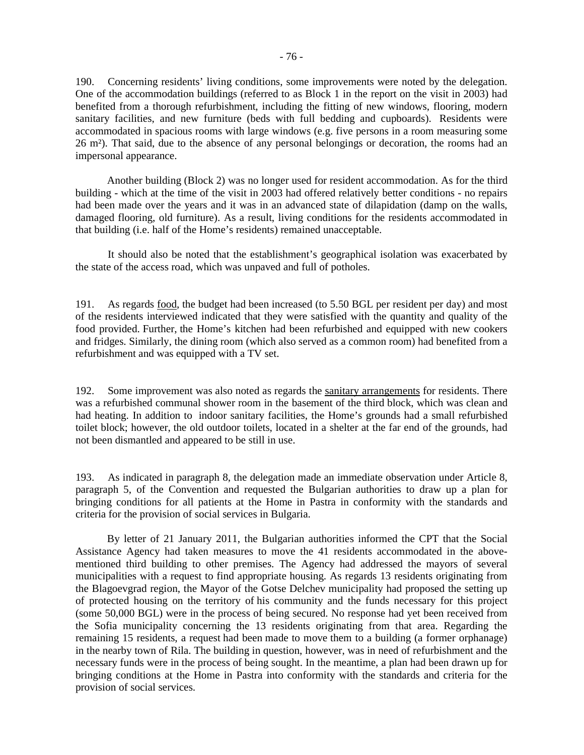190. Concerning residents' living conditions, some improvements were noted by the delegation. One of the accommodation buildings (referred to as Block 1 in the report on the visit in 2003) had benefited from a thorough refurbishment, including the fitting of new windows, flooring, modern sanitary facilities, and new furniture (beds with full bedding and cupboards). Residents were accommodated in spacious rooms with large windows (e.g. five persons in a room measuring some 26 m²). That said, due to the absence of any personal belongings or decoration, the rooms had an impersonal appearance.

Another building (Block 2) was no longer used for resident accommodation. As for the third building - which at the time of the visit in 2003 had offered relatively better conditions - no repairs had been made over the years and it was in an advanced state of dilapidation (damp on the walls, damaged flooring, old furniture). As a result, living conditions for the residents accommodated in that building (i.e. half of the Home's residents) remained unacceptable.

 It should also be noted that the establishment's geographical isolation was exacerbated by the state of the access road, which was unpaved and full of potholes.

191. As regards food, the budget had been increased (to 5.50 BGL per resident per day) and most of the residents interviewed indicated that they were satisfied with the quantity and quality of the food provided. Further, the Home's kitchen had been refurbished and equipped with new cookers and fridges. Similarly, the dining room (which also served as a common room) had benefited from a refurbishment and was equipped with a TV set.

192. Some improvement was also noted as regards the sanitary arrangements for residents. There was a refurbished communal shower room in the basement of the third block, which was clean and had heating. In addition to indoor sanitary facilities, the Home's grounds had a small refurbished toilet block; however, the old outdoor toilets, located in a shelter at the far end of the grounds, had not been dismantled and appeared to be still in use.

193. As indicated in paragraph 8, the delegation made an immediate observation under Article 8, paragraph 5, of the Convention and requested the Bulgarian authorities to draw up a plan for bringing conditions for all patients at the Home in Pastra in conformity with the standards and criteria for the provision of social services in Bulgaria.

By letter of 21 January 2011, the Bulgarian authorities informed the CPT that the Social Assistance Agency had taken measures to move the 41 residents accommodated in the abovementioned third building to other premises. The Agency had addressed the mayors of several municipalities with a request to find appropriate housing. As regards 13 residents originating from the Blagoevgrad region, the Mayor of the Gotse Delchev municipality had proposed the setting up of protected housing on the territory of his community and the funds necessary for this project (some 50,000 BGL) were in the process of being secured. No response had yet been received from the Sofia municipality concerning the 13 residents originating from that area. Regarding the remaining 15 residents, a request had been made to move them to a building (a former orphanage) in the nearby town of Rila. The building in question, however, was in need of refurbishment and the necessary funds were in the process of being sought. In the meantime, a plan had been drawn up for bringing conditions at the Home in Pastra into conformity with the standards and criteria for the provision of social services.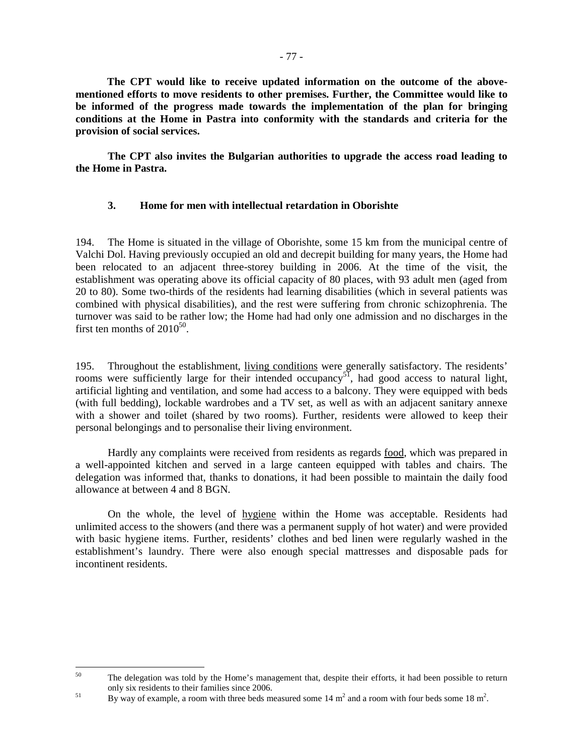**The CPT would like to receive updated information on the outcome of the abovementioned efforts to move residents to other premises. Further, the Committee would like to be informed of the progress made towards the implementation of the plan for bringing conditions at the Home in Pastra into conformity with the standards and criteria for the provision of social services.** 

**The CPT also invites the Bulgarian authorities to upgrade the access road leading to the Home in Pastra.** 

# **3. Home for men with intellectual retardation in Oborishte**

194. The Home is situated in the village of Oborishte, some 15 km from the municipal centre of Valchi Dol. Having previously occupied an old and decrepit building for many years, the Home had been relocated to an adjacent three-storey building in 2006. At the time of the visit, the establishment was operating above its official capacity of 80 places, with 93 adult men (aged from 20 to 80). Some two-thirds of the residents had learning disabilities (which in several patients was combined with physical disabilities), and the rest were suffering from chronic schizophrenia. The turnover was said to be rather low; the Home had had only one admission and no discharges in the first ten months of  $2010^{50}$ .

195. Throughout the establishment, living conditions were generally satisfactory. The residents' rooms were sufficiently large for their intended occupancy<sup>51</sup>, had good access to natural light, artificial lighting and ventilation, and some had access to a balcony. They were equipped with beds (with full bedding), lockable wardrobes and a TV set, as well as with an adjacent sanitary annexe with a shower and toilet (shared by two rooms). Further, residents were allowed to keep their personal belongings and to personalise their living environment.

 Hardly any complaints were received from residents as regards food, which was prepared in a well-appointed kitchen and served in a large canteen equipped with tables and chairs. The delegation was informed that, thanks to donations, it had been possible to maintain the daily food allowance at between 4 and 8 BGN.

 On the whole, the level of hygiene within the Home was acceptable. Residents had unlimited access to the showers (and there was a permanent supply of hot water) and were provided with basic hygiene items. Further, residents' clothes and bed linen were regularly washed in the establishment's laundry. There were also enough special mattresses and disposable pads for incontinent residents.

<sup>50</sup> The delegation was told by the Home's management that, despite their efforts, it had been possible to return only six residents to their families since 2006.

<sup>&</sup>lt;sup>51</sup> By way of example, a room with three beds measured some  $14 \text{ m}^2$  and a room with four beds some  $18 \text{ m}^2$ .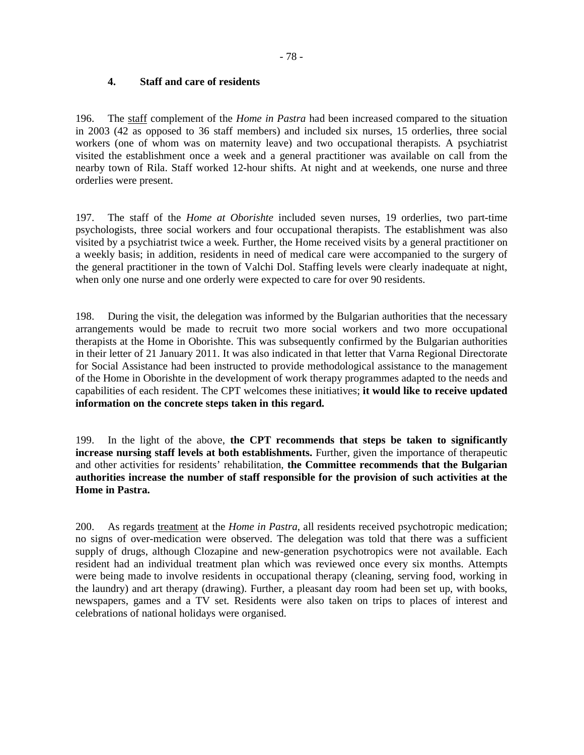# **4. Staff and care of residents**

196. The staff complement of the *Home in Pastra* had been increased compared to the situation in 2003 (42 as opposed to 36 staff members) and included six nurses, 15 orderlies, three social workers (one of whom was on maternity leave) and two occupational therapists. A psychiatrist visited the establishment once a week and a general practitioner was available on call from the nearby town of Rila. Staff worked 12-hour shifts. At night and at weekends, one nurse and three orderlies were present.

197. The staff of the *Home at Oborishte* included seven nurses, 19 orderlies, two part-time psychologists, three social workers and four occupational therapists. The establishment was also visited by a psychiatrist twice a week. Further, the Home received visits by a general practitioner on a weekly basis; in addition, residents in need of medical care were accompanied to the surgery of the general practitioner in the town of Valchi Dol. Staffing levels were clearly inadequate at night, when only one nurse and one orderly were expected to care for over 90 residents.

198. During the visit, the delegation was informed by the Bulgarian authorities that the necessary arrangements would be made to recruit two more social workers and two more occupational therapists at the Home in Oborishte. This was subsequently confirmed by the Bulgarian authorities in their letter of 21 January 2011. It was also indicated in that letter that Varna Regional Directorate for Social Assistance had been instructed to provide methodological assistance to the management of the Home in Oborishte in the development of work therapy programmes adapted to the needs and capabilities of each resident. The CPT welcomes these initiatives; **it would like to receive updated information on the concrete steps taken in this regard.** 

199. In the light of the above, **the CPT recommends that steps be taken to significantly increase nursing staff levels at both establishments.** Further, given the importance of therapeutic and other activities for residents' rehabilitation, **the Committee recommends that the Bulgarian authorities increase the number of staff responsible for the provision of such activities at the Home in Pastra.** 

200. As regards treatment at the *Home in Pastra*, all residents received psychotropic medication; no signs of over-medication were observed. The delegation was told that there was a sufficient supply of drugs, although Clozapine and new-generation psychotropics were not available. Each resident had an individual treatment plan which was reviewed once every six months. Attempts were being made to involve residents in occupational therapy (cleaning, serving food, working in the laundry) and art therapy (drawing). Further, a pleasant day room had been set up, with books, newspapers, games and a TV set. Residents were also taken on trips to places of interest and celebrations of national holidays were organised.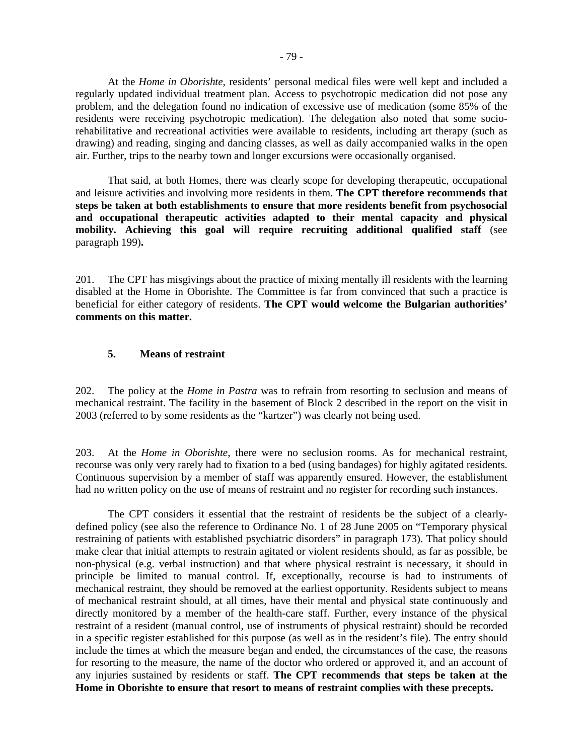At the *Home in Oborishte*, residents' personal medical files were well kept and included a regularly updated individual treatment plan. Access to psychotropic medication did not pose any problem, and the delegation found no indication of excessive use of medication (some 85% of the residents were receiving psychotropic medication). The delegation also noted that some sociorehabilitative and recreational activities were available to residents, including art therapy (such as drawing) and reading, singing and dancing classes, as well as daily accompanied walks in the open air. Further, trips to the nearby town and longer excursions were occasionally organised.

 That said, at both Homes, there was clearly scope for developing therapeutic, occupational and leisure activities and involving more residents in them. **The CPT therefore recommends that steps be taken at both establishments to ensure that more residents benefit from psychosocial and occupational therapeutic activities adapted to their mental capacity and physical mobility. Achieving this goal will require recruiting additional qualified staff** (see paragraph 199)**.** 

201. The CPT has misgivings about the practice of mixing mentally ill residents with the learning disabled at the Home in Oborishte. The Committee is far from convinced that such a practice is beneficial for either category of residents. **The CPT would welcome the Bulgarian authorities' comments on this matter.**

## **5. Means of restraint**

202. The policy at the *Home in Pastra* was to refrain from resorting to seclusion and means of mechanical restraint. The facility in the basement of Block 2 described in the report on the visit in 2003 (referred to by some residents as the "kartzer") was clearly not being used.

203. At the *Home in Oborishte*, there were no seclusion rooms. As for mechanical restraint, recourse was only very rarely had to fixation to a bed (using bandages) for highly agitated residents. Continuous supervision by a member of staff was apparently ensured. However, the establishment had no written policy on the use of means of restraint and no register for recording such instances.

The CPT considers it essential that the restraint of residents be the subject of a clearlydefined policy (see also the reference to Ordinance No. 1 of 28 June 2005 on "Temporary physical restraining of patients with established psychiatric disorders" in paragraph 173). That policy should make clear that initial attempts to restrain agitated or violent residents should, as far as possible, be non-physical (e.g. verbal instruction) and that where physical restraint is necessary, it should in principle be limited to manual control. If, exceptionally, recourse is had to instruments of mechanical restraint, they should be removed at the earliest opportunity. Residents subject to means of mechanical restraint should, at all times, have their mental and physical state continuously and directly monitored by a member of the health-care staff. Further, every instance of the physical restraint of a resident (manual control, use of instruments of physical restraint) should be recorded in a specific register established for this purpose (as well as in the resident's file). The entry should include the times at which the measure began and ended, the circumstances of the case, the reasons for resorting to the measure, the name of the doctor who ordered or approved it, and an account of any injuries sustained by residents or staff. **The CPT recommends that steps be taken at the Home in Oborishte to ensure that resort to means of restraint complies with these precepts.**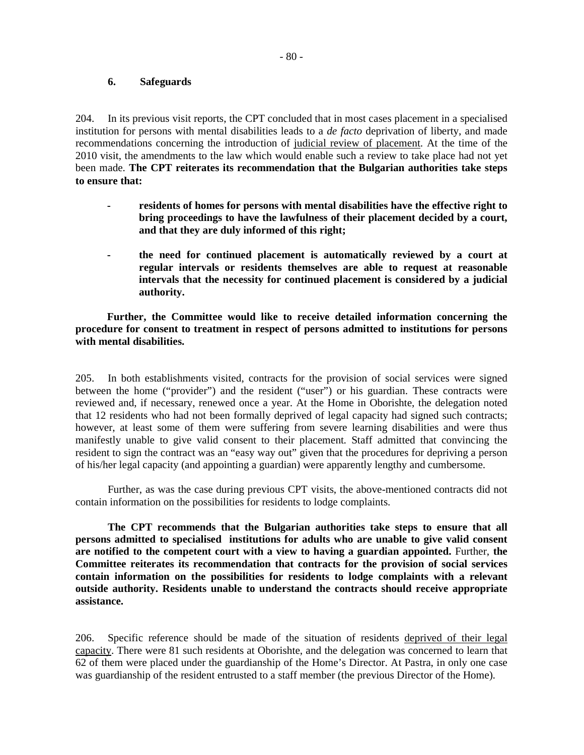### **6. Safeguards**

204. In its previous visit reports, the CPT concluded that in most cases placement in a specialised institution for persons with mental disabilities leads to a *de facto* deprivation of liberty, and made recommendations concerning the introduction of judicial review of placement. At the time of the 2010 visit, the amendments to the law which would enable such a review to take place had not yet been made. **The CPT reiterates its recommendation that the Bulgarian authorities take steps to ensure that:** 

- **residents of homes for persons with mental disabilities have the effective right to bring proceedings to have the lawfulness of their placement decided by a court, and that they are duly informed of this right;**
- **the need for continued placement is automatically reviewed by a court at regular intervals or residents themselves are able to request at reasonable intervals that the necessity for continued placement is considered by a judicial authority.**

**Further, the Committee would like to receive detailed information concerning the procedure for consent to treatment in respect of persons admitted to institutions for persons with mental disabilities.** 

205. In both establishments visited, contracts for the provision of social services were signed between the home ("provider") and the resident ("user") or his guardian. These contracts were reviewed and, if necessary, renewed once a year. At the Home in Oborishte, the delegation noted that 12 residents who had not been formally deprived of legal capacity had signed such contracts; however, at least some of them were suffering from severe learning disabilities and were thus manifestly unable to give valid consent to their placement. Staff admitted that convincing the resident to sign the contract was an "easy way out" given that the procedures for depriving a person of his/her legal capacity (and appointing a guardian) were apparently lengthy and cumbersome.

Further, as was the case during previous CPT visits, the above-mentioned contracts did not contain information on the possibilities for residents to lodge complaints.

**The CPT recommends that the Bulgarian authorities take steps to ensure that all persons admitted to specialised institutions for adults who are unable to give valid consent are notified to the competent court with a view to having a guardian appointed.** Further, **the Committee reiterates its recommendation that contracts for the provision of social services contain information on the possibilities for residents to lodge complaints with a relevant outside authority. Residents unable to understand the contracts should receive appropriate assistance.** 

206. Specific reference should be made of the situation of residents deprived of their legal capacity. There were 81 such residents at Oborishte, and the delegation was concerned to learn that 62 of them were placed under the guardianship of the Home's Director. At Pastra, in only one case was guardianship of the resident entrusted to a staff member (the previous Director of the Home).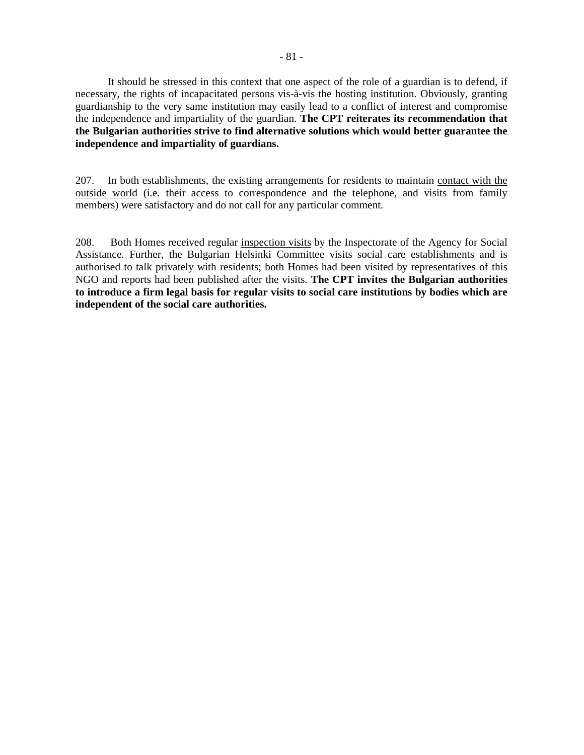It should be stressed in this context that one aspect of the role of a guardian is to defend, if necessary, the rights of incapacitated persons vis-à-vis the hosting institution. Obviously, granting guardianship to the very same institution may easily lead to a conflict of interest and compromise the independence and impartiality of the guardian. **The CPT reiterates its recommendation that the Bulgarian authorities strive to find alternative solutions which would better guarantee the independence and impartiality of guardians.**

207. In both establishments, the existing arrangements for residents to maintain contact with the outside world (i.e. their access to correspondence and the telephone, and visits from family members) were satisfactory and do not call for any particular comment.

208. Both Homes received regular inspection visits by the Inspectorate of the Agency for Social Assistance. Further, the Bulgarian Helsinki Committee visits social care establishments and is authorised to talk privately with residents; both Homes had been visited by representatives of this NGO and reports had been published after the visits. **The CPT invites the Bulgarian authorities to introduce a firm legal basis for regular visits to social care institutions by bodies which are independent of the social care authorities.**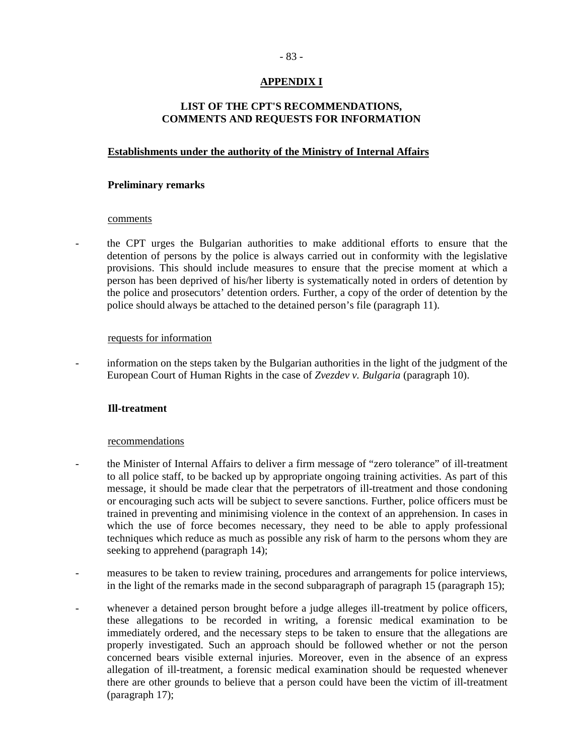# **APPENDIX I**

# **LIST OF THE CPT'S RECOMMENDATIONS, COMMENTS AND REQUESTS FOR INFORMATION**

## **Establishments under the authority of the Ministry of Internal Affairs**

### **Preliminary remarks**

## comments

- the CPT urges the Bulgarian authorities to make additional efforts to ensure that the detention of persons by the police is always carried out in conformity with the legislative provisions. This should include measures to ensure that the precise moment at which a person has been deprived of his/her liberty is systematically noted in orders of detention by the police and prosecutors' detention orders. Further, a copy of the order of detention by the police should always be attached to the detained person's file (paragraph 11).

#### requests for information

information on the steps taken by the Bulgarian authorities in the light of the judgment of the European Court of Human Rights in the case of *Zvezdev v. Bulgaria* (paragraph 10).

### **Ill-treatment**

#### recommendations

- the Minister of Internal Affairs to deliver a firm message of "zero tolerance" of ill-treatment to all police staff, to be backed up by appropriate ongoing training activities. As part of this message, it should be made clear that the perpetrators of ill-treatment and those condoning or encouraging such acts will be subject to severe sanctions. Further, police officers must be trained in preventing and minimising violence in the context of an apprehension. In cases in which the use of force becomes necessary, they need to be able to apply professional techniques which reduce as much as possible any risk of harm to the persons whom they are seeking to apprehend (paragraph 14);
- measures to be taken to review training, procedures and arrangements for police interviews, in the light of the remarks made in the second subparagraph of paragraph 15 (paragraph 15);
- whenever a detained person brought before a judge alleges ill-treatment by police officers, these allegations to be recorded in writing, a forensic medical examination to be immediately ordered, and the necessary steps to be taken to ensure that the allegations are properly investigated. Such an approach should be followed whether or not the person concerned bears visible external injuries. Moreover, even in the absence of an express allegation of ill-treatment, a forensic medical examination should be requested whenever there are other grounds to believe that a person could have been the victim of ill-treatment (paragraph 17);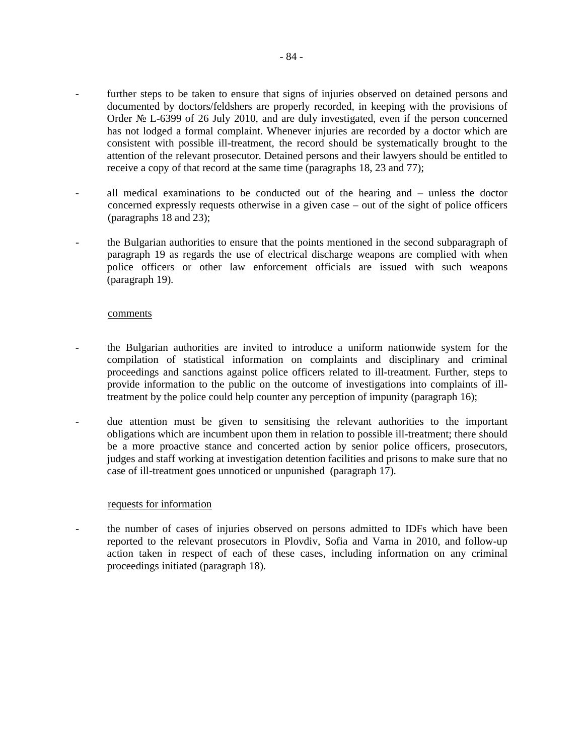- further steps to be taken to ensure that signs of injuries observed on detained persons and documented by doctors/feldshers are properly recorded, in keeping with the provisions of Order № L-6399 of 26 July 2010, and are duly investigated, even if the person concerned has not lodged a formal complaint. Whenever injuries are recorded by a doctor which are consistent with possible ill-treatment, the record should be systematically brought to the attention of the relevant prosecutor. Detained persons and their lawyers should be entitled to receive a copy of that record at the same time (paragraphs 18, 23 and 77);
- all medical examinations to be conducted out of the hearing and unless the doctor concerned expressly requests otherwise in a given case – out of the sight of police officers (paragraphs 18 and 23);
- the Bulgarian authorities to ensure that the points mentioned in the second subparagraph of paragraph 19 as regards the use of electrical discharge weapons are complied with when police officers or other law enforcement officials are issued with such weapons (paragraph 19).

#### comments

- the Bulgarian authorities are invited to introduce a uniform nationwide system for the compilation of statistical information on complaints and disciplinary and criminal proceedings and sanctions against police officers related to ill-treatment. Further, steps to provide information to the public on the outcome of investigations into complaints of illtreatment by the police could help counter any perception of impunity (paragraph 16);
- due attention must be given to sensitising the relevant authorities to the important obligations which are incumbent upon them in relation to possible ill-treatment; there should be a more proactive stance and concerted action by senior police officers, prosecutors, judges and staff working at investigation detention facilities and prisons to make sure that no case of ill-treatment goes unnoticed or unpunished (paragraph 17).

#### requests for information

the number of cases of injuries observed on persons admitted to IDFs which have been reported to the relevant prosecutors in Plovdiv, Sofia and Varna in 2010, and follow-up action taken in respect of each of these cases, including information on any criminal proceedings initiated (paragraph 18).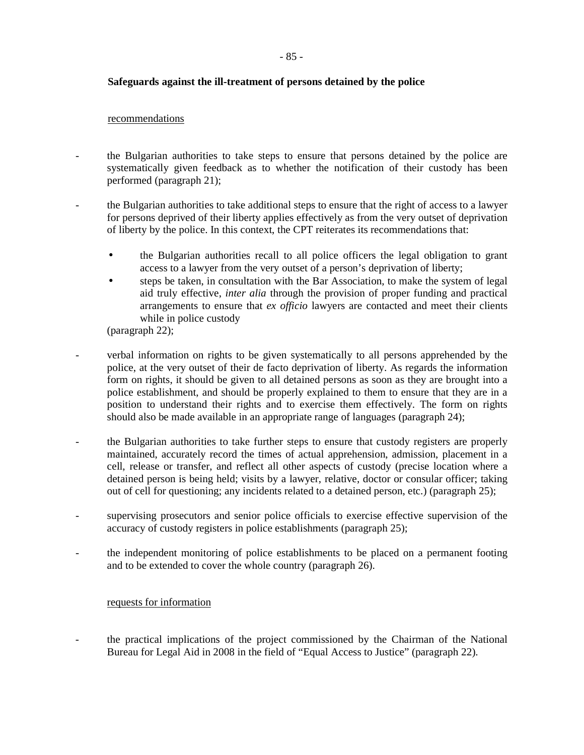# **Safeguards against the ill-treatment of persons detained by the police**

### recommendations

- the Bulgarian authorities to take steps to ensure that persons detained by the police are systematically given feedback as to whether the notification of their custody has been performed (paragraph 21);
- the Bulgarian authorities to take additional steps to ensure that the right of access to a lawyer for persons deprived of their liberty applies effectively as from the very outset of deprivation of liberty by the police. In this context, the CPT reiterates its recommendations that:
	- the Bulgarian authorities recall to all police officers the legal obligation to grant access to a lawyer from the very outset of a person's deprivation of liberty;
	- steps be taken, in consultation with the Bar Association, to make the system of legal aid truly effective, *inter alia* through the provision of proper funding and practical arrangements to ensure that *ex officio* lawyers are contacted and meet their clients while in police custody
	- (paragraph 22);
- verbal information on rights to be given systematically to all persons apprehended by the police, at the very outset of their de facto deprivation of liberty. As regards the information form on rights, it should be given to all detained persons as soon as they are brought into a police establishment, and should be properly explained to them to ensure that they are in a position to understand their rights and to exercise them effectively. The form on rights should also be made available in an appropriate range of languages (paragraph 24);
- the Bulgarian authorities to take further steps to ensure that custody registers are properly maintained, accurately record the times of actual apprehension, admission, placement in a cell, release or transfer, and reflect all other aspects of custody (precise location where a detained person is being held; visits by a lawyer, relative, doctor or consular officer; taking out of cell for questioning; any incidents related to a detained person, etc.) (paragraph 25);
- supervising prosecutors and senior police officials to exercise effective supervision of the accuracy of custody registers in police establishments (paragraph 25);
- the independent monitoring of police establishments to be placed on a permanent footing and to be extended to cover the whole country (paragraph 26).

# requests for information

the practical implications of the project commissioned by the Chairman of the National Bureau for Legal Aid in 2008 in the field of "Equal Access to Justice" (paragraph 22).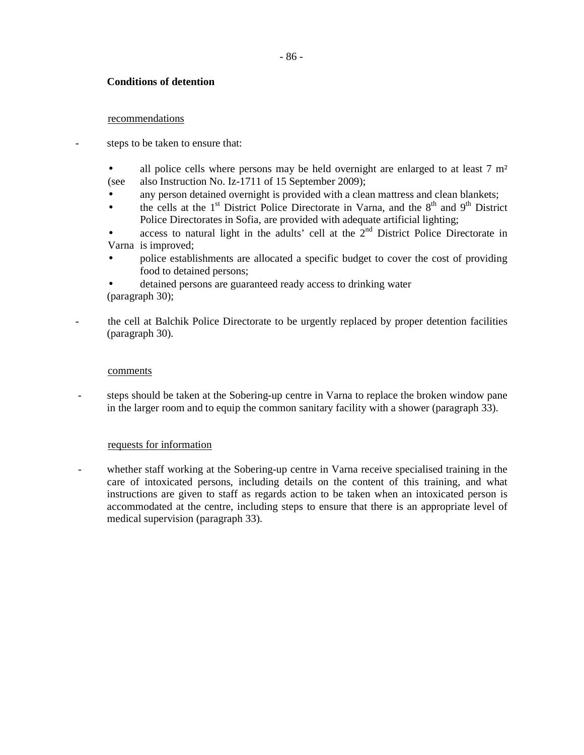# **Conditions of detention**

#### recommendations

steps to be taken to ensure that:

- all police cells where persons may be held overnight are enlarged to at least 7 m<sup>2</sup> (see also Instruction No. Iz-1711 of 15 September 2009);
- any person detained overnight is provided with a clean mattress and clean blankets;
- the cells at the  $1<sup>st</sup>$  District Police Directorate in Varna, and the  $8<sup>th</sup>$  and  $9<sup>th</sup>$  District Police Directorates in Sofia, are provided with adequate artificial lighting;
- access to natural light in the adults' cell at the  $2<sup>nd</sup>$  District Police Directorate in Varna is improved;
- police establishments are allocated a specific budget to cover the cost of providing food to detained persons;
- detained persons are guaranteed ready access to drinking water (paragraph 30);
- the cell at Balchik Police Directorate to be urgently replaced by proper detention facilities (paragraph 30).

#### comments

steps should be taken at the Sobering-up centre in Varna to replace the broken window pane in the larger room and to equip the common sanitary facility with a shower (paragraph 33).

#### requests for information

- whether staff working at the Sobering-up centre in Varna receive specialised training in the care of intoxicated persons, including details on the content of this training, and what instructions are given to staff as regards action to be taken when an intoxicated person is accommodated at the centre, including steps to ensure that there is an appropriate level of medical supervision (paragraph 33).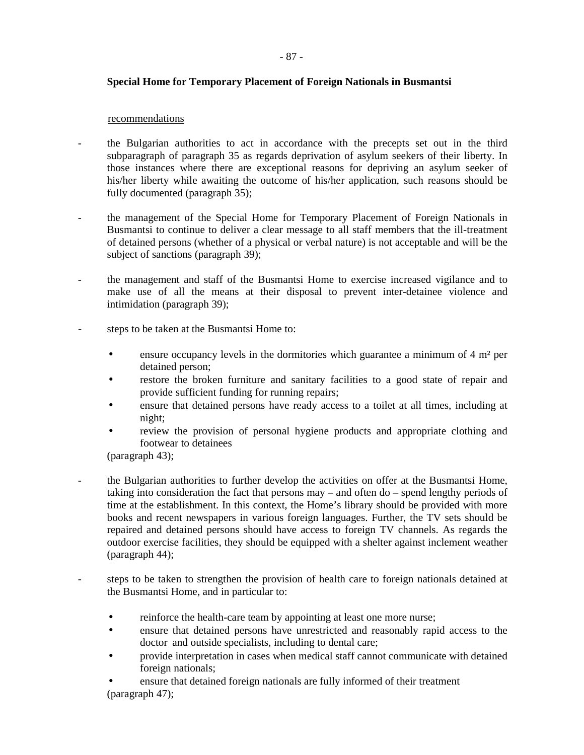# **Special Home for Temporary Placement of Foreign Nationals in Busmantsi**

### recommendations

- the Bulgarian authorities to act in accordance with the precepts set out in the third subparagraph of paragraph 35 as regards deprivation of asylum seekers of their liberty. In those instances where there are exceptional reasons for depriving an asylum seeker of his/her liberty while awaiting the outcome of his/her application, such reasons should be fully documented (paragraph 35);
- the management of the Special Home for Temporary Placement of Foreign Nationals in Busmantsi to continue to deliver a clear message to all staff members that the ill-treatment of detained persons (whether of a physical or verbal nature) is not acceptable and will be the subject of sanctions (paragraph 39);
- the management and staff of the Busmantsi Home to exercise increased vigilance and to make use of all the means at their disposal to prevent inter-detainee violence and intimidation (paragraph 39);
- steps to be taken at the Busmantsi Home to:
	- ensure occupancy levels in the dormitories which guarantee a minimum of  $4 \text{ m}^2$  per detained person;
	- restore the broken furniture and sanitary facilities to a good state of repair and provide sufficient funding for running repairs;
	- ensure that detained persons have ready access to a toilet at all times, including at night;
	- review the provision of personal hygiene products and appropriate clothing and footwear to detainees

(paragraph 43);

- the Bulgarian authorities to further develop the activities on offer at the Busmantsi Home, taking into consideration the fact that persons may – and often do – spend lengthy periods of time at the establishment. In this context, the Home's library should be provided with more books and recent newspapers in various foreign languages. Further, the TV sets should be repaired and detained persons should have access to foreign TV channels. As regards the outdoor exercise facilities, they should be equipped with a shelter against inclement weather (paragraph 44);
- steps to be taken to strengthen the provision of health care to foreign nationals detained at the Busmantsi Home, and in particular to:
	- reinforce the health-care team by appointing at least one more nurse;
	- ensure that detained persons have unrestricted and reasonably rapid access to the doctor and outside specialists, including to dental care;
	- provide interpretation in cases when medical staff cannot communicate with detained foreign nationals;
	- ensure that detained foreign nationals are fully informed of their treatment (paragraph 47);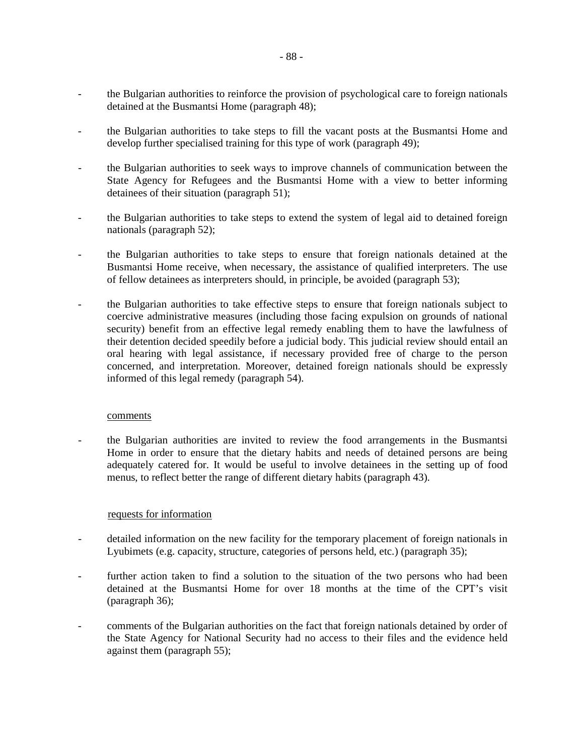- the Bulgarian authorities to reinforce the provision of psychological care to foreign nationals detained at the Busmantsi Home (paragraph 48);
- the Bulgarian authorities to take steps to fill the vacant posts at the Busmantsi Home and develop further specialised training for this type of work (paragraph 49);
- the Bulgarian authorities to seek ways to improve channels of communication between the State Agency for Refugees and the Busmantsi Home with a view to better informing detainees of their situation (paragraph 51);
- the Bulgarian authorities to take steps to extend the system of legal aid to detained foreign nationals (paragraph 52);
- the Bulgarian authorities to take steps to ensure that foreign nationals detained at the Busmantsi Home receive, when necessary, the assistance of qualified interpreters. The use of fellow detainees as interpreters should, in principle, be avoided (paragraph 53);
- the Bulgarian authorities to take effective steps to ensure that foreign nationals subject to coercive administrative measures (including those facing expulsion on grounds of national security) benefit from an effective legal remedy enabling them to have the lawfulness of their detention decided speedily before a judicial body. This judicial review should entail an oral hearing with legal assistance, if necessary provided free of charge to the person concerned, and interpretation. Moreover, detained foreign nationals should be expressly informed of this legal remedy (paragraph 54).

#### comments

- the Bulgarian authorities are invited to review the food arrangements in the Busmantsi Home in order to ensure that the dietary habits and needs of detained persons are being adequately catered for. It would be useful to involve detainees in the setting up of food menus, to reflect better the range of different dietary habits (paragraph 43).

# requests for information

- detailed information on the new facility for the temporary placement of foreign nationals in Lyubimets (e.g. capacity, structure, categories of persons held, etc.) (paragraph 35);
- further action taken to find a solution to the situation of the two persons who had been detained at the Busmantsi Home for over 18 months at the time of the CPT's visit (paragraph 36);
- comments of the Bulgarian authorities on the fact that foreign nationals detained by order of the State Agency for National Security had no access to their files and the evidence held against them (paragraph 55);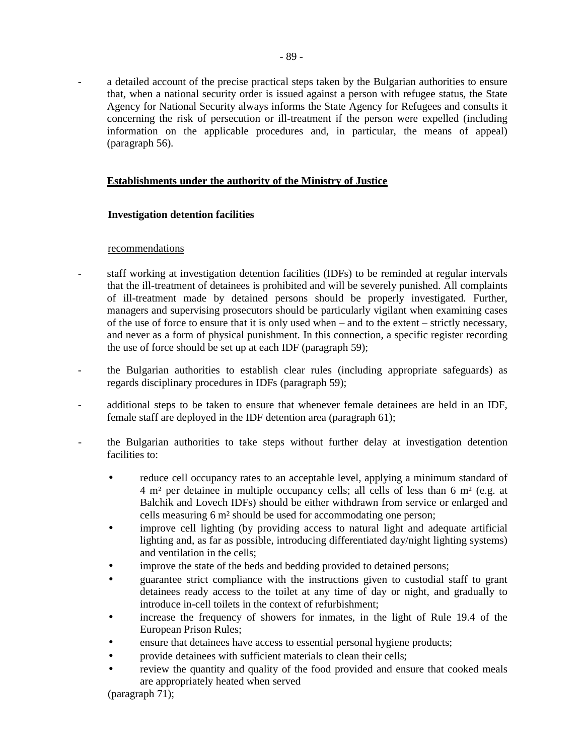a detailed account of the precise practical steps taken by the Bulgarian authorities to ensure that, when a national security order is issued against a person with refugee status, the State Agency for National Security always informs the State Agency for Refugees and consults it concerning the risk of persecution or ill-treatment if the person were expelled (including information on the applicable procedures and, in particular, the means of appeal) (paragraph 56).

# **Establishments under the authority of the Ministry of Justice**

# **Investigation detention facilities**

#### recommendations

- staff working at investigation detention facilities (IDFs) to be reminded at regular intervals that the ill-treatment of detainees is prohibited and will be severely punished. All complaints of ill-treatment made by detained persons should be properly investigated. Further, managers and supervising prosecutors should be particularly vigilant when examining cases of the use of force to ensure that it is only used when – and to the extent – strictly necessary, and never as a form of physical punishment. In this connection, a specific register recording the use of force should be set up at each IDF (paragraph 59);
- the Bulgarian authorities to establish clear rules (including appropriate safeguards) as regards disciplinary procedures in IDFs (paragraph 59);
- additional steps to be taken to ensure that whenever female detainees are held in an IDF, female staff are deployed in the IDF detention area (paragraph 61);
- the Bulgarian authorities to take steps without further delay at investigation detention facilities to:
	- reduce cell occupancy rates to an acceptable level, applying a minimum standard of 4 m² per detainee in multiple occupancy cells; all cells of less than 6 m² (e.g. at Balchik and Lovech IDFs) should be either withdrawn from service or enlarged and cells measuring 6 m² should be used for accommodating one person;
	- improve cell lighting (by providing access to natural light and adequate artificial lighting and, as far as possible, introducing differentiated day/night lighting systems) and ventilation in the cells;
	- improve the state of the beds and bedding provided to detained persons;
	- guarantee strict compliance with the instructions given to custodial staff to grant detainees ready access to the toilet at any time of day or night, and gradually to introduce in-cell toilets in the context of refurbishment;
	- increase the frequency of showers for inmates, in the light of Rule 19.4 of the European Prison Rules;
	- ensure that detainees have access to essential personal hygiene products;
	- provide detainees with sufficient materials to clean their cells;
	- review the quantity and quality of the food provided and ensure that cooked meals are appropriately heated when served

(paragraph 71);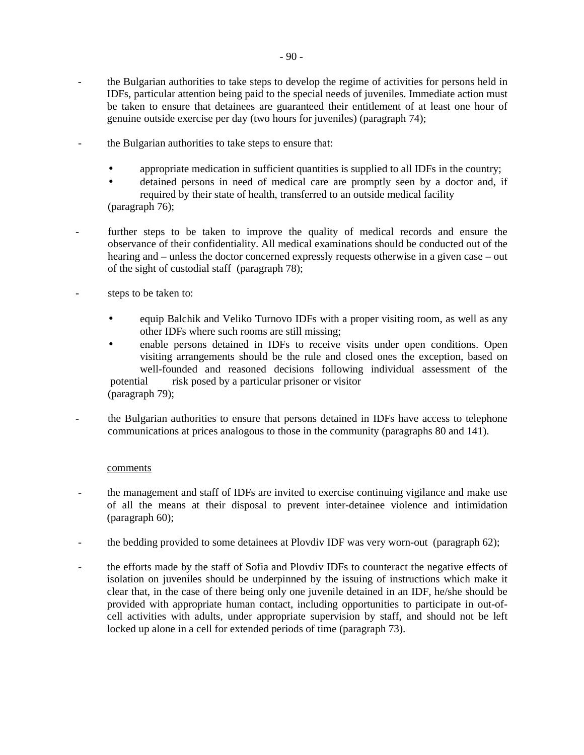- the Bulgarian authorities to take steps to develop the regime of activities for persons held in IDFs, particular attention being paid to the special needs of juveniles. Immediate action must be taken to ensure that detainees are guaranteed their entitlement of at least one hour of genuine outside exercise per day (two hours for juveniles) (paragraph 74);
- the Bulgarian authorities to take steps to ensure that:
	- appropriate medication in sufficient quantities is supplied to all IDFs in the country;
	- detained persons in need of medical care are promptly seen by a doctor and, if required by their state of health, transferred to an outside medical facility (paragraph 76);
- further steps to be taken to improve the quality of medical records and ensure the observance of their confidentiality. All medical examinations should be conducted out of the hearing and – unless the doctor concerned expressly requests otherwise in a given case – out of the sight of custodial staff (paragraph 78);
- steps to be taken to:
	- equip Balchik and Veliko Turnovo IDFs with a proper visiting room, as well as any other IDFs where such rooms are still missing;
	- enable persons detained in IDFs to receive visits under open conditions. Open visiting arrangements should be the rule and closed ones the exception, based on well-founded and reasoned decisions following individual assessment of the potential risk posed by a particular prisoner or visitor (paragraph 79);
- the Bulgarian authorities to ensure that persons detained in IDFs have access to telephone communications at prices analogous to those in the community (paragraphs 80 and 141).

#### comments

- the management and staff of IDFs are invited to exercise continuing vigilance and make use of all the means at their disposal to prevent inter-detainee violence and intimidation (paragraph 60);
- the bedding provided to some detainees at Plovdiv IDF was very worn-out (paragraph 62);
- the efforts made by the staff of Sofia and Plovdiv IDFs to counteract the negative effects of isolation on juveniles should be underpinned by the issuing of instructions which make it clear that, in the case of there being only one juvenile detained in an IDF, he/she should be provided with appropriate human contact, including opportunities to participate in out-ofcell activities with adults, under appropriate supervision by staff, and should not be left locked up alone in a cell for extended periods of time (paragraph 73).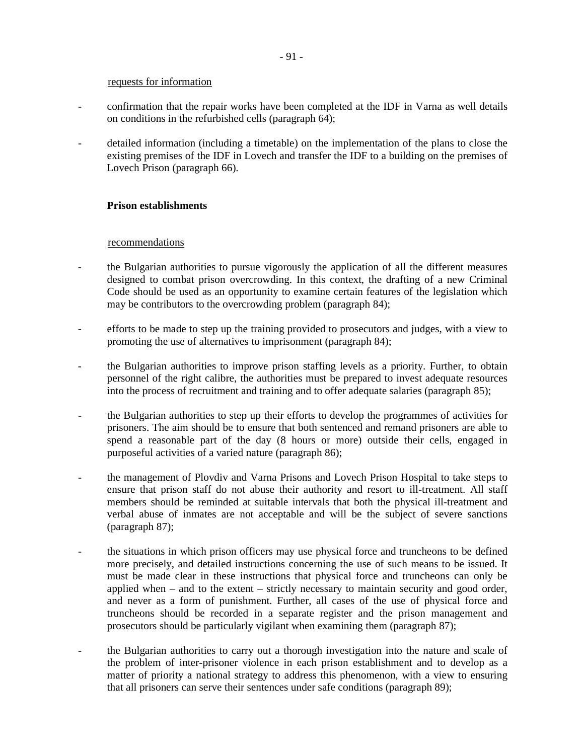#### requests for information

- confirmation that the repair works have been completed at the IDF in Varna as well details on conditions in the refurbished cells (paragraph 64);
- detailed information (including a timetable) on the implementation of the plans to close the existing premises of the IDF in Lovech and transfer the IDF to a building on the premises of Lovech Prison (paragraph 66).

# **Prison establishments**

# recommendations

- the Bulgarian authorities to pursue vigorously the application of all the different measures designed to combat prison overcrowding. In this context, the drafting of a new Criminal Code should be used as an opportunity to examine certain features of the legislation which may be contributors to the overcrowding problem (paragraph 84);
- efforts to be made to step up the training provided to prosecutors and judges, with a view to promoting the use of alternatives to imprisonment (paragraph 84);
- the Bulgarian authorities to improve prison staffing levels as a priority. Further, to obtain personnel of the right calibre, the authorities must be prepared to invest adequate resources into the process of recruitment and training and to offer adequate salaries (paragraph 85);
- the Bulgarian authorities to step up their efforts to develop the programmes of activities for prisoners. The aim should be to ensure that both sentenced and remand prisoners are able to spend a reasonable part of the day (8 hours or more) outside their cells, engaged in purposeful activities of a varied nature (paragraph 86);
- the management of Plovdiv and Varna Prisons and Lovech Prison Hospital to take steps to ensure that prison staff do not abuse their authority and resort to ill-treatment. All staff members should be reminded at suitable intervals that both the physical ill-treatment and verbal abuse of inmates are not acceptable and will be the subject of severe sanctions (paragraph 87);
- the situations in which prison officers may use physical force and truncheons to be defined more precisely, and detailed instructions concerning the use of such means to be issued. It must be made clear in these instructions that physical force and truncheons can only be applied when – and to the extent – strictly necessary to maintain security and good order, and never as a form of punishment. Further, all cases of the use of physical force and truncheons should be recorded in a separate register and the prison management and prosecutors should be particularly vigilant when examining them (paragraph 87);
- the Bulgarian authorities to carry out a thorough investigation into the nature and scale of the problem of inter-prisoner violence in each prison establishment and to develop as a matter of priority a national strategy to address this phenomenon, with a view to ensuring that all prisoners can serve their sentences under safe conditions (paragraph 89);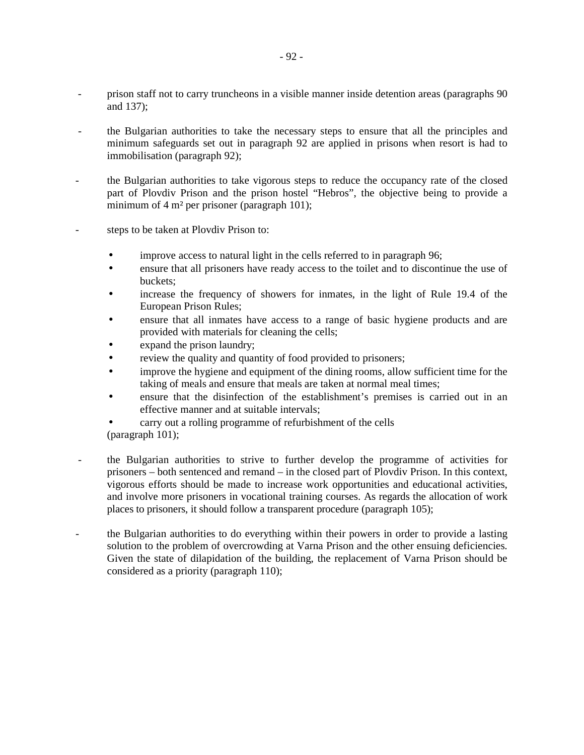- prison staff not to carry truncheons in a visible manner inside detention areas (paragraphs 90 and 137);
- the Bulgarian authorities to take the necessary steps to ensure that all the principles and minimum safeguards set out in paragraph 92 are applied in prisons when resort is had to immobilisation (paragraph 92);
- the Bulgarian authorities to take vigorous steps to reduce the occupancy rate of the closed part of Plovdiv Prison and the prison hostel "Hebros", the objective being to provide a minimum of 4 m² per prisoner (paragraph 101);
- steps to be taken at Plovdiv Prison to:
	- improve access to natural light in the cells referred to in paragraph 96;
	- ensure that all prisoners have ready access to the toilet and to discontinue the use of buckets;
	- increase the frequency of showers for inmates, in the light of Rule 19.4 of the European Prison Rules;
	- ensure that all inmates have access to a range of basic hygiene products and are provided with materials for cleaning the cells;
	- expand the prison laundry;
	- review the quality and quantity of food provided to prisoners;
	- improve the hygiene and equipment of the dining rooms, allow sufficient time for the taking of meals and ensure that meals are taken at normal meal times;
	- ensure that the disinfection of the establishment's premises is carried out in an effective manner and at suitable intervals;
	- carry out a rolling programme of refurbishment of the cells
	- (paragraph 101);
- the Bulgarian authorities to strive to further develop the programme of activities for prisoners – both sentenced and remand – in the closed part of Plovdiv Prison. In this context, vigorous efforts should be made to increase work opportunities and educational activities, and involve more prisoners in vocational training courses. As regards the allocation of work places to prisoners, it should follow a transparent procedure (paragraph 105);
- the Bulgarian authorities to do everything within their powers in order to provide a lasting solution to the problem of overcrowding at Varna Prison and the other ensuing deficiencies. Given the state of dilapidation of the building, the replacement of Varna Prison should be considered as a priority (paragraph 110);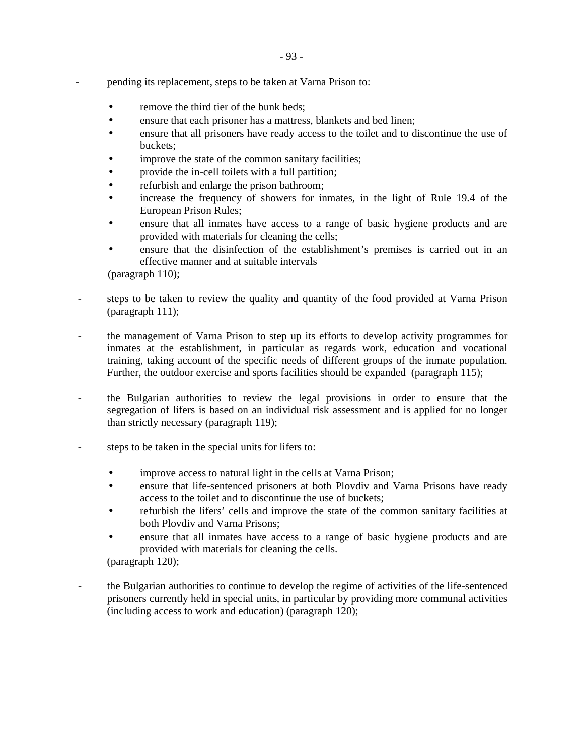- pending its replacement, steps to be taken at Varna Prison to:
	- remove the third tier of the bunk beds;
	- ensure that each prisoner has a mattress, blankets and bed linen;
	- ensure that all prisoners have ready access to the toilet and to discontinue the use of buckets;
	- improve the state of the common sanitary facilities;
	- provide the in-cell toilets with a full partition;
	- refurbish and enlarge the prison bathroom;
	- increase the frequency of showers for inmates, in the light of Rule 19.4 of the European Prison Rules;
	- ensure that all inmates have access to a range of basic hygiene products and are provided with materials for cleaning the cells;
	- ensure that the disinfection of the establishment's premises is carried out in an effective manner and at suitable intervals

(paragraph 110);

- steps to be taken to review the quality and quantity of the food provided at Varna Prison (paragraph 111);
- the management of Varna Prison to step up its efforts to develop activity programmes for inmates at the establishment, in particular as regards work, education and vocational training, taking account of the specific needs of different groups of the inmate population. Further, the outdoor exercise and sports facilities should be expanded (paragraph 115);
- the Bulgarian authorities to review the legal provisions in order to ensure that the segregation of lifers is based on an individual risk assessment and is applied for no longer than strictly necessary (paragraph 119);
- steps to be taken in the special units for lifers to:
	- improve access to natural light in the cells at Varna Prison;
	- ensure that life-sentenced prisoners at both Plovdiv and Varna Prisons have ready access to the toilet and to discontinue the use of buckets;
	- refurbish the lifers' cells and improve the state of the common sanitary facilities at both Plovdiv and Varna Prisons;
	- ensure that all inmates have access to a range of basic hygiene products and are provided with materials for cleaning the cells.

(paragraph 120);

- the Bulgarian authorities to continue to develop the regime of activities of the life-sentenced prisoners currently held in special units, in particular by providing more communal activities (including access to work and education) (paragraph 120);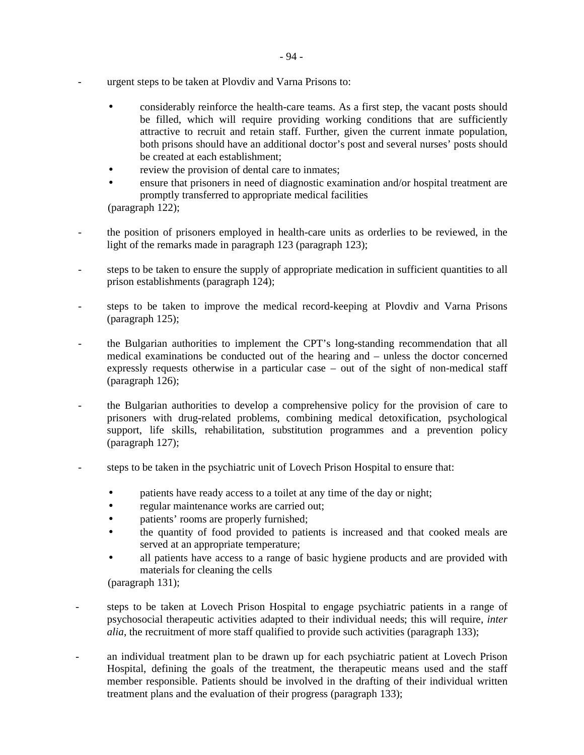- urgent steps to be taken at Plovdiv and Varna Prisons to:
	- considerably reinforce the health-care teams. As a first step, the vacant posts should be filled, which will require providing working conditions that are sufficiently attractive to recruit and retain staff. Further, given the current inmate population, both prisons should have an additional doctor's post and several nurses' posts should be created at each establishment;
	- review the provision of dental care to inmates:
	- ensure that prisoners in need of diagnostic examination and/or hospital treatment are promptly transferred to appropriate medical facilities (paragraph 122);
- the position of prisoners employed in health-care units as orderlies to be reviewed, in the light of the remarks made in paragraph 123 (paragraph 123);
- steps to be taken to ensure the supply of appropriate medication in sufficient quantities to all prison establishments (paragraph 124);
- steps to be taken to improve the medical record-keeping at Plovdiv and Varna Prisons (paragraph 125);
- the Bulgarian authorities to implement the CPT's long-standing recommendation that all medical examinations be conducted out of the hearing and – unless the doctor concerned expressly requests otherwise in a particular case – out of the sight of non-medical staff (paragraph 126);
- the Bulgarian authorities to develop a comprehensive policy for the provision of care to prisoners with drug-related problems, combining medical detoxification, psychological support, life skills, rehabilitation, substitution programmes and a prevention policy (paragraph 127);
- steps to be taken in the psychiatric unit of Lovech Prison Hospital to ensure that:
	- patients have ready access to a toilet at any time of the day or night;
	- regular maintenance works are carried out;
	- patients' rooms are properly furnished;
	- the quantity of food provided to patients is increased and that cooked meals are served at an appropriate temperature;
	- all patients have access to a range of basic hygiene products and are provided with materials for cleaning the cells

(paragraph 131);

- steps to be taken at Lovech Prison Hospital to engage psychiatric patients in a range of psychosocial therapeutic activities adapted to their individual needs; this will require, *inter alia*, the recruitment of more staff qualified to provide such activities (paragraph 133);
- an individual treatment plan to be drawn up for each psychiatric patient at Lovech Prison Hospital, defining the goals of the treatment, the therapeutic means used and the staff member responsible. Patients should be involved in the drafting of their individual written treatment plans and the evaluation of their progress (paragraph 133);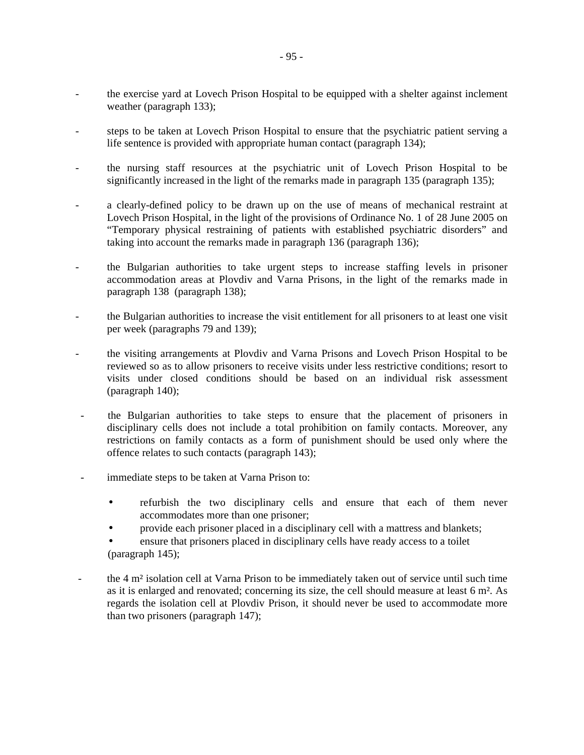- the exercise yard at Lovech Prison Hospital to be equipped with a shelter against inclement weather (paragraph 133);
- steps to be taken at Lovech Prison Hospital to ensure that the psychiatric patient serving a life sentence is provided with appropriate human contact (paragraph 134);
- the nursing staff resources at the psychiatric unit of Lovech Prison Hospital to be significantly increased in the light of the remarks made in paragraph 135 (paragraph 135);
- a clearly-defined policy to be drawn up on the use of means of mechanical restraint at Lovech Prison Hospital, in the light of the provisions of Ordinance No. 1 of 28 June 2005 on "Temporary physical restraining of patients with established psychiatric disorders" and taking into account the remarks made in paragraph 136 (paragraph 136);
- the Bulgarian authorities to take urgent steps to increase staffing levels in prisoner accommodation areas at Plovdiv and Varna Prisons, in the light of the remarks made in paragraph 138 (paragraph 138);
- the Bulgarian authorities to increase the visit entitlement for all prisoners to at least one visit per week (paragraphs 79 and 139);
- the visiting arrangements at Plovdiv and Varna Prisons and Lovech Prison Hospital to be reviewed so as to allow prisoners to receive visits under less restrictive conditions; resort to visits under closed conditions should be based on an individual risk assessment (paragraph 140);
- the Bulgarian authorities to take steps to ensure that the placement of prisoners in disciplinary cells does not include a total prohibition on family contacts. Moreover, any restrictions on family contacts as a form of punishment should be used only where the offence relates to such contacts (paragraph 143);
- immediate steps to be taken at Varna Prison to:
	- refurbish the two disciplinary cells and ensure that each of them never accommodates more than one prisoner;
	- provide each prisoner placed in a disciplinary cell with a mattress and blankets;
	- ensure that prisoners placed in disciplinary cells have ready access to a toilet (paragraph 145);
- the 4 m² isolation cell at Varna Prison to be immediately taken out of service until such time as it is enlarged and renovated; concerning its size, the cell should measure at least 6 m². As regards the isolation cell at Plovdiv Prison, it should never be used to accommodate more than two prisoners (paragraph 147);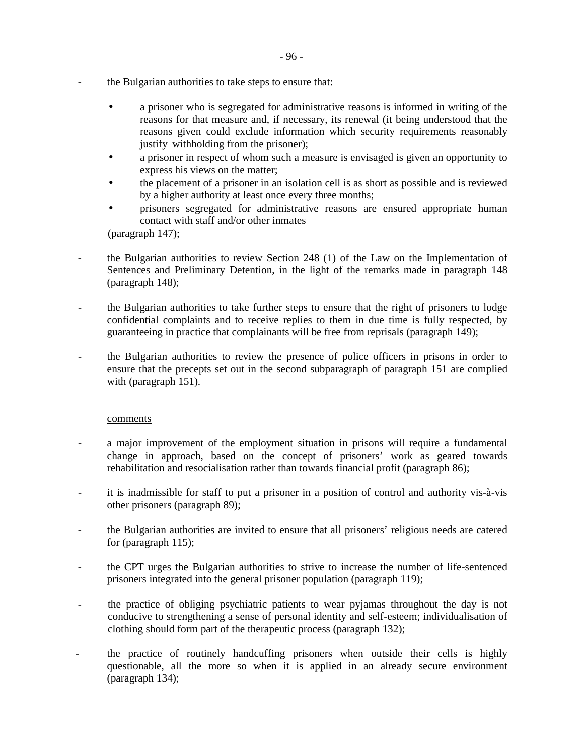- the Bulgarian authorities to take steps to ensure that:
	- a prisoner who is segregated for administrative reasons is informed in writing of the reasons for that measure and, if necessary, its renewal (it being understood that the reasons given could exclude information which security requirements reasonably justify withholding from the prisoner);
	- a prisoner in respect of whom such a measure is envisaged is given an opportunity to express his views on the matter;
	- the placement of a prisoner in an isolation cell is as short as possible and is reviewed by a higher authority at least once every three months;
	- prisoners segregated for administrative reasons are ensured appropriate human contact with staff and/or other inmates

(paragraph 147);

- the Bulgarian authorities to review Section 248 (1) of the Law on the Implementation of Sentences and Preliminary Detention, in the light of the remarks made in paragraph 148 (paragraph 148);
- the Bulgarian authorities to take further steps to ensure that the right of prisoners to lodge confidential complaints and to receive replies to them in due time is fully respected, by guaranteeing in practice that complainants will be free from reprisals (paragraph 149);
- the Bulgarian authorities to review the presence of police officers in prisons in order to ensure that the precepts set out in the second subparagraph of paragraph 151 are complied with (paragraph 151).

# comments

- a major improvement of the employment situation in prisons will require a fundamental change in approach, based on the concept of prisoners' work as geared towards rehabilitation and resocialisation rather than towards financial profit (paragraph 86);
- it is inadmissible for staff to put a prisoner in a position of control and authority vis-à-vis other prisoners (paragraph 89);
- the Bulgarian authorities are invited to ensure that all prisoners' religious needs are catered for (paragraph 115);
- the CPT urges the Bulgarian authorities to strive to increase the number of life-sentenced prisoners integrated into the general prisoner population (paragraph 119);
- the practice of obliging psychiatric patients to wear pyjamas throughout the day is not conducive to strengthening a sense of personal identity and self-esteem; individualisation of clothing should form part of the therapeutic process (paragraph 132);
- the practice of routinely handcuffing prisoners when outside their cells is highly questionable, all the more so when it is applied in an already secure environment (paragraph 134);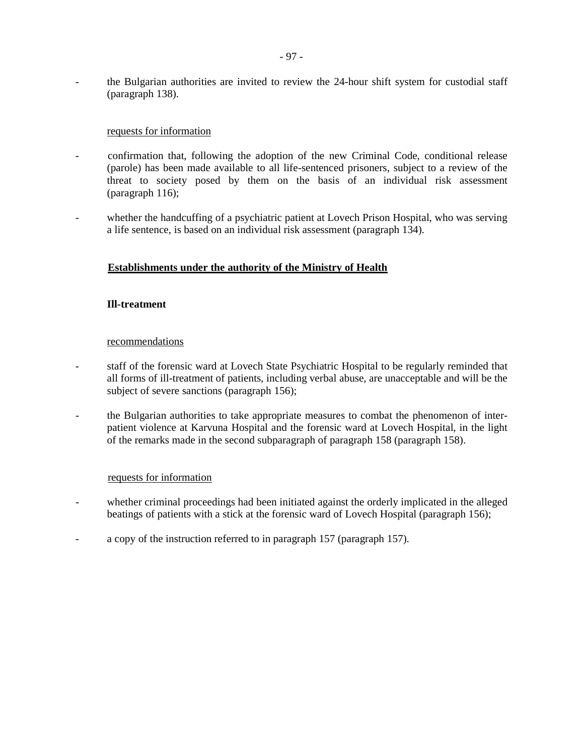- the Bulgarian authorities are invited to review the 24-hour shift system for custodial staff (paragraph 138).

### requests for information

- confirmation that, following the adoption of the new Criminal Code, conditional release (parole) has been made available to all life-sentenced prisoners, subject to a review of the threat to society posed by them on the basis of an individual risk assessment (paragraph 116);
- whether the handcuffing of a psychiatric patient at Lovech Prison Hospital, who was serving a life sentence, is based on an individual risk assessment (paragraph 134).

# **Establishments under the authority of the Ministry of Health**

### **Ill-treatment**

#### recommendations

- staff of the forensic ward at Lovech State Psychiatric Hospital to be regularly reminded that all forms of ill-treatment of patients, including verbal abuse, are unacceptable and will be the subject of severe sanctions (paragraph 156);
- the Bulgarian authorities to take appropriate measures to combat the phenomenon of interpatient violence at Karvuna Hospital and the forensic ward at Lovech Hospital, in the light of the remarks made in the second subparagraph of paragraph 158 (paragraph 158).

#### requests for information

- whether criminal proceedings had been initiated against the orderly implicated in the alleged beatings of patients with a stick at the forensic ward of Lovech Hospital (paragraph 156);
- a copy of the instruction referred to in paragraph 157 (paragraph 157).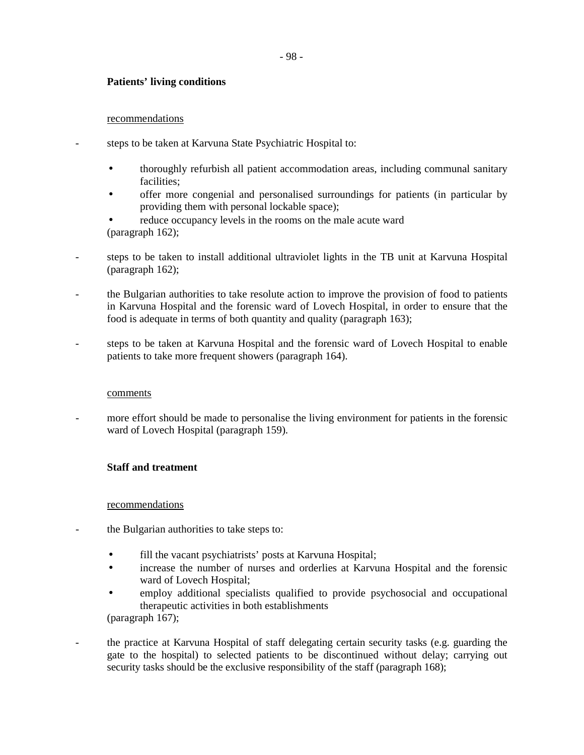# **Patients' living conditions**

### recommendations

- steps to be taken at Karvuna State Psychiatric Hospital to:
	- thoroughly refurbish all patient accommodation areas, including communal sanitary facilities;
	- offer more congenial and personalised surroundings for patients (in particular by providing them with personal lockable space);
	- reduce occupancy levels in the rooms on the male acute ward (paragraph 162);
- steps to be taken to install additional ultraviolet lights in the TB unit at Karvuna Hospital (paragraph 162);
- the Bulgarian authorities to take resolute action to improve the provision of food to patients in Karvuna Hospital and the forensic ward of Lovech Hospital, in order to ensure that the food is adequate in terms of both quantity and quality (paragraph 163);
- steps to be taken at Karvuna Hospital and the forensic ward of Lovech Hospital to enable patients to take more frequent showers (paragraph 164).

# comments

more effort should be made to personalise the living environment for patients in the forensic ward of Lovech Hospital (paragraph 159).

# **Staff and treatment**

# recommendations

- the Bulgarian authorities to take steps to:
	- fill the vacant psychiatrists' posts at Karvuna Hospital;
	- increase the number of nurses and orderlies at Karvuna Hospital and the forensic ward of Lovech Hospital;
	- employ additional specialists qualified to provide psychosocial and occupational therapeutic activities in both establishments (paragraph 167);
- the practice at Karvuna Hospital of staff delegating certain security tasks (e.g. guarding the gate to the hospital) to selected patients to be discontinued without delay; carrying out security tasks should be the exclusive responsibility of the staff (paragraph 168);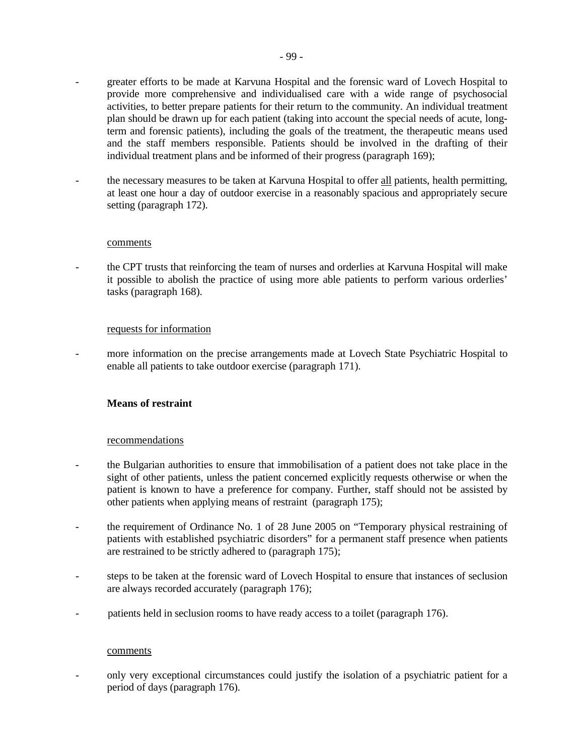- greater efforts to be made at Karvuna Hospital and the forensic ward of Lovech Hospital to provide more comprehensive and individualised care with a wide range of psychosocial activities, to better prepare patients for their return to the community. An individual treatment plan should be drawn up for each patient (taking into account the special needs of acute, longterm and forensic patients), including the goals of the treatment, the therapeutic means used and the staff members responsible. Patients should be involved in the drafting of their individual treatment plans and be informed of their progress (paragraph 169);
- the necessary measures to be taken at Karvuna Hospital to offer all patients, health permitting, at least one hour a day of outdoor exercise in a reasonably spacious and appropriately secure setting (paragraph 172).

#### comments

- the CPT trusts that reinforcing the team of nurses and orderlies at Karvuna Hospital will make it possible to abolish the practice of using more able patients to perform various orderlies' tasks (paragraph 168).

#### requests for information

- more information on the precise arrangements made at Lovech State Psychiatric Hospital to enable all patients to take outdoor exercise (paragraph 171).

### **Means of restraint**

#### recommendations

- the Bulgarian authorities to ensure that immobilisation of a patient does not take place in the sight of other patients, unless the patient concerned explicitly requests otherwise or when the patient is known to have a preference for company. Further, staff should not be assisted by other patients when applying means of restraint (paragraph 175);
- the requirement of Ordinance No. 1 of 28 June 2005 on "Temporary physical restraining of patients with established psychiatric disorders" for a permanent staff presence when patients are restrained to be strictly adhered to (paragraph 175);
- steps to be taken at the forensic ward of Lovech Hospital to ensure that instances of seclusion are always recorded accurately (paragraph 176);
- patients held in seclusion rooms to have ready access to a toilet (paragraph 176).

#### comments

- only very exceptional circumstances could justify the isolation of a psychiatric patient for a period of days (paragraph 176).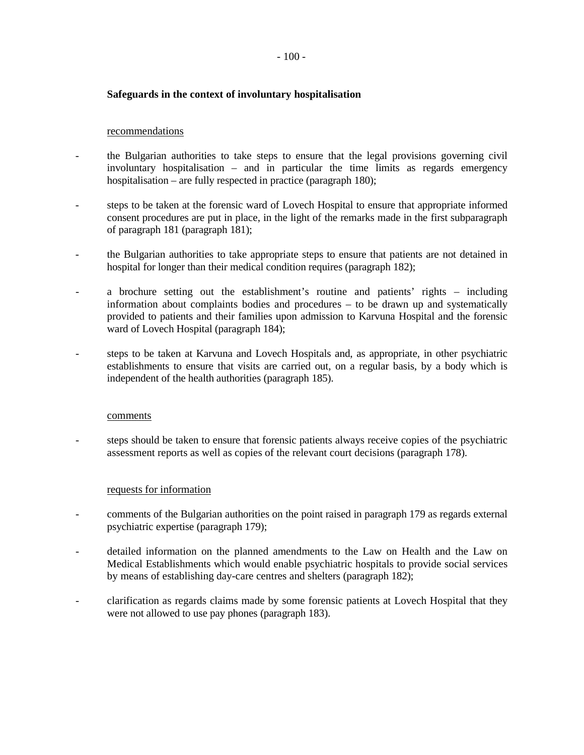### $-100-$

## **Safeguards in the context of involuntary hospitalisation**

### recommendations

- the Bulgarian authorities to take steps to ensure that the legal provisions governing civil involuntary hospitalisation – and in particular the time limits as regards emergency hospitalisation – are fully respected in practice (paragraph 180);
- steps to be taken at the forensic ward of Lovech Hospital to ensure that appropriate informed consent procedures are put in place, in the light of the remarks made in the first subparagraph of paragraph 181 (paragraph 181);
- the Bulgarian authorities to take appropriate steps to ensure that patients are not detained in hospital for longer than their medical condition requires (paragraph 182);
- a brochure setting out the establishment's routine and patients' rights including information about complaints bodies and procedures – to be drawn up and systematically provided to patients and their families upon admission to Karvuna Hospital and the forensic ward of Lovech Hospital (paragraph 184);
- steps to be taken at Karvuna and Lovech Hospitals and, as appropriate, in other psychiatric establishments to ensure that visits are carried out, on a regular basis, by a body which is independent of the health authorities (paragraph 185).

#### comments

steps should be taken to ensure that forensic patients always receive copies of the psychiatric assessment reports as well as copies of the relevant court decisions (paragraph 178).

#### requests for information

- comments of the Bulgarian authorities on the point raised in paragraph 179 as regards external psychiatric expertise (paragraph 179);
- detailed information on the planned amendments to the Law on Health and the Law on Medical Establishments which would enable psychiatric hospitals to provide social services by means of establishing day-care centres and shelters (paragraph 182);
- clarification as regards claims made by some forensic patients at Lovech Hospital that they were not allowed to use pay phones (paragraph 183).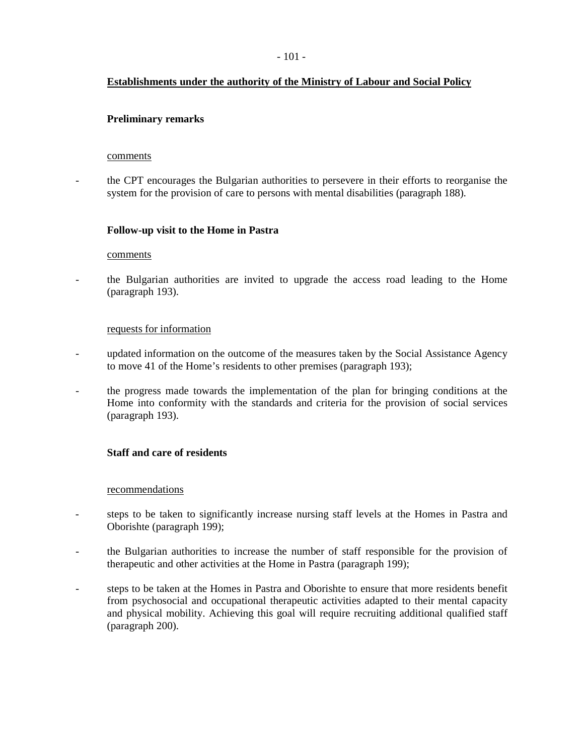# **Establishments under the authority of the Ministry of Labour and Social Policy**

# **Preliminary remarks**

#### comments

- the CPT encourages the Bulgarian authorities to persevere in their efforts to reorganise the system for the provision of care to persons with mental disabilities (paragraph 188).

# **Follow-up visit to the Home in Pastra**

#### comments

- the Bulgarian authorities are invited to upgrade the access road leading to the Home (paragraph 193).

### requests for information

- updated information on the outcome of the measures taken by the Social Assistance Agency to move 41 of the Home's residents to other premises (paragraph 193);
- the progress made towards the implementation of the plan for bringing conditions at the Home into conformity with the standards and criteria for the provision of social services (paragraph 193).

# **Staff and care of residents**

#### recommendations

- steps to be taken to significantly increase nursing staff levels at the Homes in Pastra and Oborishte (paragraph 199);
- the Bulgarian authorities to increase the number of staff responsible for the provision of therapeutic and other activities at the Home in Pastra (paragraph 199);
- steps to be taken at the Homes in Pastra and Oborishte to ensure that more residents benefit from psychosocial and occupational therapeutic activities adapted to their mental capacity and physical mobility. Achieving this goal will require recruiting additional qualified staff (paragraph 200).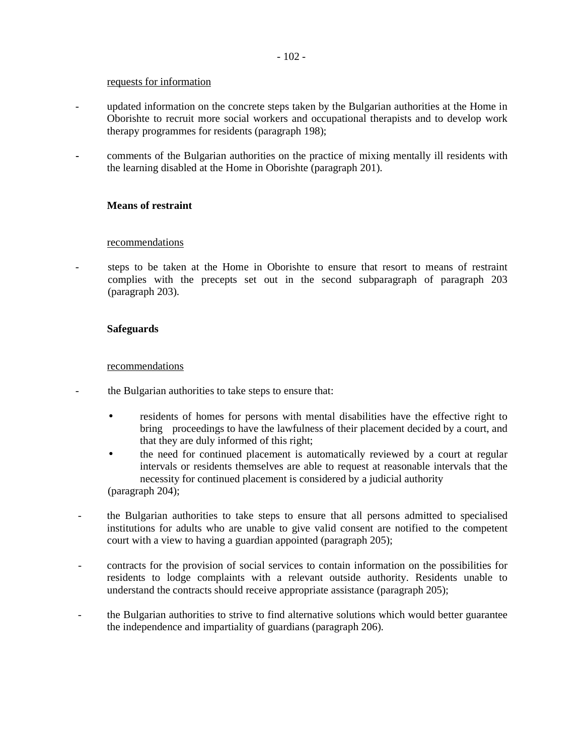#### requests for information

- updated information on the concrete steps taken by the Bulgarian authorities at the Home in Oborishte to recruit more social workers and occupational therapists and to develop work therapy programmes for residents (paragraph 198);
- comments of the Bulgarian authorities on the practice of mixing mentally ill residents with the learning disabled at the Home in Oborishte (paragraph 201).

### **Means of restraint**

#### recommendations

steps to be taken at the Home in Oborishte to ensure that resort to means of restraint complies with the precepts set out in the second subparagraph of paragraph 203 (paragraph 203).

#### **Safeguards**

#### recommendations

- the Bulgarian authorities to take steps to ensure that:
	- residents of homes for persons with mental disabilities have the effective right to bring proceedings to have the lawfulness of their placement decided by a court, and that they are duly informed of this right;
	- the need for continued placement is automatically reviewed by a court at regular intervals or residents themselves are able to request at reasonable intervals that the necessity for continued placement is considered by a judicial authority (paragraph 204);
- the Bulgarian authorities to take steps to ensure that all persons admitted to specialised institutions for adults who are unable to give valid consent are notified to the competent court with a view to having a guardian appointed (paragraph 205);
- contracts for the provision of social services to contain information on the possibilities for residents to lodge complaints with a relevant outside authority. Residents unable to understand the contracts should receive appropriate assistance (paragraph 205);
- the Bulgarian authorities to strive to find alternative solutions which would better guarantee the independence and impartiality of guardians (paragraph 206).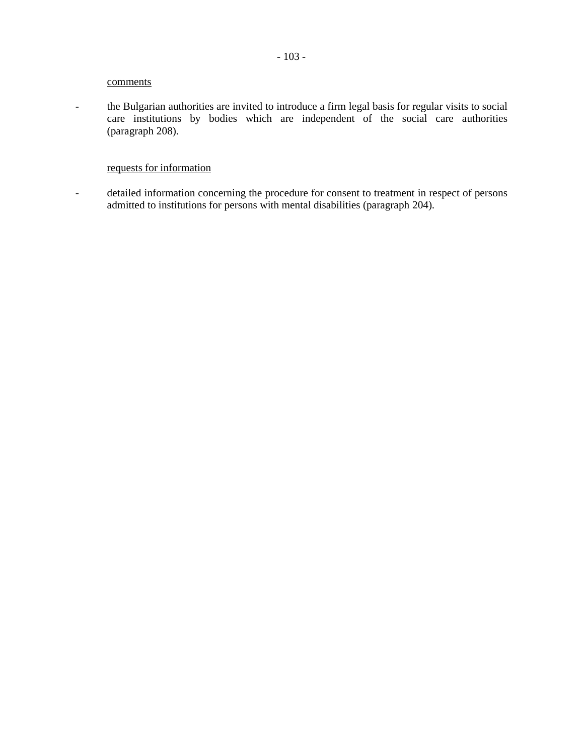#### comments

- the Bulgarian authorities are invited to introduce a firm legal basis for regular visits to social care institutions by bodies which are independent of the social care authorities (paragraph 208).

# requests for information

- detailed information concerning the procedure for consent to treatment in respect of persons admitted to institutions for persons with mental disabilities (paragraph 204).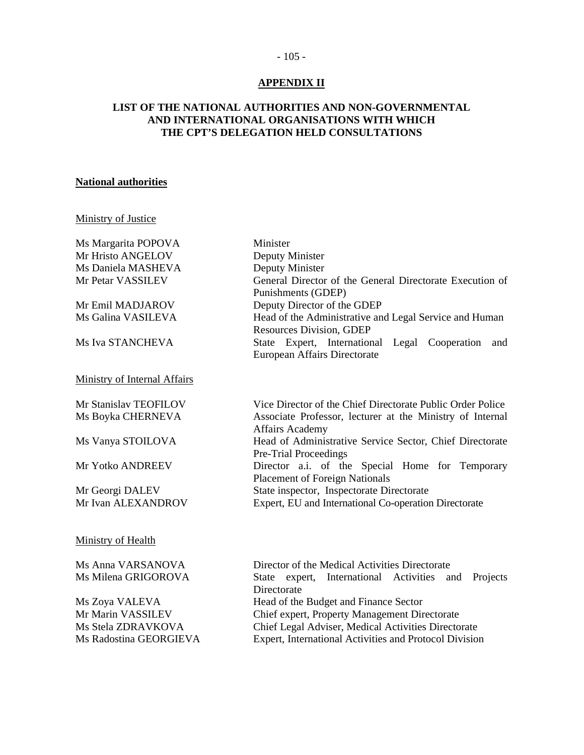#### - 105 -

# **APPENDIX II**

# **LIST OF THE NATIONAL AUTHORITIES AND NON-GOVERNMENTAL AND INTERNATIONAL ORGANISATIONS WITH WHICH THE CPT'S DELEGATION HELD CONSULTATIONS**

## **National authorities**

# Ministry of Justice

| Ms Margarita POPOVA                    | Minister                                                                          |
|----------------------------------------|-----------------------------------------------------------------------------------|
| Mr Hristo ANGELOV                      | Deputy Minister                                                                   |
| Ms Daniela MASHEVA                     | Deputy Minister                                                                   |
| Mr Petar VASSILEV                      | General Director of the General Directorate Execution of                          |
|                                        | Punishments (GDEP)                                                                |
| Mr Emil MADJAROV                       | Deputy Director of the GDEP                                                       |
| Ms Galina VASILEVA                     | Head of the Administrative and Legal Service and Human                            |
|                                        | <b>Resources Division, GDEP</b>                                                   |
| Ms Iva STANCHEVA                       | State Expert, International Legal Cooperation and<br>European Affairs Directorate |
| <b>Ministry of Internal Affairs</b>    |                                                                                   |
| Mr Stanislav TEOFILOV                  | Vice Director of the Chief Directorate Public Order Police                        |
| Ms Boyka CHERNEVA                      | Associate Professor, lecturer at the Ministry of Internal                         |
|                                        | <b>Affairs Academy</b>                                                            |
| Ms Vanya STOILOVA                      | Head of Administrative Service Sector, Chief Directorate                          |
|                                        | Pre-Trial Proceedings                                                             |
| Mr Yotko ANDREEV                       | Director a.i. of the Special Home for Temporary                                   |
|                                        | <b>Placement of Foreign Nationals</b>                                             |
| Mr Georgi DALEV                        | State inspector, Inspectorate Directorate                                         |
| Mr Ivan ALEXANDROV                     | Expert, EU and International Co-operation Directorate                             |
| Ministry of Health                     |                                                                                   |
| Ms Anna VARSANOVA                      | Director of the Medical Activities Directorate                                    |
| Ms Milena GRIGOROVA                    | State expert, International Activities<br>Projects<br>and<br>Directorate          |
| $\mathbf{M}$ $\mathbf{B}$ $\mathbf{M}$ | $c_1$ n $c_2$ in $c_3$                                                            |

Ms Zoya VALEVA Head of the Budget and Finance Sector Chief expert, Property Management Directorate Ms Stela ZDRAVKOVA Chief Legal Adviser, Medical Activities Directorate Ms Radostina GEORGIEVA Expert, International Activities and Protocol Division